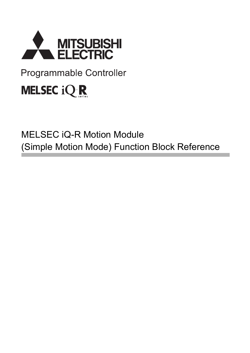

# Programmable Controller

# **MELSEC iQ R**

# MELSEC iQ-R Motion Module (Simple Motion Mode) Function Block Reference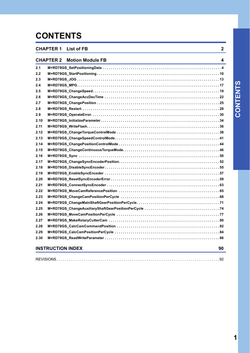# **CONTENTS**

### **[CHAPTER 1 List of FB](#page-3-0) 2 [CHAPTER 2 Motion Module FB](#page-5-0) 4 [2.1 M+RD78GS\\_SetPositioningData . . . . . . . . . . . . . . . . . . . . . . . . . . . . . . . . . . . . . . . . . . . . . . . . . . . . . . . . . . . .](#page-5-1) 4 [2.2 M+RD78GS\\_StartPositioning . . . . . . . . . . . . . . . . . . . . . . . . . . . . . . . . . . . . . . . . . . . . . . . . . . . . . . . . . . . . . .](#page-11-0) 10 [2.3 M+RD78GS\\_JOG . . . . . . . . . . . . . . . . . . . . . . . . . . . . . . . . . . . . . . . . . . . . . . . . . . . . . . . . . . . . . . . . . . . . . . . .](#page-14-0) 13 [2.4 M+RD78GS\\_MPG. . . . . . . . . . . . . . . . . . . . . . . . . . . . . . . . . . . . . . . . . . . . . . . . . . . . . . . . . . . . . . . . . . . . . . . .](#page-18-0) 17 [2.5 M+RD78GS\\_ChangeSpeed . . . . . . . . . . . . . . . . . . . . . . . . . . . . . . . . . . . . . . . . . . . . . . . . . . . . . . . . . . . . . . . .](#page-20-0) 19 [2.6 M+RD78GS\\_ChangeAccDecTime . . . . . . . . . . . . . . . . . . . . . . . . . . . . . . . . . . . . . . . . . . . . . . . . . . . . . . . . . .](#page-23-0) 22 [2.7 M+RD78GS\\_ChangePosition . . . . . . . . . . . . . . . . . . . . . . . . . . . . . . . . . . . . . . . . . . . . . . . . . . . . . . . . . . . . . .](#page-26-0) 25 [2.8 M+RD78GS\\_Restart. . . . . . . . . . . . . . . . . . . . . . . . . . . . . . . . . . . . . . . . . . . . . . . . . . . . . . . . . . . . . . . . . . . . . .](#page-29-0) 28 [2.9 M+RD78GS\\_OperateError. . . . . . . . . . . . . . . . . . . . . . . . . . . . . . . . . . . . . . . . . . . . . . . . . . . . . . . . . . . . . . . . .](#page-31-0) 30 [2.10 M+RD78GS\\_InitializeParameter . . . . . . . . . . . . . . . . . . . . . . . . . . . . . . . . . . . . . . . . . . . . . . . . . . . . . . . . . . . .](#page-35-0) 34 [2.11 M+RD78GS\\_WriteFlash. . . . . . . . . . . . . . . . . . . . . . . . . . . . . . . . . . . . . . . . . . . . . . . . . . . . . . . . . . . . . . . . . . .](#page-37-0) 36 [2.12 M+RD78GS\\_ChangeTorqueControlMode . . . . . . . . . . . . . . . . . . . . . . . . . . . . . . . . . . . . . . . . . . . . . . . . . . . .](#page-39-0) 38 [2.13 M+RD78GS\\_ChangeSpeedControlMode. . . . . . . . . . . . . . . . . . . . . . . . . . . . . . . . . . . . . . . . . . . . . . . . . . . . .](#page-42-0) 41 [2.14 M+RD78GS\\_ChangePositionControlMode . . . . . . . . . . . . . . . . . . . . . . . . . . . . . . . . . . . . . . . . . . . . . . . . . . .](#page-45-0) 44 [2.15 M+RD78GS\\_ChangeContinuousTorqueMode. . . . . . . . . . . . . . . . . . . . . . . . . . . . . . . . . . . . . . . . . . . . . . . . .](#page-47-0) 46 [2.16 M+RD78GS\\_Sync . . . . . . . . . . . . . . . . . . . . . . . . . . . . . . . . . . . . . . . . . . . . . . . . . . . . . . . . . . . . . . . . . . . . . . .](#page-51-0) 50 [2.17 M+RD78GS\\_ChangeSyncEncoderPosition. . . . . . . . . . . . . . . . . . . . . . . . . . . . . . . . . . . . . . . . . . . . . . . . . . .](#page-53-0) 52 [2.18 M+RD78GS\\_DisableSyncEncoder . . . . . . . . . . . . . . . . . . . . . . . . . . . . . . . . . . . . . . . . . . . . . . . . . . . . . . . . . .](#page-56-0) 55 [2.19 M+RD78GS\\_EnableSyncEncoder . . . . . . . . . . . . . . . . . . . . . . . . . . . . . . . . . . . . . . . . . . . . . . . . . . . . . . . . . .](#page-58-0) 57 [2.20 M+RD78GS\\_ResetSyncEncoderError . . . . . . . . . . . . . . . . . . . . . . . . . . . . . . . . . . . . . . . . . . . . . . . . . . . . . . .](#page-60-0) 59 [2.21 M+RD78GS\\_ConnectSyncEncoder . . . . . . . . . . . . . . . . . . . . . . . . . . . . . . . . . . . . . . . . . . . . . . . . . . . . . . . . .](#page-64-0) 63 [2.22 M+RD78GS\\_MoveCamReferencePosition . . . . . . . . . . . . . . . . . . . . . . . . . . . . . . . . . . . . . . . . . . . . . . . . . . .](#page-66-0) 65 [2.23 M+RD78GS\\_ChangeCamPositionPerCycle . . . . . . . . . . . . . . . . . . . . . . . . . . . . . . . . . . . . . . . . . . . . . . . . . .](#page-69-0) 68 [2.24 M+RD78GS\\_ChangeMainShaftGearPositionPerCycle. . . . . . . . . . . . . . . . . . . . . . . . . . . . . . . . . . . . . . . . . .](#page-72-0) 71 [2.25 M+RD78GS\\_ChangeAuxiliaryShaftGearPositionPerCycle . . . . . . . . . . . . . . . . . . . . . . . . . . . . . . . . . . . . . .](#page-75-0) 74 [2.26 M+RD78GS\\_MoveCamPositionPerCycle . . . . . . . . . . . . . . . . . . . . . . . . . . . . . . . . . . . . . . . . . . . . . . . . . . . .](#page-78-0) 77 [2.27 M+RD78GS\\_MakeRotaryCutterCam . . . . . . . . . . . . . . . . . . . . . . . . . . . . . . . . . . . . . . . . . . . . . . . . . . . . . . . .](#page-81-0) 80 [2.28 M+RD78GS\\_CalcCamCommandPosition . . . . . . . . . . . . . . . . . . . . . . . . . . . . . . . . . . . . . . . . . . . . . . . . . . . .](#page-83-0) 82 [2.29 M+RD78GS\\_CalcCamPositionPerCycle . . . . . . . . . . . . . . . . . . . . . . . . . . . . . . . . . . . . . . . . . . . . . . . . . . . . .](#page-85-0) 84 [2.30 M+RD78GS\\_ReadWriteParameter . . . . . . . . . . . . . . . . . . . . . . . . . . . . . . . . . . . . . . . . . . . . . . . . . . . . . . . . . .](#page-87-0) 86 [INSTRUCTION INDEX](#page-91-0) 90**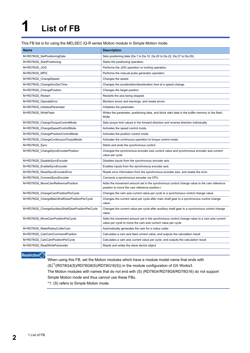# <span id="page-3-0"></span>**1 List of FB**

#### This FB list is for using the MELSEC iQ-R series Motion module in Simple Motion mode.

| <b>Name</b>                                       | <b>Description</b>                                                                                                                                          |
|---------------------------------------------------|-------------------------------------------------------------------------------------------------------------------------------------------------------------|
| M+RD78GS_SetPositioningData                       | Sets positioning data (Da.1 to Da.10, Da.20 to Da.22, Da.27 to Da.29).                                                                                      |
| M+RD78GS_StartPositioning                         | Starts the positioning operation.                                                                                                                           |
| M+RD78GS JOG                                      | Performs the JOG operation or inching operation.                                                                                                            |
| M+RD78GS_MPG                                      | Performs the manual pulse generator operation.                                                                                                              |
| M+RD78GS_ChangeSpeed                              | Changes the speed.                                                                                                                                          |
| M+RD78GS_ChangeAccDecTime                         | Changes the acceleration/deceleration time at a speed change.                                                                                               |
| M+RD78GS_ChangePosition                           | Changes the target position.                                                                                                                                |
| M+RD78GS_Restart                                  | Restarts the axis being stopped.                                                                                                                            |
| M+RD78GS_OperateError                             | Monitors errors and warnings, and resets errors.                                                                                                            |
| M+RD78GS_InitializeParameter                      | Initializes the parameter.                                                                                                                                  |
| M+RD78GS_WriteFlash                               | Writes the parameter, positioning data, and block start data in the buffer memory to the flash<br>ROM.                                                      |
| M+RD78GS_ChangeTorqueControlMode                  | Sets torque limit values in the forward direction and reverse direction individually.                                                                       |
| M+RD78GS_ChangeSpeedControlMode                   | Activates the speed control mode.                                                                                                                           |
| M+RD78GS_ChangePositionControlMode                | Activates the position control mode.                                                                                                                        |
| M+RD78GS_ChangeContinuousTorqueMode               | Activates the continuous operation to torque control mode.                                                                                                  |
| M+RD78GS_Sync                                     | Starts and ends the synchronous control.                                                                                                                    |
| M+RD78GS_ChangeSyncEncoderPosition                | Changes the synchronous encoder axis current value and synchronous encoder axis current<br>value per cycle.                                                 |
| M+RD78GS_DisableSyncEncoder                       | Disables inputs from the synchronous encoder axis.                                                                                                          |
| M+RD78GS_EnableSyncEncoder                        | Enables inputs from the synchronous encoder axis.                                                                                                           |
| M+RD78GS_ResetSyncEncoderError                    | Reads error information from the synchronous encoder axis, and resets the error.                                                                            |
| M+RD78GS_ConnectSyncEncoder                       | Connects a synchronous encoder via CPU.                                                                                                                     |
| M+RD78GS MoveCamReferencePosition                 | Adds the movement amount set in the synchronous control change value to the cam reference<br>position to move the cam reference position.r                  |
| M+RD78GS_ChangeCamPositionPerCycle                | Changes the cam axis current value per cycle to a synchronous control change value.                                                                         |
| M+RD78GS ChangeMainShaftGearPositionPerCycle      | Changes the current value per cycle after main shaft gear to a synchronous control change<br>value.                                                         |
| M+RD78GS_ChangeAuxiliaryShaftGearPositionPerCycle | Changes the current value per cycle after auxiliary shaft gear to a synchronous control change<br>value.                                                    |
| M+RD78GS_MoveCamPositionPerCycle                  | Adds the movement amount set in the synchronous control change value to a cam axis current<br>value per cycle to move the cam axis current value per cycle. |
| M+RD78GS_MakeRotaryCutterCam                      | Automatically generates the cam for a rotary cutter.                                                                                                        |
| M+RD78GS_CalcCamCommandPosition                   | Calculates a cam axis feed current value, and outputs the calculation result.                                                                               |
| M+RD78GS CalcCamPositionPerCycle                  | Calculates a cam axis current value per cycle, and outputs the calculation result.                                                                          |
| M+RD78GS_ReadWriteParameter                       | Reads and writes the slave device object.                                                                                                                   |

Restriction<sup>(17</sup>

When using this FB, set the Motion modules which have a module model name that ends with (S)\*1(RD78G4(S)/RD78G8(S)/RD78G16(S)) in the module configuration of GX Works3.

The Motion modules with names that do not end with (S) (RD78G4/RD78G8/RD78G16) do not support Simple Motion mode and thus cannot use these FBs.

\*1: (S) refers to Simple Motion mode.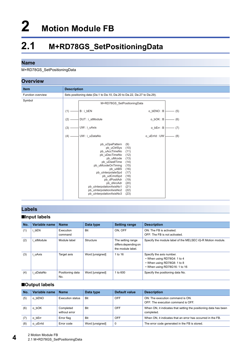# <span id="page-5-0"></span>**2 Motion Module FB**

# <span id="page-5-1"></span>**2.1 M+RD78GS\_SetPositioningData**

#### **Name**

M+RD78GS\_SetPositioningData

| <b>Overview</b>   |                                                                                                                                                                                                                                                                                                                                                                                                             |  |  |  |  |  |
|-------------------|-------------------------------------------------------------------------------------------------------------------------------------------------------------------------------------------------------------------------------------------------------------------------------------------------------------------------------------------------------------------------------------------------------------|--|--|--|--|--|
| <b>Item</b>       | <b>Description</b>                                                                                                                                                                                                                                                                                                                                                                                          |  |  |  |  |  |
| Function overview | Sets positioning data (Da.1 to Da.10, Da.20 to Da.22, Da.27 to Da.29).                                                                                                                                                                                                                                                                                                                                      |  |  |  |  |  |
| Symbol            | M+RD78GS_SetPositioningData                                                                                                                                                                                                                                                                                                                                                                                 |  |  |  |  |  |
|                   | o_bENO: B<br>B:i bEN<br>(5)<br>(1)                                                                                                                                                                                                                                                                                                                                                                          |  |  |  |  |  |
|                   | o_bOK: B<br>(2)<br>DUT: i stModule<br>(6)                                                                                                                                                                                                                                                                                                                                                                   |  |  |  |  |  |
|                   | (7)<br>UW: i uAxis<br>o_bErr: B<br>(3)                                                                                                                                                                                                                                                                                                                                                                      |  |  |  |  |  |
|                   | UW:i_uDataNo<br>o_uErrId: UW<br>(8)<br>(4)                                                                                                                                                                                                                                                                                                                                                                  |  |  |  |  |  |
|                   | pb uOpePattern<br>(9)<br>pb_uCtrlSys<br>(10)<br>pb uAccTimeNo<br>(11)<br>pb uDecTimeNo<br>(12)<br>pb uMcode<br>(13)<br>pb uDwellTime<br>(14)<br>pb_uMcodeOnTiming<br>(15)<br>pb_uABS<br>(16)<br>pb_uInterpolateSpd<br>(17)<br>pb_udCmdSpd<br>(18)<br>pb dPositAdr<br>(19)<br>pb dArcAdr<br>(20)<br>pb uInterpolationAxisNo1<br>(21)<br>pb uInterpolationAxisNo2<br>(22)<br>pb_uInterpolationAxisNo3<br>(23) |  |  |  |  |  |

### **Labels**

#### ■**Input labels**

| No. | Variable name | <b>Name</b>             | Data type       | <b>Setting range</b>                                           | <b>Description</b>                                                                                                      |
|-----|---------------|-------------------------|-----------------|----------------------------------------------------------------|-------------------------------------------------------------------------------------------------------------------------|
| (1) | bEN           | Execution<br>command    | <b>Bit</b>      | ON. OFF                                                        | ON: The FB is activated.<br>OFF: The FB is not activated.                                                               |
| (2) | stModule      | Module label            | Structure       | The setting range<br>differs depending on<br>the module label. | Specify the module label of the MELSEC iQ-R Motion module.                                                              |
| (3) | uAxis         | Target axis             | Word [unsigned] | 1 to 16                                                        | Specify the axis number.<br>• When using RD78G4: 1 to 4<br>• When using RD78G8: 1 to 8<br>• When using RD78G16: 1 to 16 |
| (4) | uDataNo       | Positioning data<br>No. | Word [unsigned] | 1 to 600                                                       | Specify the positioning data No.                                                                                        |

#### ■**Output labels**

| No. | Variable name | <b>Name</b>                | Data type       | Default value | <b>Description</b>                                                             |
|-----|---------------|----------------------------|-----------------|---------------|--------------------------------------------------------------------------------|
| (5) | bENO<br>o     | Execution status           | Bit             | OFF           | ON: The execution command is ON.<br>OFF: The execution command is OFF.         |
| (6) | bOK           | Completed<br>without error | Bit             | OFF           | When ON, it indicates that setting the positioning data has been<br>completed. |
|     | bErr<br>O     | Error flag                 | Bit             | OFF           | When ON, it indicates that an error has occurred in the FB.                    |
| (8) | uErrId        | Error code                 | Word [unsigned] |               | The error code generated in the FB is stored.                                  |

**4** 2 Motion Module FB<br>2.1 M+RD78GS\_SetPositioningData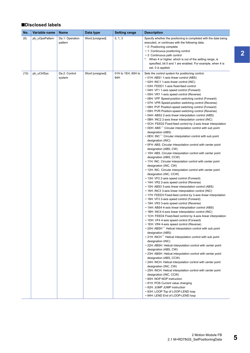#### ■**Disclosed labels**

| No.  | Variable name  | <b>Name</b>                | Data type       | <b>Setting range</b>      | <b>Description</b>                                                                                                                                                                                                                                                                                                                                                                                                                                                                                                                                                                                                                                                                                                                                                                                                                                                                                                                                                                                                                                                                                                                                                                                                                                                                                                                                                                                                                                                                                                                                                                                                                                                                                                                                                                                                                                                                                                                                                                                                                                                                                                                                                                                                                                                                                                                                                                                                                                                                                                                                                                                                                                                                              |
|------|----------------|----------------------------|-----------------|---------------------------|-------------------------------------------------------------------------------------------------------------------------------------------------------------------------------------------------------------------------------------------------------------------------------------------------------------------------------------------------------------------------------------------------------------------------------------------------------------------------------------------------------------------------------------------------------------------------------------------------------------------------------------------------------------------------------------------------------------------------------------------------------------------------------------------------------------------------------------------------------------------------------------------------------------------------------------------------------------------------------------------------------------------------------------------------------------------------------------------------------------------------------------------------------------------------------------------------------------------------------------------------------------------------------------------------------------------------------------------------------------------------------------------------------------------------------------------------------------------------------------------------------------------------------------------------------------------------------------------------------------------------------------------------------------------------------------------------------------------------------------------------------------------------------------------------------------------------------------------------------------------------------------------------------------------------------------------------------------------------------------------------------------------------------------------------------------------------------------------------------------------------------------------------------------------------------------------------------------------------------------------------------------------------------------------------------------------------------------------------------------------------------------------------------------------------------------------------------------------------------------------------------------------------------------------------------------------------------------------------------------------------------------------------------------------------------------------------|
| (9)  | pb_uOpePattern | Da.1: Operation<br>pattern | Word [unsigned] | 0, 1, 3                   | Specify whether the positioning is completed with the data being<br>executed, or continues with the following data.<br>• 0: Positioning complete<br>• 1: Continuous positioning control<br>• 3: Continuous path control<br>*: When 4 or higher, which is out of the setting range, is<br>specified, bit 0 and 1 are enabled. For example, when 4 is<br>set, 0 is applied.                                                                                                                                                                                                                                                                                                                                                                                                                                                                                                                                                                                                                                                                                                                                                                                                                                                                                                                                                                                                                                                                                                                                                                                                                                                                                                                                                                                                                                                                                                                                                                                                                                                                                                                                                                                                                                                                                                                                                                                                                                                                                                                                                                                                                                                                                                                       |
| (10) | pb uCtrlSys    | Da.2: Control<br>system    | Word [unsigned] | 01H to 1EH, 80H to<br>84H | Sets the control system for positioning control.<br>• 01H: ABS1 1-axis linear control (ABS)<br>• 02H: INC1 1-axis linear control (INC)<br>• 03H: FEED1 1-axis fixed-feed control<br>• 04H: VF1 1-axis speed control (Forward)<br>• 05H: VR1 1-axis speed control (Reverse)<br>• 06H: VPF Speed-position switching control (Forward)<br>• 07H: VPR Speed-position switching control (Reverse)<br>• 08H: PVF Position-speed switching control (Forward)<br>• 09H: PVR Position-speed switching control (Reverse)<br>• 0AH: ABS2 2-axis linear interpolation control (ABS)<br>• 0BH: INC2 2-axis linear interpolation control (INC)<br>• OCH: FEED2 Fixed-feed control by 2-axis linear interpolation<br>$\cdot$ 0DH: ABS $\hat{\ }$ Circular interpolation control with sub point<br>designation (ABS)<br>• 0EH: INC $\widehat{\phantom{a}}$ Circular interpolation control with sub point<br>designation (INC)<br>• OFH: ABS. Circular interpolation control with center point<br>designation (ABS, CW)<br>• 10H: ABS. Circular interpolation control with center point<br>designation (ABS, CCW)<br>• 11H: INC. Circular interpolation control with center point<br>designation (INC, CW)<br>• 12H: INC. Circular interpolation control with center point<br>designation (INC, CCW)<br>• 13H: VF2 2-axis speed control (Forward)<br>• 14H: VR2 2-axis speed control (Reverse)<br>• 15H: ABS3 3-axis linear interpolation control (ABS)<br>• 16H: INC3 3-axis linear interpolation control (INC)<br>• 17H: FEED3 Fixed-feed control by 3-axis linear interpolation<br>• 18H: VF3 3-axis speed control (Forward)<br>• 19H: VR3 3-axis speed control (Reverse)<br>• 1AH: ABS4 4-axis linear interpolation control (ABS)<br>• 1BH: INC4 4-axis linear interpolation control (INC)<br>• 1CH: FEED4 Fixed-feed control by 4-axis linear interpolation<br>• 1DH: VF4 4-axis speed control (Forward)<br>• 1EH: VR4 4-axis speed control (Reverse)<br>• 20H: ABSH $\hat{}$ Helical interpolation control with sub point<br>designation (ABS)<br>• 21H: INCH $\widehat{\phantom{a}}$ Helical interpolation control with sub point<br>designation (INC)<br>• 22H: ABSH. Helical interpolation control with center point<br>designation (ABS, CW)<br>• 23H: ABSH. Helical interpolation control with center point<br>designation (ABS, CCW)<br>• 24H: INCH. Helical interpolation control with center point<br>designation (INC, CW)<br>• 25H: INCH. Helical interpolation control with center point<br>designation (INC, CCW)<br>• 80H: NOP NOP instruction<br>• 81H: POS Current value changing<br>• 82H: JUMP JUMP instruction<br>• 83H: LOOP Top of LOOP-LEND loop<br>• 84H: LEND End of LOOP-LEND loop |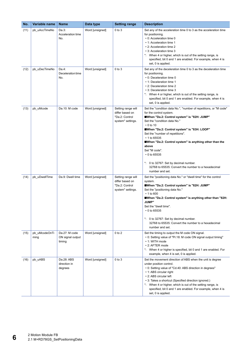| No.  | Variable name         | <b>Name</b>                                 | Data type       | <b>Setting range</b>                                                         | <b>Description</b>                                                                                                                                                                                                                                                                                                                                                                                                                                                                                                                  |
|------|-----------------------|---------------------------------------------|-----------------|------------------------------------------------------------------------------|-------------------------------------------------------------------------------------------------------------------------------------------------------------------------------------------------------------------------------------------------------------------------------------------------------------------------------------------------------------------------------------------------------------------------------------------------------------------------------------------------------------------------------------|
| (11) | pb_uAccTimeNo         | Da.3:<br>Acceleration time<br>No.           | Word [unsigned] | $0$ to $3$                                                                   | Set any of the acceleration time 0 to 3 as the acceleration time<br>for positioning.<br>• 0: Acceleration time 0<br>• 1: Acceleration time 1<br>• 2: Acceleration time 2<br>• 3: Acceleration time 3<br>*: When 4 or higher, which is out of the setting range, is<br>specified, bit 0 and 1 are enabled. For example, when 4 is<br>set, 0 is applied.                                                                                                                                                                              |
| (12) | pb_uDecTimeNo         | Da.4:<br>Deceleration time<br>No.           | Word [unsigned] | $0$ to $3$                                                                   | Set any of the deceleration time 0 to 3 as the deceleration time<br>for positioning.<br>• 0: Deceleration time 0<br>• 1: Deceleration time 1<br>• 2: Deceleration time 2<br>• 3: Deceleration time 3<br>*: When 4 or higher, which is out of the setting range, is<br>specified, bit 0 and 1 are enabled. For example, when 4 is<br>set, 0 is applied.                                                                                                                                                                              |
| (13) | pb_uMcode             | Da.10: M code                               | Word [unsigned] | Setting range will<br>differ based on<br>"Da.2: Control<br>system" settings. | Set the "condition data No.", "number of repetitions, or "M code"<br>for the control system.<br>When "Da.2: Control system" is "82H: JUMP"<br>Set the "condition data No."<br>$\cdot$ 0 to 10<br>■When "Da.2: Control system" is "83H: LOOP"<br>Set the "number of repetitions".<br>$\cdot$ 1 to 65535<br>When "Da.2: Control system" is anything other than the<br>above<br>Set "M code".<br>$\cdot$ 0 to 65535<br>*: 0 to 32767: Set by decimal number.<br>32768 to 65535: Convert the number to a hexadecimal<br>number and set. |
| (14) | pb_uDwellTime         | Da.9: Dwell time                            | Word [unsigned] | Setting range will<br>differ based on<br>"Da.2: Control<br>system" settings. | Set the "positioning data No." or "dwell time" for the control<br>system.<br>■When "Da.2: Control system" is "82H: JUMP"<br>Set the "positioning data No."<br>$\cdot$ 1 to 600<br>■When "Da.2: Control system" is anything other than "82H:<br><b>JUMP"</b><br>Set the "dwell time".<br>$\cdot$ 0 to 65535<br>*: 0 to 32767: Set by decimal number.<br>32768 to 65535: Convert the number to a hexadecimal<br>number and set.                                                                                                       |
| (15) | pb_uMcodeOnTi<br>ming | Da.27: M code<br>ON signal output<br>timing | Word [unsigned] | $0$ to $2$                                                                   | Set the timing to output the M code ON signal.<br>• 0: Setting value of "Pr.18: M code ON signal output timing"<br>• 1: WITH mode<br>• 2: AFTER mode<br>*: When 4 or higher is specified, bit 0 and 1 are enabled. For<br>example, when 4 is set, 0 is applied.                                                                                                                                                                                                                                                                     |
| (16) | pb_uABS               | Da.28: ABS<br>direction in<br>degrees       | Word [unsigned] | $0$ to $3$                                                                   | Set the movement direction of ABS when the unit is degree<br>under position control.<br>• 0: Setting value of "Cd.40: ABS direction in degrees"<br>• 1: ABS circular right<br>• 2: ABS circular left<br>• 3: Takes a shortcut (Specified direction ignored.)<br>*: When 4 or higher, which is out of the setting range, is<br>specified, bit 0 and 1 are enabled. For example, when 4 is<br>set, 0 is applied.                                                                                                                      |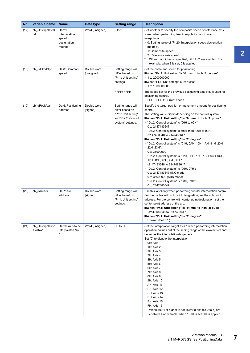| No.  | Variable name                | <b>Name</b>                                               | Data type                 | <b>Setting range</b>                                                                                     | <b>Description</b>                                                                                                                                                                                                                                                                                                                                                                                                                                                                                                                                                                                                                                                                                                                                                                            |
|------|------------------------------|-----------------------------------------------------------|---------------------------|----------------------------------------------------------------------------------------------------------|-----------------------------------------------------------------------------------------------------------------------------------------------------------------------------------------------------------------------------------------------------------------------------------------------------------------------------------------------------------------------------------------------------------------------------------------------------------------------------------------------------------------------------------------------------------------------------------------------------------------------------------------------------------------------------------------------------------------------------------------------------------------------------------------------|
| (17) | pb_uInterpolateS<br>pd       | Da.29:<br>Interpolation<br>speed<br>designation<br>method | Word [unsigned]           | $0$ to $2$                                                                                               | Set whether to specify the composite speed or reference axis<br>speed when performing liner interpolation or circular<br>interpolation.<br>• 0: Setting value of "Pr.20: Interpolation speed designation<br>method".<br>• 1: Composite speed<br>• 2: Reference axis speed<br>*: When 8 or higher is specified, bit 0 to 2 are enabled. For<br>example, when 8 is set, 0 is applied.                                                                                                                                                                                                                                                                                                                                                                                                           |
| (18) | pb_udCmdSpd                  | Da.8: Command<br>speed                                    | Double word<br>[unsigned] | Setting range will<br>differ based on<br>"Pr.1: Unit setting"<br>settings.<br>FFFFFFFFH                  | Set the command speed for positioning.<br>■When "Pr. 1: Unit setting" is "0: mm, 1: inch, 2: degree"<br>$\cdot$ 1 to 2000000000<br>■When "Pr.1: Unit setting" is "3: pulse"<br>• 1 to 1000000000<br>The speed set for the previous positioning data No. is used for<br>positioning control.<br>• FFFFFFFFH: Current speed                                                                                                                                                                                                                                                                                                                                                                                                                                                                     |
| (19) | pb dPositAdr                 | Da.6: Positioning<br>address                              | Double word<br>[signed]   | Setting range will<br>differ based on<br>"Pr.1: Unit setting"<br>and "Da.2: Control<br>system" settings. | Specify the target position or movement amount for positioning<br>control.<br>The setting value differs depending on the control system.<br>■When "Pr.1: Unit setting" is "0: mm, 1: inch, 3: pulse"<br>. "Da.2: Control system" is "06H to 09H":<br>0 to 2147483647<br>• "Da.2: Control system" is other than "06H to 09H":<br>-2147483648 to 2147483647<br>When "Pr.1: Unit setting" is "2: degree"<br>• "Da.2: Control system" is "01H, 0AH, 15H, 1AH, 81H, 20H,<br>22H, 23H":<br>0 to 35999999<br>• "Da.2: Control system" is "02H, 0BH, 16H, 1BH, 03H, 0CH,<br>17H, 1CH, 20H, 22H, 23H":<br>-2147483648 to 2147483647<br>• "Da.2: Control system" is "06H, 07H":<br>0 to 2147483647 (INC mode)<br>0 to 35999999 (ABS mode)<br>• "Da.2: Control system" is "08H, 09H":<br>0 to 2147483647 |
| (20) | pb_dArcAdr                   | Da.7: Arc<br>address                                      | Double word<br>[signed]   | Setting range will<br>differ based on<br>"Pr.1: Unit setting"<br>settings.                               | Use this label only when performing circular interpolation control.<br>For the control with sub point designation, set the sub point<br>address. For the control with center point designation, set the<br>center point address of the arc.<br>■When "Pr.1: Unit setting" is "0: mm, 1: inch, 3: pulse"<br>• -2147483648 to 2147483647<br>■When "Pr.1: Unit setting" is "2: degree"<br>• Unused (Set "0".)                                                                                                                                                                                                                                                                                                                                                                                    |
| (21) | pb_uInterpolation<br>AxisNo1 | Da.20: Axis to be<br>interpolated No.<br>$\mathbf{1}$     | Word [unsigned]           | OH to FH                                                                                                 | Set the interpolation-target axis 1 when performing interpolation<br>operation. Values out of the setting range or the own axis cannot<br>be set as the interpolation-target axis.<br>Set "0" to disable the interpolation.<br>$\cdot$ 0H: Axis 1<br>$\cdot$ 1H: Axis 2<br>$\cdot$ 2H: Axis 3<br>$\cdot$ 3H: Axis 4<br>$\cdot$ 4H: Axis 5<br>$\cdot$ 5H: Axis 6<br>$\cdot$ 6H: Axis 7<br>$\cdot$ 7H: Axis 8<br>$\cdot$ 8H: Axis 9<br>$\cdot$ 9H: Axis 10<br>• AH: Axis 11<br>$\cdot$ BH: Axis 12<br>$\cdot$ CH: Axis 13<br>$\cdot$ DH: Axis 14<br>$\cdot$ EH: Axis 15<br>$\cdot$ FH: Axis 16<br>*: When 100H or higher is set, lower 8 bits (bit 0 to 7) are<br>enabled. For example, when 101H is set, 1H is applied.                                                                        |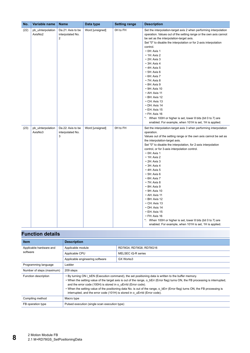| No.  | Variable name                | <b>Name</b>                                | Data type       | <b>Setting range</b> | <b>Description</b>                                                                                                                                                                                                                                                                                                                                                                                                                                                                                                                                                                                                                                                                                                                                                                      |
|------|------------------------------|--------------------------------------------|-----------------|----------------------|-----------------------------------------------------------------------------------------------------------------------------------------------------------------------------------------------------------------------------------------------------------------------------------------------------------------------------------------------------------------------------------------------------------------------------------------------------------------------------------------------------------------------------------------------------------------------------------------------------------------------------------------------------------------------------------------------------------------------------------------------------------------------------------------|
| (22) | pb_uInterpolation<br>AxisNo2 | Da.21: Axis to be<br>interpolated No.<br>2 | Word [unsigned] | OH to FH             | Set the interpolation-target axis 2 when performing interpolation<br>operation. Values out of the setting range or the own axis cannot<br>be set as the interpolation-target axis.<br>Set "0" to disable the interpolation or for 2-axis interpolation<br>control.<br>$\cdot$ 0H: Axis 1<br>$\cdot$ 1H: Axis 2<br>$\cdot$ 2H: Axis 3<br>$\cdot$ 3H: Axis 4<br>$\cdot$ 4H: Axis 5<br>$\cdot$ 5H: Axis 6<br>$\cdot$ 6H: Axis 7<br>$\cdot$ 7H: Axis 8<br>$\cdot$ 8H: Axis 9<br>$\cdot$ 9H: Axis 10<br>• AH: Axis 11<br>• BH: Axis 12<br>$\cdot$ CH: Axis 13<br>· DH: Axis 14<br>$\cdot$ EH: Axis 15<br>· FH: Axis 16<br>*: When 100H or higher is set, lower 8 bits (bit 0 to 7) are<br>enabled. For example, when 101H is set, 1H is applied.                                             |
| (23) | pb_uInterpolation<br>AxisNo3 | Da.22: Axis to be<br>interpolated No.<br>3 | Word [unsigned] | OH to FH             | Set the interpolation-target axis 3 when performing interpolation<br>operation.<br>Values out of the setting range or the own axis cannot be set as<br>the interpolation-target axis.<br>Set "0" to disable the interpolation, for 2-axis interpolation<br>control, or for 3-axis interpolation control.<br>$\cdot$ 0H: Axis 1<br>$\cdot$ 1H: Axis 2<br>$\cdot$ 2H: Axis 3<br>$\cdot$ 3H: Axis 4<br>$\cdot$ 4H: Axis 5<br>$\cdot$ 5H: Axis 6<br>$\cdot$ 6H: Axis 7<br>$\cdot$ 7H: Axis 8<br>$\cdot$ 8H: Axis 9<br>$\cdot$ 9H: Axis 10<br>$\cdot$ AH: Axis 11<br>• BH: Axis 12<br>$\cdot$ CH: Axis 13<br>· DH: Axis 14<br>$\cdot$ EH: Axis 15<br>• FH: Axis 16<br>*: When 100H or higher is set, lower 8 bits (bit 0 to 7) are<br>enabled. For example, when 101H is set, 1H is applied. |

| <b>Item</b>               | <b>Description</b>                                                                                                                                                                                                                                                                                                                                                                                                                                                                                                      |                         |  |
|---------------------------|-------------------------------------------------------------------------------------------------------------------------------------------------------------------------------------------------------------------------------------------------------------------------------------------------------------------------------------------------------------------------------------------------------------------------------------------------------------------------------------------------------------------------|-------------------------|--|
| Applicable hardware and   | Applicable module                                                                                                                                                                                                                                                                                                                                                                                                                                                                                                       | RD78G4, RD78G8, RD78G16 |  |
| software                  | Applicable CPU                                                                                                                                                                                                                                                                                                                                                                                                                                                                                                          | MELSEC iQ-R series      |  |
|                           | Applicable engineering software                                                                                                                                                                                                                                                                                                                                                                                                                                                                                         | GX Works3               |  |
| Programming language      | Ladder                                                                                                                                                                                                                                                                                                                                                                                                                                                                                                                  |                         |  |
| Number of steps (maximum) | 209 steps                                                                                                                                                                                                                                                                                                                                                                                                                                                                                                               |                         |  |
| Function description      | • By turning ON i bEN (Execution command), the set positioning data is written to the buffer memory.<br>. When the setting value of the target axis is out of the range, o bErr (Error flag) turns ON, the FB processing is interrupted,<br>and the error code (100H) is stored in o uErrld (Error code).<br>• When the setting value of the positioning data No. is out of the range, o bErr (Error flag) turns ON, the FB processing is<br>interrupted, and the error code (101H) is stored in o uErrId (Error code). |                         |  |
| Compiling method          | Macro type                                                                                                                                                                                                                                                                                                                                                                                                                                                                                                              |                         |  |
| FB operation type         | Pulsed execution (single scan execution type)                                                                                                                                                                                                                                                                                                                                                                                                                                                                           |                         |  |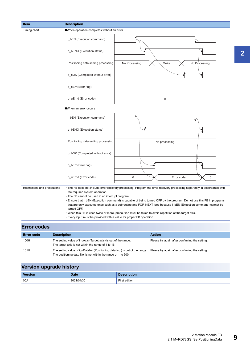| <b>Item</b>                  | <b>Description</b>                                                                                                                                                                                                                                                                                                                                                                                                                                                                                                                                                                                                                                         |
|------------------------------|------------------------------------------------------------------------------------------------------------------------------------------------------------------------------------------------------------------------------------------------------------------------------------------------------------------------------------------------------------------------------------------------------------------------------------------------------------------------------------------------------------------------------------------------------------------------------------------------------------------------------------------------------------|
| Timing chart                 | When operation completes without an error                                                                                                                                                                                                                                                                                                                                                                                                                                                                                                                                                                                                                  |
|                              | i_bEN (Execution command)                                                                                                                                                                                                                                                                                                                                                                                                                                                                                                                                                                                                                                  |
|                              | o_bENO (Execution status)                                                                                                                                                                                                                                                                                                                                                                                                                                                                                                                                                                                                                                  |
|                              | Positioning data setting processing<br>No Processing<br>No Processing<br>Write                                                                                                                                                                                                                                                                                                                                                                                                                                                                                                                                                                             |
|                              | o_bOK (Completed without error)                                                                                                                                                                                                                                                                                                                                                                                                                                                                                                                                                                                                                            |
|                              | o_bErr (Error flag)                                                                                                                                                                                                                                                                                                                                                                                                                                                                                                                                                                                                                                        |
|                              | o_uErrId (Error code)<br>$\mathbf 0$                                                                                                                                                                                                                                                                                                                                                                                                                                                                                                                                                                                                                       |
|                              | ■When an error occurs                                                                                                                                                                                                                                                                                                                                                                                                                                                                                                                                                                                                                                      |
|                              | i_bEN (Execution command)                                                                                                                                                                                                                                                                                                                                                                                                                                                                                                                                                                                                                                  |
|                              | o_bENO (Execution status)                                                                                                                                                                                                                                                                                                                                                                                                                                                                                                                                                                                                                                  |
|                              | Positioning data setting processing<br>No processing                                                                                                                                                                                                                                                                                                                                                                                                                                                                                                                                                                                                       |
|                              | o_bOK (Completed without error)                                                                                                                                                                                                                                                                                                                                                                                                                                                                                                                                                                                                                            |
|                              | o_bErr (Error flag)                                                                                                                                                                                                                                                                                                                                                                                                                                                                                                                                                                                                                                        |
|                              | o_uErrId (Error code)<br>$\mathbf 0$<br>$\Omega$<br>Error code                                                                                                                                                                                                                                                                                                                                                                                                                                                                                                                                                                                             |
| Restrictions and precautions | • The FB does not include error recovery processing. Program the error recovery processing separately in accordance with<br>the required system operation.<br>• The FB cannot be used in an interrupt program.<br>• Ensure that i_bEN (Execution command) is capable of being turned OFF by the program. Do not use this FB in programs<br>that are only executed once such as a subroutine and FOR-NEXT loop because i_bEN (Execution command) cannot be<br>turned OFF.<br>. When this FB is used twice or more, precaution must be taken to avoid repetition of the target axis.<br>• Every input must be provided with a value for proper FB operation. |

| <b>Error codes</b> |                                                                                                                                             |                                                |  |  |  |
|--------------------|---------------------------------------------------------------------------------------------------------------------------------------------|------------------------------------------------|--|--|--|
| <b>Error code</b>  | <b>Description</b>                                                                                                                          | <b>Action</b>                                  |  |  |  |
| 100H               | The setting value of i uAxis (Target axis) is out of the range.<br>The target axis is not within the range of 1 to 16.                      | Please try again after confirming the setting. |  |  |  |
| 101H               | The setting value of i uDataNo (Positioning data No.) is out of the range.<br>The positioning data No. is not within the range of 1 to 600. | Please try again after confirming the setting. |  |  |  |

| __             |             |                    |
|----------------|-------------|--------------------|
| <b>Version</b> | <b>Date</b> | <b>Description</b> |
| 00A            | 2021/04/30  | First edition      |

**2**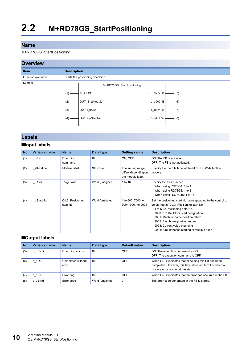#### <span id="page-11-0"></span>M+RD78GS\_StartPositioning

#### **Overview**



### **Labels**

#### ■**Input labels**

| No. | Variable name | <b>Name</b>                    | Data type       | <b>Setting range</b>                                           | <b>Description</b>                                                                                                                                                                                                                                                                                                                                           |
|-----|---------------|--------------------------------|-----------------|----------------------------------------------------------------|--------------------------------------------------------------------------------------------------------------------------------------------------------------------------------------------------------------------------------------------------------------------------------------------------------------------------------------------------------------|
| (1) | i bEN         | Execution<br>command           | Bit             | ON, OFF                                                        | ON: The FB is activated.<br>OFF: The FB is not activated.                                                                                                                                                                                                                                                                                                    |
| (2) | i stModule    | Module label                   | Structure       | The setting range<br>differs depending on<br>the module label. | Specify the module label of the MELSEC iQ-R Motion<br>module.                                                                                                                                                                                                                                                                                                |
| (3) | uAxis         | Target axis                    | Word [unsigned] | 1 to 16                                                        | Specify the axis number.<br>• When using RD78G4: 1 to 4<br>• When using RD78G8: 1 to 8<br>• When using RD78G16: 1 to 16                                                                                                                                                                                                                                      |
| (4) | i uStartNo()  | Cd.3: Positioning<br>start No. | Word [unsigned] | 1 to 600, 7000 to<br>7004, 9001 to 9004                        | Set the positioning start No. corresponding to the control to<br>be started in "Cd.3: Positioning start No."<br>• 1 to 600: Positioning data No.<br>• 7000 to 7004: Block start designation<br>• 9001: Machine home position return<br>• 9002: Fast home position return<br>• 9003: Current value changing<br>• 9004: Simultaneous starting of multiple axes |

#### ■**Output labels**

| No. | Variable name | <b>Name</b>                | Data type       | Default value | <b>Description</b>                                                                                                                                   |
|-----|---------------|----------------------------|-----------------|---------------|------------------------------------------------------------------------------------------------------------------------------------------------------|
| (5) | bENO<br>o     | Execution status           | <b>Bit</b>      | OFF           | ON: The execution command is ON.<br>OFF: The execution command is OFF.                                                                               |
| (6) | bOK<br>O      | Completed without<br>error | <b>Bit</b>      | OFF           | When ON, it indicates that executing this FB has been<br>completed. However, this label does not turn ON when a<br>module error occurs at the start. |
| (7) | bErr<br>O     | Error flag                 | <b>Bit</b>      | OFF           | When ON, it indicates that an error has occurred in the FB.                                                                                          |
| (8) | o uErrid      | Error code                 | Word [unsigned] | 0             | The error code generated in the FB is stored.                                                                                                        |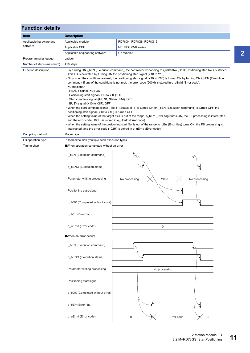| <b>Function details</b>   |                                                                                                                                                                                                                                                                                                                                                                                                                                                                                                                                                                                                                                                                                                                                                                                                                                                                                                                                                                                                                                                                                                                                                                                                                                                                        |                                         |  |  |
|---------------------------|------------------------------------------------------------------------------------------------------------------------------------------------------------------------------------------------------------------------------------------------------------------------------------------------------------------------------------------------------------------------------------------------------------------------------------------------------------------------------------------------------------------------------------------------------------------------------------------------------------------------------------------------------------------------------------------------------------------------------------------------------------------------------------------------------------------------------------------------------------------------------------------------------------------------------------------------------------------------------------------------------------------------------------------------------------------------------------------------------------------------------------------------------------------------------------------------------------------------------------------------------------------------|-----------------------------------------|--|--|
| <b>Item</b>               | <b>Description</b>                                                                                                                                                                                                                                                                                                                                                                                                                                                                                                                                                                                                                                                                                                                                                                                                                                                                                                                                                                                                                                                                                                                                                                                                                                                     |                                         |  |  |
| Applicable hardware and   | Applicable module                                                                                                                                                                                                                                                                                                                                                                                                                                                                                                                                                                                                                                                                                                                                                                                                                                                                                                                                                                                                                                                                                                                                                                                                                                                      | RD78G4, RD78G8, RD78G16                 |  |  |
| software                  | Applicable CPU                                                                                                                                                                                                                                                                                                                                                                                                                                                                                                                                                                                                                                                                                                                                                                                                                                                                                                                                                                                                                                                                                                                                                                                                                                                         | MELSEC iQ-R series                      |  |  |
|                           | Applicable engineering software                                                                                                                                                                                                                                                                                                                                                                                                                                                                                                                                                                                                                                                                                                                                                                                                                                                                                                                                                                                                                                                                                                                                                                                                                                        | GX Works3                               |  |  |
| Programming language      | Ladder                                                                                                                                                                                                                                                                                                                                                                                                                                                                                                                                                                                                                                                                                                                                                                                                                                                                                                                                                                                                                                                                                                                                                                                                                                                                 |                                         |  |  |
| Number of steps (maximum) | 410 steps                                                                                                                                                                                                                                                                                                                                                                                                                                                                                                                                                                                                                                                                                                                                                                                                                                                                                                                                                                                                                                                                                                                                                                                                                                                              |                                         |  |  |
| Function description      | • By turning ON i_bEN (Execution command), the control corresponding to i_uStartNo (Cd.3: Positioning start No.) is started.<br>• This FB is activated by turning ON the positioning start signal (Y10 to Y1F).<br>• Only when the conditions are met, the positioning start signal (Y10 to Y1F) is turned ON by turning ON i bEN (Execution<br>command). If any of the conditions is not met, the error code (200H) is stored in o_uErrld (Error code).<br><conditions><br/>· READY signal (X0): ON<br/>- Positioning start signal (Y10 to Y1F): OFF<br/>· Start complete signal ([Md.31] Status: b14): OFF<br/>- BUSY signal (X10 to X1F): OFF<br/>. When the start complete signal ([Md.31] Status: b14) is turned ON or i bEN (Execution command) is turned OFF, the<br/>positioning start signal (Y10 to Y1F) is turned OFF.<br/>• When the setting value of the target axis is out of the range, o_bErr (Error flag) turns ON, the FB processing is interrupted,<br/>and the error code (100H) is stored in o_uErrId (Error code).<br/>• When the setting value of the positioning start No. is out of the range, o_bErr (Error flag) turns ON, the FB processing is<br/>interrupted, and the error code (102H) is stored in o uErrId (Error code).</conditions> |                                         |  |  |
| Compiling method          | Macro type                                                                                                                                                                                                                                                                                                                                                                                                                                                                                                                                                                                                                                                                                                                                                                                                                                                                                                                                                                                                                                                                                                                                                                                                                                                             |                                         |  |  |
| FB operation type         | Pulsed execution (multiple scan execution type)                                                                                                                                                                                                                                                                                                                                                                                                                                                                                                                                                                                                                                                                                                                                                                                                                                                                                                                                                                                                                                                                                                                                                                                                                        |                                         |  |  |
| Timing chart              | When operation completes without an error                                                                                                                                                                                                                                                                                                                                                                                                                                                                                                                                                                                                                                                                                                                                                                                                                                                                                                                                                                                                                                                                                                                                                                                                                              |                                         |  |  |
|                           | i_bEN (Execution command)                                                                                                                                                                                                                                                                                                                                                                                                                                                                                                                                                                                                                                                                                                                                                                                                                                                                                                                                                                                                                                                                                                                                                                                                                                              |                                         |  |  |
|                           | o_bENO (Execution status)                                                                                                                                                                                                                                                                                                                                                                                                                                                                                                                                                                                                                                                                                                                                                                                                                                                                                                                                                                                                                                                                                                                                                                                                                                              |                                         |  |  |
|                           | Parameter writing processing                                                                                                                                                                                                                                                                                                                                                                                                                                                                                                                                                                                                                                                                                                                                                                                                                                                                                                                                                                                                                                                                                                                                                                                                                                           | No processing<br>Write<br>No processing |  |  |
|                           | Positioning start signal                                                                                                                                                                                                                                                                                                                                                                                                                                                                                                                                                                                                                                                                                                                                                                                                                                                                                                                                                                                                                                                                                                                                                                                                                                               |                                         |  |  |
|                           | o bOK (Completed without error)                                                                                                                                                                                                                                                                                                                                                                                                                                                                                                                                                                                                                                                                                                                                                                                                                                                                                                                                                                                                                                                                                                                                                                                                                                        |                                         |  |  |
|                           | o_bErr (Error flag)                                                                                                                                                                                                                                                                                                                                                                                                                                                                                                                                                                                                                                                                                                                                                                                                                                                                                                                                                                                                                                                                                                                                                                                                                                                    |                                         |  |  |
|                           | o_uErrId (Error code)                                                                                                                                                                                                                                                                                                                                                                                                                                                                                                                                                                                                                                                                                                                                                                                                                                                                                                                                                                                                                                                                                                                                                                                                                                                  | 0                                       |  |  |
|                           | When an error occurs                                                                                                                                                                                                                                                                                                                                                                                                                                                                                                                                                                                                                                                                                                                                                                                                                                                                                                                                                                                                                                                                                                                                                                                                                                                   |                                         |  |  |
|                           | i bEN (Execution command)                                                                                                                                                                                                                                                                                                                                                                                                                                                                                                                                                                                                                                                                                                                                                                                                                                                                                                                                                                                                                                                                                                                                                                                                                                              |                                         |  |  |
|                           | o_bENO (Execution status)                                                                                                                                                                                                                                                                                                                                                                                                                                                                                                                                                                                                                                                                                                                                                                                                                                                                                                                                                                                                                                                                                                                                                                                                                                              |                                         |  |  |
|                           | Parameter writing processing                                                                                                                                                                                                                                                                                                                                                                                                                                                                                                                                                                                                                                                                                                                                                                                                                                                                                                                                                                                                                                                                                                                                                                                                                                           | No processing                           |  |  |
|                           | Positioning start signal                                                                                                                                                                                                                                                                                                                                                                                                                                                                                                                                                                                                                                                                                                                                                                                                                                                                                                                                                                                                                                                                                                                                                                                                                                               |                                         |  |  |
|                           | o_bOK (Completed without error)                                                                                                                                                                                                                                                                                                                                                                                                                                                                                                                                                                                                                                                                                                                                                                                                                                                                                                                                                                                                                                                                                                                                                                                                                                        |                                         |  |  |
|                           | o_bErr (Error flag)                                                                                                                                                                                                                                                                                                                                                                                                                                                                                                                                                                                                                                                                                                                                                                                                                                                                                                                                                                                                                                                                                                                                                                                                                                                    |                                         |  |  |
|                           | o_uErrId (Error code)                                                                                                                                                                                                                                                                                                                                                                                                                                                                                                                                                                                                                                                                                                                                                                                                                                                                                                                                                                                                                                                                                                                                                                                                                                                  | $\mathbf 0$<br>$\Omega$<br>Error code   |  |  |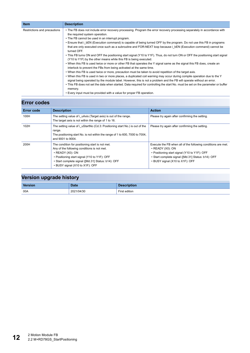| <b>Item</b>                  | <b>Description</b>                                                                                                                                                                                                                                                                                                                                                                                                                                                                                                                                                                                                                                                                                                                                                                                                                                                                                                                                                                                                                                                                                                                                                                                                                                                                                                                                                                         |
|------------------------------|--------------------------------------------------------------------------------------------------------------------------------------------------------------------------------------------------------------------------------------------------------------------------------------------------------------------------------------------------------------------------------------------------------------------------------------------------------------------------------------------------------------------------------------------------------------------------------------------------------------------------------------------------------------------------------------------------------------------------------------------------------------------------------------------------------------------------------------------------------------------------------------------------------------------------------------------------------------------------------------------------------------------------------------------------------------------------------------------------------------------------------------------------------------------------------------------------------------------------------------------------------------------------------------------------------------------------------------------------------------------------------------------|
| Restrictions and precautions | • The FB does not include error recovery processing. Program the error recovery processing separately in accordance with<br>the required system operation.<br>• The FB cannot be used in an interrupt program.<br>• Ensure that i bEN (Execution command) is capable of being turned OFF by the program. Do not use this FB in programs<br>that are only executed once such as a subroutine and FOR-NEXT loop because i bEN (Execution command) cannot be<br>turned OFF.<br>. This FB turns ON and OFF the positioning start signal (Y10 to Y1F). Thus, do not turn ON or OFF the positioning start signal<br>(Y10 to Y1F) by the other means while this FB is being executed.<br>• When this FB is used twice or more or other FB that operates the Y signal same as the signal this FB does, create an<br>interlock to prevent the FBs from being activated at the same time.<br>. When this FB is used twice or more, precaution must be taken to avoid repetition of the target axis.<br>. When this FB is used in two or more places, a duplicated coil warning may occur during compile operation due to the Y<br>signal being operated by the module label. However, this is not a problem and the FB will operate without an error.<br>• This FB does not set the data when started. Data required for controlling the start No. must be set on the parameter or buffer<br>memory. |
|                              | • Every input must be provided with a value for proper FB operation.                                                                                                                                                                                                                                                                                                                                                                                                                                                                                                                                                                                                                                                                                                                                                                                                                                                                                                                                                                                                                                                                                                                                                                                                                                                                                                                       |

| <b>Error codes</b> |                                                                                                                                                                                                                                                                   |                                                                                                                                                                                                                                 |  |  |  |
|--------------------|-------------------------------------------------------------------------------------------------------------------------------------------------------------------------------------------------------------------------------------------------------------------|---------------------------------------------------------------------------------------------------------------------------------------------------------------------------------------------------------------------------------|--|--|--|
| <b>Error code</b>  | <b>Description</b>                                                                                                                                                                                                                                                | <b>Action</b>                                                                                                                                                                                                                   |  |  |  |
| 100H               | The setting value of <i>i</i> uAxis (Target axis) is out of the range.<br>The target axis is not within the range of 1 to 16.                                                                                                                                     | Please try again after confirming the setting.                                                                                                                                                                                  |  |  |  |
| 102H               | The setting value of i uStartNo (Cd.3: Positioning start No.) is out of the<br>range.<br>The positioning start No. is not within the range of 1 to 600, 7000 to 7004,<br>and 9001 to 9004.                                                                        | Please try again after confirming the setting.                                                                                                                                                                                  |  |  |  |
| 200H               | The condition for positioning start is not met.<br>Any of the following conditions is not met.<br>$\cdot$ READY (X0): ON<br>• Positioning start signal (Y10 to Y1F): OFF<br>• Start complete signal ([Md.31] Status: b14): OFF<br>• BUSY signal (X10 to X1F): OFF | Execute the FB when all of the following conditions are met.<br>$\cdot$ READY (X0): ON<br>• Positioning start signal (Y10 to Y1F): OFF<br>· Start complete signal ([Md.31] Status: b14): OFF<br>• BUSY signal (X10 to X1F): OFF |  |  |  |

|  |  | Version upgrade history |  |
|--|--|-------------------------|--|
|--|--|-------------------------|--|

| <b>Version</b> | <b>Date</b> | <b>Description</b> |
|----------------|-------------|--------------------|
| 00A            | 2021/04/30  | First edition      |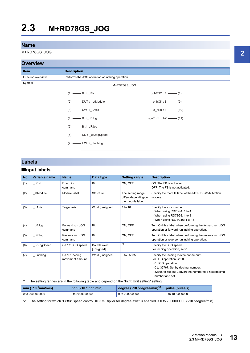<span id="page-14-0"></span>M+RD78GS\_JOG

#### **Overview**



#### **Labels**

#### ■**Input labels**

| No. | Variable name | <b>Name</b>                       | Data type                 | <b>Setting range</b>                                           | <b>Description</b>                                                                                                                                                                                          |
|-----|---------------|-----------------------------------|---------------------------|----------------------------------------------------------------|-------------------------------------------------------------------------------------------------------------------------------------------------------------------------------------------------------------|
| (1) | i bEN         | Execution<br>command              | <b>Bit</b>                | ON, OFF                                                        | ON: The FB is activated.<br>OFF: The FB is not activated.                                                                                                                                                   |
| (2) | i stModule    | Module label                      | Structure                 | The setting range<br>differs depending on<br>the module label. | Specify the module label of the MELSEC iQ-R Motion<br>module.                                                                                                                                               |
| (3) | i uAxis       | Target axis                       | Word [unsigned]           | 1 to 16                                                        | Specify the axis number.<br>• When using RD78G4: 1 to 4<br>• When using RD78G8: 1 to 8<br>• When using RD78G16: 1 to 16                                                                                     |
| (4) | i bFJog       | Forward run JOG<br>command        | Bit                       | ON, OFF                                                        | Turn ON this label when performing the forward run JOG<br>operation or forward run inching operation.                                                                                                       |
| (5) | i bRJog       | Reverse run JOG<br>command        | Bit                       | ON, OFF                                                        | Turn ON this label when performing the reverse run JOG<br>operation or reverse run inching operation.                                                                                                       |
| (6) | i udJogSpeed  | Cd.17: JOG speed                  | Double word<br>[unsigned] | $*1$                                                           | Specify the JOG speed.<br>For inching operation, set 0.                                                                                                                                                     |
| (7) | i ulnching    | Cd.16: Inching<br>movement amount | Word [unsigned]           | 0 to 65535                                                     | Specify the inching movement amount.<br>For JOG operation, set 0.<br>• 0: JOG operation<br>• 0 to 32767: Set by decimal number.<br>• 32768 to 65535: Convert the number to a hexadecimal<br>number and set. |

<span id="page-14-1"></span>\*1 The setting ranges are in the following table and depend on the "Pr.1: Unit setting" setting.

| $mm$ ( $\times$ 10 <sup>-2</sup> mm/min) | $\frac{1}{2}$ inch ( $\times$ 10 <sup>-3</sup> inch/min) | degree $(x10^{-3})$ degree/min) $^2$ | $ $ pulse (pulse/s) |
|------------------------------------------|----------------------------------------------------------|--------------------------------------|---------------------|
| 0 to 2000000000                          | 0 to 2000000000                                          | 0 to 2000000000                      | 0 to 1000000000     |

<span id="page-14-2"></span>\*2 The setting for which "Pr.83: Speed control 10  $\times$  multiplier for degree axis" is enabled is 0 to 2000000000 ( $\times$ 10<sup>-2</sup>degree/min).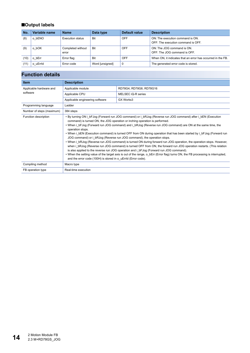#### ■**Output labels**

| No.  | Variable name | <b>Name</b>                | Data type       | Default value | <b>Description</b>                                                     |
|------|---------------|----------------------------|-----------------|---------------|------------------------------------------------------------------------|
| (8)  | o bENO        | Execution status           | <b>Bit</b>      | <b>OFF</b>    | ON: The execution command is ON.<br>OFF: The execution command is OFF. |
| (9)  | o bOK         | Completed without<br>error | Bit             | OFF           | ON: The JOG command is ON.<br>OFF: The JOG command is OFF.             |
| (10) | o bErr        | Error flag                 | Bit             | OFF           | When ON, it indicates that an error has occurred in the FB.            |
| (11) | o uErrid      | Error code                 | Word [unsigned] | 0             | The generated error code is stored.                                    |

| <b>Item</b>               | <b>Description</b>                                                                                                                                                                                                                                                                                                                                                                                                                                                                                                                                                                                                                                                                                                                                                                                                                                                                                                                                                                                                                                                                   |                         |  |
|---------------------------|--------------------------------------------------------------------------------------------------------------------------------------------------------------------------------------------------------------------------------------------------------------------------------------------------------------------------------------------------------------------------------------------------------------------------------------------------------------------------------------------------------------------------------------------------------------------------------------------------------------------------------------------------------------------------------------------------------------------------------------------------------------------------------------------------------------------------------------------------------------------------------------------------------------------------------------------------------------------------------------------------------------------------------------------------------------------------------------|-------------------------|--|
| Applicable hardware and   | Applicable module                                                                                                                                                                                                                                                                                                                                                                                                                                                                                                                                                                                                                                                                                                                                                                                                                                                                                                                                                                                                                                                                    | RD78G4, RD78G8, RD78G16 |  |
| software                  | Applicable CPU<br>MELSEC iQ-R series                                                                                                                                                                                                                                                                                                                                                                                                                                                                                                                                                                                                                                                                                                                                                                                                                                                                                                                                                                                                                                                 |                         |  |
|                           | Applicable engineering software                                                                                                                                                                                                                                                                                                                                                                                                                                                                                                                                                                                                                                                                                                                                                                                                                                                                                                                                                                                                                                                      | GX Works3               |  |
| Programming language      | Ladder                                                                                                                                                                                                                                                                                                                                                                                                                                                                                                                                                                                                                                                                                                                                                                                                                                                                                                                                                                                                                                                                               |                         |  |
| Number of steps (maximum) | 384 steps                                                                                                                                                                                                                                                                                                                                                                                                                                                                                                                                                                                                                                                                                                                                                                                                                                                                                                                                                                                                                                                                            |                         |  |
| Function description      | • By turning ON i bFJog (Forward run JOG command) or i bRJog (Reverse run JOG command) after i bEN (Execution<br>command) is turned ON, the JOG operation or inching operation is performed.<br>• When i bFJog (Forward run JOG command) and i bRJog (Reverse run JOG command) are ON at the same time, the<br>operation stops.<br>. When i bEN (Execution command) is turned OFF from ON during operation that has been started by i bFJog (Forward run<br>JOG command) or i bRJog (Reverse run JOG command), the operation stops.<br>. When i bRJog (Reverse run JOG command) is turned ON during forward run JOG operation, the operation stops. However,<br>when i bRJog (Reverse run JOG command) is turned OFF from ON, the forward run JOG operation restarts. (This relation<br>is also applied to the reverse run JOG operation and i bFJog (Forward run JOG command).<br>• When the setting value of the target axis is out of the range, o_bErr (Error flag) turns ON, the FB processing is interrupted,<br>and the error code (100H) is stored in o uErrld (Error code). |                         |  |
| Compiling method          | Macro type                                                                                                                                                                                                                                                                                                                                                                                                                                                                                                                                                                                                                                                                                                                                                                                                                                                                                                                                                                                                                                                                           |                         |  |
| FB operation type         | Real-time execution                                                                                                                                                                                                                                                                                                                                                                                                                                                                                                                                                                                                                                                                                                                                                                                                                                                                                                                                                                                                                                                                  |                         |  |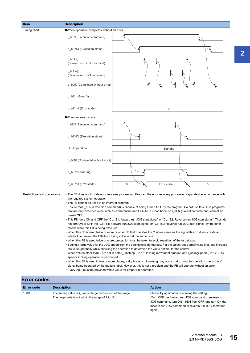| <b>Item</b>                  | <b>Description</b>                                                                                                                                                                                                                                                                                                                                                                                                                                                                                                                                                                                                                                                                                                                                                                                                                                                                                                                                                                                                                                                                                                                                                                                                                                                                                                                                                                                                                                                                                                                                                                                                                                                                                                                                                                                                     |  |
|------------------------------|------------------------------------------------------------------------------------------------------------------------------------------------------------------------------------------------------------------------------------------------------------------------------------------------------------------------------------------------------------------------------------------------------------------------------------------------------------------------------------------------------------------------------------------------------------------------------------------------------------------------------------------------------------------------------------------------------------------------------------------------------------------------------------------------------------------------------------------------------------------------------------------------------------------------------------------------------------------------------------------------------------------------------------------------------------------------------------------------------------------------------------------------------------------------------------------------------------------------------------------------------------------------------------------------------------------------------------------------------------------------------------------------------------------------------------------------------------------------------------------------------------------------------------------------------------------------------------------------------------------------------------------------------------------------------------------------------------------------------------------------------------------------------------------------------------------------|--|
| Timing chart                 | When operation completes without an error                                                                                                                                                                                                                                                                                                                                                                                                                                                                                                                                                                                                                                                                                                                                                                                                                                                                                                                                                                                                                                                                                                                                                                                                                                                                                                                                                                                                                                                                                                                                                                                                                                                                                                                                                                              |  |
|                              | i_bEN (Execution command)                                                                                                                                                                                                                                                                                                                                                                                                                                                                                                                                                                                                                                                                                                                                                                                                                                                                                                                                                                                                                                                                                                                                                                                                                                                                                                                                                                                                                                                                                                                                                                                                                                                                                                                                                                                              |  |
|                              | o bENO (Execution status)                                                                                                                                                                                                                                                                                                                                                                                                                                                                                                                                                                                                                                                                                                                                                                                                                                                                                                                                                                                                                                                                                                                                                                                                                                                                                                                                                                                                                                                                                                                                                                                                                                                                                                                                                                                              |  |
|                              | i_bFJog<br>(Forward run JOG command)                                                                                                                                                                                                                                                                                                                                                                                                                                                                                                                                                                                                                                                                                                                                                                                                                                                                                                                                                                                                                                                                                                                                                                                                                                                                                                                                                                                                                                                                                                                                                                                                                                                                                                                                                                                   |  |
|                              | i bRJog<br>(Reverse run JOG command)                                                                                                                                                                                                                                                                                                                                                                                                                                                                                                                                                                                                                                                                                                                                                                                                                                                                                                                                                                                                                                                                                                                                                                                                                                                                                                                                                                                                                                                                                                                                                                                                                                                                                                                                                                                   |  |
|                              | o_bOK (Completed without error)                                                                                                                                                                                                                                                                                                                                                                                                                                                                                                                                                                                                                                                                                                                                                                                                                                                                                                                                                                                                                                                                                                                                                                                                                                                                                                                                                                                                                                                                                                                                                                                                                                                                                                                                                                                        |  |
|                              | o_bErr (Error flag)                                                                                                                                                                                                                                                                                                                                                                                                                                                                                                                                                                                                                                                                                                                                                                                                                                                                                                                                                                                                                                                                                                                                                                                                                                                                                                                                                                                                                                                                                                                                                                                                                                                                                                                                                                                                    |  |
|                              | o_uErrId (Error code)<br>$\mathbf 0$                                                                                                                                                                                                                                                                                                                                                                                                                                                                                                                                                                                                                                                                                                                                                                                                                                                                                                                                                                                                                                                                                                                                                                                                                                                                                                                                                                                                                                                                                                                                                                                                                                                                                                                                                                                   |  |
|                              | When an error occurs                                                                                                                                                                                                                                                                                                                                                                                                                                                                                                                                                                                                                                                                                                                                                                                                                                                                                                                                                                                                                                                                                                                                                                                                                                                                                                                                                                                                                                                                                                                                                                                                                                                                                                                                                                                                   |  |
|                              | i_bEN (Execution command)                                                                                                                                                                                                                                                                                                                                                                                                                                                                                                                                                                                                                                                                                                                                                                                                                                                                                                                                                                                                                                                                                                                                                                                                                                                                                                                                                                                                                                                                                                                                                                                                                                                                                                                                                                                              |  |
|                              | o_bENO (Execution status)                                                                                                                                                                                                                                                                                                                                                                                                                                                                                                                                                                                                                                                                                                                                                                                                                                                                                                                                                                                                                                                                                                                                                                                                                                                                                                                                                                                                                                                                                                                                                                                                                                                                                                                                                                                              |  |
|                              | JOG operation<br>Standby                                                                                                                                                                                                                                                                                                                                                                                                                                                                                                                                                                                                                                                                                                                                                                                                                                                                                                                                                                                                                                                                                                                                                                                                                                                                                                                                                                                                                                                                                                                                                                                                                                                                                                                                                                                               |  |
|                              | o_bOK (Completed without error)                                                                                                                                                                                                                                                                                                                                                                                                                                                                                                                                                                                                                                                                                                                                                                                                                                                                                                                                                                                                                                                                                                                                                                                                                                                                                                                                                                                                                                                                                                                                                                                                                                                                                                                                                                                        |  |
|                              | o_bErr (Error flag)                                                                                                                                                                                                                                                                                                                                                                                                                                                                                                                                                                                                                                                                                                                                                                                                                                                                                                                                                                                                                                                                                                                                                                                                                                                                                                                                                                                                                                                                                                                                                                                                                                                                                                                                                                                                    |  |
|                              | o_uErrId (Error code)<br>0<br>0<br>Error code                                                                                                                                                                                                                                                                                                                                                                                                                                                                                                                                                                                                                                                                                                                                                                                                                                                                                                                                                                                                                                                                                                                                                                                                                                                                                                                                                                                                                                                                                                                                                                                                                                                                                                                                                                          |  |
| Restrictions and precautions | • The FB does not include error recovery processing. Program the error recovery processing separately in accordance with<br>the required system operation.<br>• The FB cannot be used in an interrupt program.<br>• Ensure that i_bEN (Execution command) is capable of being turned OFF by the program. Do not use this FB in programs<br>that are only executed once such as a subroutine and FOR-NEXT loop because i bEN (Execution command) cannot be<br>turned OFF.<br>• This FB turns ON and OFF the "Cd.181: forward run JOG start signal" or "Cd.182: Reverse run JOG start signal". Thus, do<br>not turn ON or OFF the "Cd.181: Forward run JOG start signal" or "Cd.182: Reverse run JOG start signal" by the other<br>means while this FB is being executed.<br>• When this FB is used twice or more or other FB that operates the Y signal same as the signal this FB does, create an<br>interlock to prevent the FBs from being activated at the same time.<br>• When this FB is used twice or more, precaution must be taken to avoid repetition of the target axis.<br>• Setting a large value for the JOG speed from the beginning is dangerous. For the safety, set a small value first, and increase<br>the value gradually while checking the operation to determine the value optimal for the control.<br>• When values other than 0 are set in both i ulnching (Cd.16: Inching movement amount) and i udJogSpeed (Cd.17: JOG<br>speed), inching operation is performed.<br>. When this FB is used in two or more places, a duplicated coil warning may occur during compile operation due to the Y<br>signal being operated by the module label. However, this is not a problem and the FB will operate without an error.<br>• Every input must be provided with a value for proper FB operation. |  |

| <b>Error codes</b> |                                                                                                                        |                                                                                                                                                                                                                                 |  |  |  |
|--------------------|------------------------------------------------------------------------------------------------------------------------|---------------------------------------------------------------------------------------------------------------------------------------------------------------------------------------------------------------------------------|--|--|--|
| Error code         | <b>Description</b>                                                                                                     | <b>Action</b>                                                                                                                                                                                                                   |  |  |  |
| 100H               | The setting value of i uAxis (Target axis) is out of the range.<br>The target axis is not within the range of 1 to 16. | Please try again after confirming the setting.<br>(Turn OFF the forward run JOG command or reverse run<br>JOG command, turn ON i bEN from OFF, and turn ON the<br>forward run JOG command or reverse run JOG command<br>again.) |  |  |  |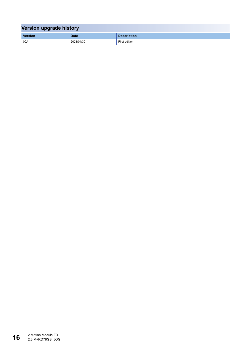| Version upgrade history |             |                    |  |  |
|-------------------------|-------------|--------------------|--|--|
| <b>Version</b>          | <b>Date</b> | <b>Description</b> |  |  |
| 00A                     | 2021/04/30  | First edition      |  |  |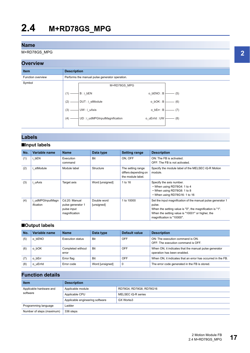<span id="page-18-0"></span>M+RD78GS\_MPG

#### **Overview**



#### **Labels**

#### ■**Input labels**

| No. | Variable name               | <b>Name</b>                                                        | Data type                 | <b>Setting range</b>                                           | <b>Description</b>                                                                                                                                                                                                 |
|-----|-----------------------------|--------------------------------------------------------------------|---------------------------|----------------------------------------------------------------|--------------------------------------------------------------------------------------------------------------------------------------------------------------------------------------------------------------------|
| (1) | bEN                         | Execution<br>command                                               | Bit                       | ON. OFF                                                        | ON: The FB is activated.<br>OFF: The FB is not activated.                                                                                                                                                          |
| (2) | stModule                    | Module label                                                       | Structure                 | The setting range<br>differs depending on<br>the module label. | Specify the module label of the MELSEC iQ-R Motion<br>module.                                                                                                                                                      |
| (3) | uAxis                       | Target axis                                                        | Word [unsigned]           | 1 to 16                                                        | Specify the axis number.<br>• When using RD78G4: 1 to 4<br>• When using RD78G8: 1 to 8<br>• When using RD78G16: 1 to 16                                                                                            |
| (4) | udMPGInputMagn<br>ification | Cd.20: Manual<br>pulse generator 1<br>pulse input<br>magnification | Double word<br>[unsigned] | 1 to 10000                                                     | Set the input magnification of the manual pulse generator 1<br>pulse.<br>When the setting value is "0", the magnification is "1".<br>When the setting value is "10001" or higher, the<br>magnification is "10000". |

#### ■**Output labels**

| No. | Variable name | <b>Name</b>                | Data type       | Default value | <b>Description</b>                                                                   |
|-----|---------------|----------------------------|-----------------|---------------|--------------------------------------------------------------------------------------|
| (5) | bENO<br>o     | Execution status           | <b>Bit</b>      | OFF           | ON: The execution command is ON.<br>OFF: The execution command is OFF.               |
| (6) | bOK<br>o      | Completed without<br>error | <b>Bit</b>      | OFF           | When ON, it indicates that the manual pulse generator<br>operation has been enabled. |
|     | bErr<br>O     | Error flag                 | Bit             | OFF           | When ON, it indicates that an error has occurred in the FB.                          |
| (8) | o uErrid      | Error code                 | Word [unsigned] | 0             | The error code generated in the FB is stored.                                        |

| <b>Item</b>                         | <b>Description</b>                                  |                         |  |
|-------------------------------------|-----------------------------------------------------|-------------------------|--|
| Applicable hardware and<br>software | Applicable module                                   | RD78G4, RD78G8, RD78G16 |  |
|                                     | Applicable CPU                                      | MELSEC iQ-R series      |  |
|                                     | Applicable engineering software<br><b>GX Works3</b> |                         |  |
| Programming language                | Ladder                                              |                         |  |
| Number of steps (maximum)           | 336 steps                                           |                         |  |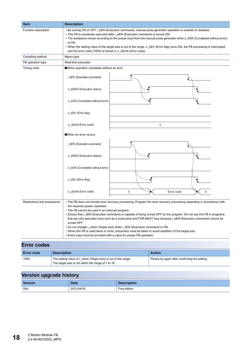| <b>Item</b>                  | <b>Description</b>                                                                                                                                                                                                                                                                                                                                                                                                                                                                                                                                                                                                                                                                                                                         |  |  |
|------------------------------|--------------------------------------------------------------------------------------------------------------------------------------------------------------------------------------------------------------------------------------------------------------------------------------------------------------------------------------------------------------------------------------------------------------------------------------------------------------------------------------------------------------------------------------------------------------------------------------------------------------------------------------------------------------------------------------------------------------------------------------------|--|--|
| Function description         | • By turning ON or OFF i_bEN (Execution command), manual pulse generator operation is enabled or disabled.<br>. This FB is constantly executed after i bEN (Execution command) is turned ON.<br>• The workpiece moves according to the pulses input from the manual pulse generator while o_bOK (Completed without error)<br>is ON.<br>• When the setting value of the target axis is out of the range, o_bErr (Error flag) turns ON, the FB processing is interrupted,<br>and the error code (100H) is stored in o uErrld (Error code).                                                                                                                                                                                                   |  |  |
| Compiling method             | Macro type                                                                                                                                                                                                                                                                                                                                                                                                                                                                                                                                                                                                                                                                                                                                 |  |  |
| FB operation type            | Real-time execution                                                                                                                                                                                                                                                                                                                                                                                                                                                                                                                                                                                                                                                                                                                        |  |  |
| Timing chart                 | When operation completes without an error                                                                                                                                                                                                                                                                                                                                                                                                                                                                                                                                                                                                                                                                                                  |  |  |
|                              | i_bEN (Execution command)                                                                                                                                                                                                                                                                                                                                                                                                                                                                                                                                                                                                                                                                                                                  |  |  |
|                              | o_bENO (Execution status)                                                                                                                                                                                                                                                                                                                                                                                                                                                                                                                                                                                                                                                                                                                  |  |  |
|                              | o_bOK (Completed without error)                                                                                                                                                                                                                                                                                                                                                                                                                                                                                                                                                                                                                                                                                                            |  |  |
|                              | o_bErr (Error flag)                                                                                                                                                                                                                                                                                                                                                                                                                                                                                                                                                                                                                                                                                                                        |  |  |
|                              | o_uErrld (Error code)<br>0                                                                                                                                                                                                                                                                                                                                                                                                                                                                                                                                                                                                                                                                                                                 |  |  |
|                              | When an error occurs                                                                                                                                                                                                                                                                                                                                                                                                                                                                                                                                                                                                                                                                                                                       |  |  |
|                              | i_bEN (Execution command)                                                                                                                                                                                                                                                                                                                                                                                                                                                                                                                                                                                                                                                                                                                  |  |  |
|                              | o_bENO (Execution status)                                                                                                                                                                                                                                                                                                                                                                                                                                                                                                                                                                                                                                                                                                                  |  |  |
|                              | o_bOK (Completed without error)                                                                                                                                                                                                                                                                                                                                                                                                                                                                                                                                                                                                                                                                                                            |  |  |
|                              | o_bErr (Error flag)                                                                                                                                                                                                                                                                                                                                                                                                                                                                                                                                                                                                                                                                                                                        |  |  |
|                              | o_uErrld (Error code)<br>$\mathbf 0$<br>0<br>Error code                                                                                                                                                                                                                                                                                                                                                                                                                                                                                                                                                                                                                                                                                    |  |  |
| Restrictions and precautions | • The FB does not include error recovery processing. Program the error recovery processing separately in accordance with<br>the required system operation.<br>• The FB cannot be used in an interrupt program.<br>• Ensure that i_bEN (Execution command) is capable of being turned OFF by the program. Do not use this FB in programs<br>that are only executed once such as a subroutine and FOR-NEXT loop because i_bEN (Execution command) cannot be<br>turned OFF.<br>. Do not change i_uAxis (Target axis) while i_bEN (Execution command) is ON.<br>. When this FB is used twice or more, precaution must be taken to avoid repetition of the target axis.<br>• Every input must be provided with a value for proper FB operation. |  |  |

| $-11919990$       |                                                                                                                        |                                                |  |  |  |
|-------------------|------------------------------------------------------------------------------------------------------------------------|------------------------------------------------|--|--|--|
| <b>Error code</b> | <b>Description</b>                                                                                                     | <b>Action</b>                                  |  |  |  |
| 100H              | The setting value of i_uAxis (Target axis) is out of the range.<br>The target axis is not within the range of 1 to 16. | Please try again after confirming the setting. |  |  |  |

| <b>Version</b> | <b>Date</b> | <b>Description</b> |
|----------------|-------------|--------------------|
| 00A            | 2021/04/30  | First edition      |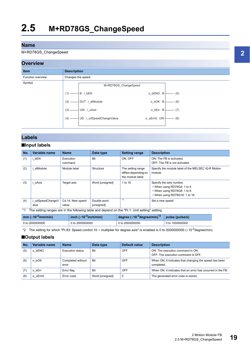#### <span id="page-20-0"></span>M+RD78GS\_ChangeSpeed

#### **Overview**



#### **Labels**

#### ■**Input labels**

| No. | Variable name          | <b>Name</b>               | Data type                 | <b>Setting range</b>                                           | <b>Description</b>                                                                                                      |
|-----|------------------------|---------------------------|---------------------------|----------------------------------------------------------------|-------------------------------------------------------------------------------------------------------------------------|
| (1) | bEN                    | Execution<br>command      | <b>Bit</b>                | ON. OFF                                                        | ON: The FB is activated.<br>OFF: The FB is not activated.                                                               |
| (2) | stModule               | Module label              | Structure                 | The setting range<br>differs depending on<br>the module label. | Specify the module label of the MELSEC iQ-R Motion<br>module.                                                           |
| (3) | uAxis                  | Target axis               | Word [unsigned]           | 1 to 16                                                        | Specify the axis number.<br>• When using RD78G4: 1 to 4<br>• When using RD78G8: 1 to 8<br>• When using RD78G16: 1 to 16 |
| (4) | udSpeedChangeV<br>alue | Cd.14: New speed<br>value | Double word<br>[unsigned] | $*_{1}$                                                        | Set a new speed.                                                                                                        |

<span id="page-20-2"></span>\*1 The setting ranges are in the following table and depend on the "Pr.1: Unit setting" setting.

| mm ( $\times$ 10 <sup>-2</sup> mm/min) | inch ( $\times$ 10 <sup>-3</sup> inch/min) | degree ( $\times$ 10 <sup>-3</sup> degree/min) $^2$ pulse (pulse/s) |                 |
|----------------------------------------|--------------------------------------------|---------------------------------------------------------------------|-----------------|
| 0 to 2000000000                        | 0 to 2000000000                            | 0 to 2000000000                                                     | 0 to 1000000000 |

<span id="page-20-1"></span>\*2 The setting for which "Pr.83: Speed control 10 x multiplier for degree axis" is enabled is 0 to 2000000000 ( $\times$ 10<sup>-2</sup>degree/min).

#### ■**Output labels**

| No. | Variable name   | <b>Name</b>                | Data type       | Default value | <b>Description</b>                                                     |
|-----|-----------------|----------------------------|-----------------|---------------|------------------------------------------------------------------------|
| (5) | o bENO          | Execution status           | <b>Bit</b>      | <b>OFF</b>    | ON: The execution command is ON.<br>OFF: The execution command is OFF. |
| (6) | bOK<br>$\circ$  | Completed without<br>error | Bit             | OFF           | When ON, it indicates that changing the speed has been<br>completed.   |
|     | bErr<br>$\circ$ | Error flag                 | Bit             | OFF           | When ON, it indicates that an error has occurred in the FB.            |
| (8) | o uErrid        | Error code                 | Word [unsigned] | 0             | The generated error code is stored.                                    |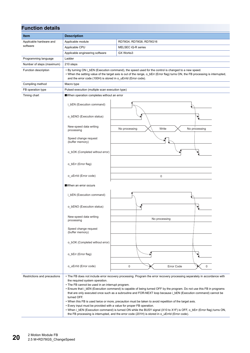| <b>Function details</b>      |                                                                                                                                                                                                                                                                                                           |                                                                                                                                                                                                                                                                                                                                                                                                                                                                                                                                                                                                                                                                                                            |  |  |  |  |
|------------------------------|-----------------------------------------------------------------------------------------------------------------------------------------------------------------------------------------------------------------------------------------------------------------------------------------------------------|------------------------------------------------------------------------------------------------------------------------------------------------------------------------------------------------------------------------------------------------------------------------------------------------------------------------------------------------------------------------------------------------------------------------------------------------------------------------------------------------------------------------------------------------------------------------------------------------------------------------------------------------------------------------------------------------------------|--|--|--|--|
| <b>Item</b>                  | <b>Description</b>                                                                                                                                                                                                                                                                                        |                                                                                                                                                                                                                                                                                                                                                                                                                                                                                                                                                                                                                                                                                                            |  |  |  |  |
| Applicable hardware and      | Applicable module                                                                                                                                                                                                                                                                                         | RD78G4, RD78G8, RD78G16                                                                                                                                                                                                                                                                                                                                                                                                                                                                                                                                                                                                                                                                                    |  |  |  |  |
| software                     | Applicable CPU                                                                                                                                                                                                                                                                                            | MELSEC iQ-R series                                                                                                                                                                                                                                                                                                                                                                                                                                                                                                                                                                                                                                                                                         |  |  |  |  |
|                              | Applicable engineering software                                                                                                                                                                                                                                                                           | GX Works3                                                                                                                                                                                                                                                                                                                                                                                                                                                                                                                                                                                                                                                                                                  |  |  |  |  |
| Programming language         | Ladder                                                                                                                                                                                                                                                                                                    |                                                                                                                                                                                                                                                                                                                                                                                                                                                                                                                                                                                                                                                                                                            |  |  |  |  |
| Number of steps (maximum)    | 210 steps                                                                                                                                                                                                                                                                                                 |                                                                                                                                                                                                                                                                                                                                                                                                                                                                                                                                                                                                                                                                                                            |  |  |  |  |
| Function description         | • By turning ON i_bEN (Execution command), the speed used for the control is changed to a new speed.<br>• When the setting value of the target axis is out of the range, o_bErr (Error flag) turns ON, the FB processing is interrupted,<br>and the error code (100H) is stored in o_uErrId (Error code). |                                                                                                                                                                                                                                                                                                                                                                                                                                                                                                                                                                                                                                                                                                            |  |  |  |  |
| Compiling method             | Macro type                                                                                                                                                                                                                                                                                                |                                                                                                                                                                                                                                                                                                                                                                                                                                                                                                                                                                                                                                                                                                            |  |  |  |  |
| FB operation type            | Pulsed execution (multiple scan execution type)                                                                                                                                                                                                                                                           |                                                                                                                                                                                                                                                                                                                                                                                                                                                                                                                                                                                                                                                                                                            |  |  |  |  |
| Timing chart                 | When operation completes without an error                                                                                                                                                                                                                                                                 |                                                                                                                                                                                                                                                                                                                                                                                                                                                                                                                                                                                                                                                                                                            |  |  |  |  |
|                              | i_bEN (Execution command)                                                                                                                                                                                                                                                                                 |                                                                                                                                                                                                                                                                                                                                                                                                                                                                                                                                                                                                                                                                                                            |  |  |  |  |
|                              | o_bENO (Execution status)                                                                                                                                                                                                                                                                                 |                                                                                                                                                                                                                                                                                                                                                                                                                                                                                                                                                                                                                                                                                                            |  |  |  |  |
|                              | New-speed data writing<br>processing                                                                                                                                                                                                                                                                      | No processing<br>Write<br>No processing                                                                                                                                                                                                                                                                                                                                                                                                                                                                                                                                                                                                                                                                    |  |  |  |  |
|                              | Speed change request<br>(buffer memory)                                                                                                                                                                                                                                                                   |                                                                                                                                                                                                                                                                                                                                                                                                                                                                                                                                                                                                                                                                                                            |  |  |  |  |
|                              | o_bOK (Completed without error)                                                                                                                                                                                                                                                                           |                                                                                                                                                                                                                                                                                                                                                                                                                                                                                                                                                                                                                                                                                                            |  |  |  |  |
|                              | o_bErr (Error flag)                                                                                                                                                                                                                                                                                       |                                                                                                                                                                                                                                                                                                                                                                                                                                                                                                                                                                                                                                                                                                            |  |  |  |  |
|                              | o_uErrId (Error code)                                                                                                                                                                                                                                                                                     | $\mathbf 0$                                                                                                                                                                                                                                                                                                                                                                                                                                                                                                                                                                                                                                                                                                |  |  |  |  |
|                              | When an error occurs                                                                                                                                                                                                                                                                                      |                                                                                                                                                                                                                                                                                                                                                                                                                                                                                                                                                                                                                                                                                                            |  |  |  |  |
|                              | i bEN (Execution command)                                                                                                                                                                                                                                                                                 |                                                                                                                                                                                                                                                                                                                                                                                                                                                                                                                                                                                                                                                                                                            |  |  |  |  |
|                              | o bENO (Execution status)                                                                                                                                                                                                                                                                                 |                                                                                                                                                                                                                                                                                                                                                                                                                                                                                                                                                                                                                                                                                                            |  |  |  |  |
|                              | New-speed data writing<br>processing                                                                                                                                                                                                                                                                      | No processing                                                                                                                                                                                                                                                                                                                                                                                                                                                                                                                                                                                                                                                                                              |  |  |  |  |
|                              | Speed change request<br>(buffer memory)                                                                                                                                                                                                                                                                   |                                                                                                                                                                                                                                                                                                                                                                                                                                                                                                                                                                                                                                                                                                            |  |  |  |  |
|                              | o_bOK (Completed without error)                                                                                                                                                                                                                                                                           |                                                                                                                                                                                                                                                                                                                                                                                                                                                                                                                                                                                                                                                                                                            |  |  |  |  |
|                              | o_bErr (Error flag)                                                                                                                                                                                                                                                                                       |                                                                                                                                                                                                                                                                                                                                                                                                                                                                                                                                                                                                                                                                                                            |  |  |  |  |
|                              | o_uErrId (Error code)                                                                                                                                                                                                                                                                                     | 0<br>Error Code<br>0                                                                                                                                                                                                                                                                                                                                                                                                                                                                                                                                                                                                                                                                                       |  |  |  |  |
| Restrictions and precautions | the required system operation.<br>• The FB cannot be used in an interrupt program.<br>turned OFF.<br>• Every input must be provided with a value for proper FB operation.                                                                                                                                 | • The FB does not include error recovery processing. Program the error recovery processing separately in accordance with<br>• Ensure that i_bEN (Execution command) is capable of being turned OFF by the program. Do not use this FB in programs<br>that are only executed once such as a subroutine and FOR-NEXT loop because i_bEN (Execution command) cannot be<br>. When this FB is used twice or more, precaution must be taken to avoid repetition of the target axis.<br>. When i_bEN (Execution command) is turned ON while the BUSY signal (X10 to X1F) is OFF, o_bErr (Error flag) turns ON,<br>the FB processing is interrupted, and the error code (201H) is stored in o_uErrld (Error code). |  |  |  |  |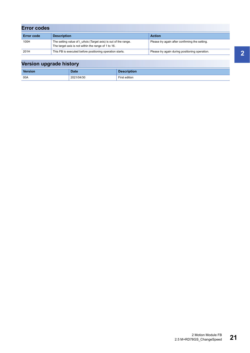| <b>Error codes</b> |                                                                                                                        |                                                |  |  |  |
|--------------------|------------------------------------------------------------------------------------------------------------------------|------------------------------------------------|--|--|--|
| <b>Error code</b>  | <b>Description</b>                                                                                                     | <b>Action</b>                                  |  |  |  |
| 100H               | The setting value of i uAxis (Target axis) is out of the range.<br>The target axis is not within the range of 1 to 16. | Please try again after confirming the setting. |  |  |  |
| 201H               | This FB is executed before positioning operation starts.                                                               | Please try again during positioning operation. |  |  |  |

| Version upgrade history |             |                    |  |  |
|-------------------------|-------------|--------------------|--|--|
| <b>Version</b>          | <b>Date</b> | <b>Description</b> |  |  |
| 00A                     | 2021/04/30  | First edition      |  |  |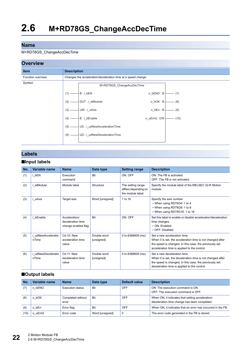#### <span id="page-23-0"></span>M+RD78GS\_ChangeAccDecTime

#### **Overview**



#### **Labels**

#### ■**Input labels**

| No. | Variable name                      | <b>Name</b>                                               | Data type                 | <b>Setting range</b>                                           | <b>Description</b>                                                                                                                                                                                  |
|-----|------------------------------------|-----------------------------------------------------------|---------------------------|----------------------------------------------------------------|-----------------------------------------------------------------------------------------------------------------------------------------------------------------------------------------------------|
| (1) | i bEN                              | Execution<br>command                                      | <b>Bit</b>                | ON, OFF                                                        | ON: The FB is activated.<br>OFF: The FB is not activated.                                                                                                                                           |
| (2) | i stModule                         | Module label                                              | Structure                 | The setting range<br>differs depending on<br>the module label. | Specify the module label of the MELSEC iQ-R Motion<br>module.                                                                                                                                       |
| (3) | i uAxis                            | Target axis                                               | Word [unsigned]           | 1 to 16                                                        | Specify the axis number.<br>• When using RD78G4: 1 to 4<br>• When using RD78G8: 1 to 8<br>• When using RD78G16: 1 to 16                                                                             |
| (4) | i bEnable                          | Acceleration/<br>deceleration time<br>change enabled flag | Bit                       | ON, OFF                                                        | Set this label to enable or disable acceleration/deceleration<br>time changes.<br>• ON: Enabled<br>$\cdot$ OFF: Disabled                                                                            |
| (5) | <i>i</i> udNewAcceleratio<br>nTime | Cd.10: New<br>acceleration time<br>value                  | Double word<br>[unsigned] | 0 to 8388608 (ms)                                              | Set a new acceleration time.<br>When 0 is set, the acceleration time is not changed after<br>the speed is changed. In this case, the previously set<br>acceleration time is applied to the control. |
| (6) | i udNewDeceleratio<br>nTime        | Cd.11: New<br>deceleration time<br>value                  | Double word<br>[unsigned] | 0 to 8388608 (ms)                                              | Set a new deceleration time.<br>When 0 is set, the deceleration time is not changed after<br>the speed is changed. In this case, the previously set<br>deceleration time is applied to the control. |

#### ■**Output labels**

| No.  | Variable name | <b>Name</b>                | Data type       | Default value | <b>Description</b>                                                                               |
|------|---------------|----------------------------|-----------------|---------------|--------------------------------------------------------------------------------------------------|
| (7)  | o bENO        | Execution status           | Bit             | OFF           | ON: The execution command is ON.<br>OFF: The execution command is OFF.                           |
| (8)  | o bOK         | Completed without<br>error | <b>Bit</b>      | <b>OFF</b>    | When ON, it indicates that setting acceleration/<br>deceleration time change has been completed. |
| (9)  | o bErr        | Error flag                 | <b>Bit</b>      | OFF           | When ON, it indicates that an error has occurred in the FB.                                      |
| (10) | o uErrid      | Error code                 | Word [unsigned] | 0             | The error code generated in the FB is stored.                                                    |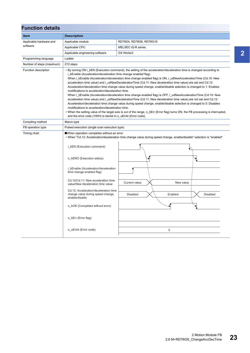| <b>Function details</b>   |                                                                                                                                                                                                                                          |                                                                                                                                                                                                                                                                                                                                                                                                                                                                                                                                                                                                                                                                                                                                                                                                                                                                                                                                                                                |                 |  |  |
|---------------------------|------------------------------------------------------------------------------------------------------------------------------------------------------------------------------------------------------------------------------------------|--------------------------------------------------------------------------------------------------------------------------------------------------------------------------------------------------------------------------------------------------------------------------------------------------------------------------------------------------------------------------------------------------------------------------------------------------------------------------------------------------------------------------------------------------------------------------------------------------------------------------------------------------------------------------------------------------------------------------------------------------------------------------------------------------------------------------------------------------------------------------------------------------------------------------------------------------------------------------------|-----------------|--|--|
| <b>Item</b>               | <b>Description</b>                                                                                                                                                                                                                       |                                                                                                                                                                                                                                                                                                                                                                                                                                                                                                                                                                                                                                                                                                                                                                                                                                                                                                                                                                                |                 |  |  |
| Applicable hardware and   | Applicable module                                                                                                                                                                                                                        | RD78G4, RD78G8, RD78G16                                                                                                                                                                                                                                                                                                                                                                                                                                                                                                                                                                                                                                                                                                                                                                                                                                                                                                                                                        |                 |  |  |
| software                  | Applicable CPU                                                                                                                                                                                                                           | MELSEC iQ-R series                                                                                                                                                                                                                                                                                                                                                                                                                                                                                                                                                                                                                                                                                                                                                                                                                                                                                                                                                             |                 |  |  |
|                           | Applicable engineering software                                                                                                                                                                                                          | GX Works3                                                                                                                                                                                                                                                                                                                                                                                                                                                                                                                                                                                                                                                                                                                                                                                                                                                                                                                                                                      |                 |  |  |
| Programming language      | Ladder                                                                                                                                                                                                                                   |                                                                                                                                                                                                                                                                                                                                                                                                                                                                                                                                                                                                                                                                                                                                                                                                                                                                                                                                                                                |                 |  |  |
| Number of steps (maximum) | 212 steps                                                                                                                                                                                                                                |                                                                                                                                                                                                                                                                                                                                                                                                                                                                                                                                                                                                                                                                                                                                                                                                                                                                                                                                                                                |                 |  |  |
| Function description      | i bEnable (Acceleration/deceleration time change enabled flag).<br>modifications to acceleration/deceleration time.<br>modifications to acceleration/deceleration time.<br>and the error code (100H) is stored in o uErrld (Error code). | • By turning ON i bEN (Execution command), the setting of the acceleration/deceleration time is changed according to<br>When i bEnable (Acceleration/deceleration time change enabled flag) is ON, i udNewAccelerationTime (Cd.10: New<br>acceleration time value) and i_udNewDecelerationTime (Cd.11: New deceleration time value) are set and Cd.12:<br>Acceleration/deceleration time change value during speed change, enable/disable selection is changed to 1: Enables<br>When i_bEnable (Acceleration/deceleration time change enabled flag) is OFF, i_udNewAccelerationTime (Cd.10: New<br>acceleration time value) and i udNewDecelerationTime (Cd.11: New deceleration time value) are not set and Cd.12:<br>Acceleration/deceleration time change value during speed change, enable/disable selection is changed to 0: Disables<br>• When the setting value of the target axis is out of the range, o bErr (Error flag) turns ON, the FB processing is interrupted, |                 |  |  |
| Compiling method          | Macro type                                                                                                                                                                                                                               |                                                                                                                                                                                                                                                                                                                                                                                                                                                                                                                                                                                                                                                                                                                                                                                                                                                                                                                                                                                |                 |  |  |
| FB operation type         | Pulsed execution (single scan execution type)                                                                                                                                                                                            |                                                                                                                                                                                                                                                                                                                                                                                                                                                                                                                                                                                                                                                                                                                                                                                                                                                                                                                                                                                |                 |  |  |
| Timing chart              | When operation completes without an error<br>i_bEN (Execution command)                                                                                                                                                                   | • When "Cd.12: Acceleration/deceleration time change value during speed change, enable/disable" selection is "enabled"                                                                                                                                                                                                                                                                                                                                                                                                                                                                                                                                                                                                                                                                                                                                                                                                                                                         |                 |  |  |
|                           | o bENO (Execution status)<br>i_bEnable (Acceleration/deceleration<br>time change enabled flag)<br>Cd.10/Cd.11: New acceleration time                                                                                                     |                                                                                                                                                                                                                                                                                                                                                                                                                                                                                                                                                                                                                                                                                                                                                                                                                                                                                                                                                                                | ∗               |  |  |
|                           | value/New deceleration time value<br>Cd.12: Acceleration/deceleration time<br>change value during speed change,                                                                                                                          | Current value<br>New value<br><b>Disabled</b><br>Enabled                                                                                                                                                                                                                                                                                                                                                                                                                                                                                                                                                                                                                                                                                                                                                                                                                                                                                                                       | <b>Disabled</b> |  |  |
|                           | enable/disable<br>o bOK (Completed without error)                                                                                                                                                                                        |                                                                                                                                                                                                                                                                                                                                                                                                                                                                                                                                                                                                                                                                                                                                                                                                                                                                                                                                                                                |                 |  |  |
|                           | o bErr (Error flag)                                                                                                                                                                                                                      |                                                                                                                                                                                                                                                                                                                                                                                                                                                                                                                                                                                                                                                                                                                                                                                                                                                                                                                                                                                |                 |  |  |
|                           | o_uErrId (Error code)                                                                                                                                                                                                                    | 0                                                                                                                                                                                                                                                                                                                                                                                                                                                                                                                                                                                                                                                                                                                                                                                                                                                                                                                                                                              |                 |  |  |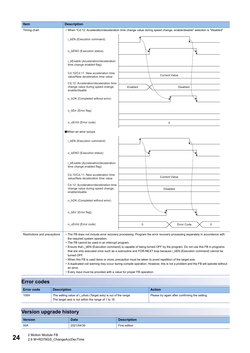| Item                         | <b>Description</b>                                                                                                                                                                     |                                                                                                                                                                                                                                                                                                                                                                                                                                                                                                                                                                                                                 |
|------------------------------|----------------------------------------------------------------------------------------------------------------------------------------------------------------------------------------|-----------------------------------------------------------------------------------------------------------------------------------------------------------------------------------------------------------------------------------------------------------------------------------------------------------------------------------------------------------------------------------------------------------------------------------------------------------------------------------------------------------------------------------------------------------------------------------------------------------------|
| Timing chart                 |                                                                                                                                                                                        | • When "Cd.12: Acceleration/deceleration time change value during speed change, enable/disable" selection is "disabled"                                                                                                                                                                                                                                                                                                                                                                                                                                                                                         |
|                              | i_bEN (Execution command)                                                                                                                                                              |                                                                                                                                                                                                                                                                                                                                                                                                                                                                                                                                                                                                                 |
|                              | o_bENO (Execution status)                                                                                                                                                              | ∙                                                                                                                                                                                                                                                                                                                                                                                                                                                                                                                                                                                                               |
|                              | i_bEnable (Acceleration/deceleration<br>time change enabled flag)                                                                                                                      |                                                                                                                                                                                                                                                                                                                                                                                                                                                                                                                                                                                                                 |
|                              | Cd.10/Cd.11: New acceleration time<br>value/New deceleration time value                                                                                                                | <b>Current Value</b>                                                                                                                                                                                                                                                                                                                                                                                                                                                                                                                                                                                            |
|                              | Cd.12: Acceleration/deceleration time<br>change value during speed change,<br>enable/disable                                                                                           | Enabled<br><b>Disabled</b>                                                                                                                                                                                                                                                                                                                                                                                                                                                                                                                                                                                      |
|                              | o_bOK (Completed without error)                                                                                                                                                        |                                                                                                                                                                                                                                                                                                                                                                                                                                                                                                                                                                                                                 |
|                              | o_bErr (Error flag)                                                                                                                                                                    |                                                                                                                                                                                                                                                                                                                                                                                                                                                                                                                                                                                                                 |
|                              | o_uErrId (Error code)                                                                                                                                                                  | $\mathbf 0$                                                                                                                                                                                                                                                                                                                                                                                                                                                                                                                                                                                                     |
|                              | When an error occurs                                                                                                                                                                   |                                                                                                                                                                                                                                                                                                                                                                                                                                                                                                                                                                                                                 |
|                              | i_bEN (Execution command)                                                                                                                                                              |                                                                                                                                                                                                                                                                                                                                                                                                                                                                                                                                                                                                                 |
|                              | o_bENO (Execution status)                                                                                                                                                              | ▶                                                                                                                                                                                                                                                                                                                                                                                                                                                                                                                                                                                                               |
|                              | i_bEnable (Acceleration/deceleration<br>time change enabled flag)                                                                                                                      |                                                                                                                                                                                                                                                                                                                                                                                                                                                                                                                                                                                                                 |
|                              | Cd.10/Cd.11: New acceleration time<br>value/New deceleration time value                                                                                                                | <b>Current Value</b>                                                                                                                                                                                                                                                                                                                                                                                                                                                                                                                                                                                            |
|                              | Cd.12: Acceleration/deceleration time<br>change value during speed change,<br>enable/disable                                                                                           | <b>Disabled</b>                                                                                                                                                                                                                                                                                                                                                                                                                                                                                                                                                                                                 |
|                              | o_bOK (Completed without error)                                                                                                                                                        |                                                                                                                                                                                                                                                                                                                                                                                                                                                                                                                                                                                                                 |
|                              | o_bErr (Error flag)                                                                                                                                                                    |                                                                                                                                                                                                                                                                                                                                                                                                                                                                                                                                                                                                                 |
|                              | o uErrld (Error code)                                                                                                                                                                  | Error Code<br>0<br>0                                                                                                                                                                                                                                                                                                                                                                                                                                                                                                                                                                                            |
| Restrictions and precautions | the required system operation.<br>• The FB cannot be used in an interrupt program.<br>turned OFF.<br>an error.<br>• Every input must be provided with a value for proper FB operation. | • The FB does not include error recovery processing. Program the error recovery processing separately in accordance with<br>• Ensure that i bEN (Execution command) is capable of being turned OFF by the program. Do not use this FB in programs<br>that are only executed once such as a subroutine and FOR-NEXT loop because i_bEN (Execution command) cannot be<br>. When this FB is used twice or more, precaution must be taken to avoid repetition of the target axis.<br>• A duplicated coil warning may occur during compile operation. However, this is not a problem and the FB will operate without |
| <b>Frror codes</b>           |                                                                                                                                                                                        |                                                                                                                                                                                                                                                                                                                                                                                                                                                                                                                                                                                                                 |

| LIU vuuto         |                                                                                                                        |                                                |  |  |  |
|-------------------|------------------------------------------------------------------------------------------------------------------------|------------------------------------------------|--|--|--|
| <b>Error code</b> | <b>Description</b>                                                                                                     | <b>Action</b>                                  |  |  |  |
| 100H              | The setting value of i uAxis (Target axis) is out of the range.<br>The target axis is not within the range of 1 to 16. | Please try again after confirming the setting. |  |  |  |

| . .            |             |                    |
|----------------|-------------|--------------------|
| <b>Version</b> | <b>Date</b> | <b>Description</b> |
| 00A            | 2021/04/30  | First edition      |

**24** 2 Motion Module FB 2.6 M+RD78GS\_ChangeAccDecTime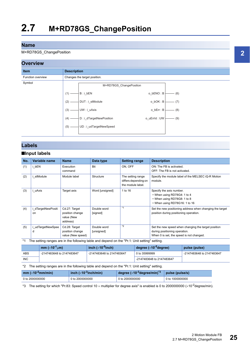<span id="page-26-0"></span>M+RD78GS\_ChangePosition

#### **Overview**



#### **Labels**

#### ■**Input labels**

| No. | Variable name          | <b>Name</b>                                                | Data type                 | <b>Setting range</b>                                           | <b>Description</b>                                                                                                               |
|-----|------------------------|------------------------------------------------------------|---------------------------|----------------------------------------------------------------|----------------------------------------------------------------------------------------------------------------------------------|
| (1) | bEN                    | Execution<br>command                                       | Bit                       | ON, OFF                                                        | ON: The FB is activated.<br>OFF: The FB is not activated.                                                                        |
| (2) | i stModule             | Module label                                               | Structure                 | The setting range<br>differs depending on<br>the module label. | Specify the module label of the MELSEC iQ-R Motion<br>module.                                                                    |
| (3) | i uAxis                | Target axis                                                | Word [unsigned]           | 1 to 16                                                        | Specify the axis number.<br>• When using RD78G4: 1 to 4<br>• When using RD78G8: 1 to 8<br>• When using RD78G16: 1 to 16          |
| (4) | dTargetNewPositi<br>on | Cd.27: Target<br>position change<br>value (New<br>address) | Double word<br>[signed]   | $*_{1}$                                                        | Set the new positioning address when changing the target<br>position during positioning operation.                               |
| (5) | udTargetNewSpee<br>d   | Cd.28: Target<br>position change<br>value (New speed)      | Double word<br>[unsigned] | $*_{2}$                                                        | Set the new speed when changing the target position<br>during positioning operation.<br>When 0 is set, the speed is not changed. |

<span id="page-26-2"></span>\*1 The setting ranges are in the following table and depend on the "Pr.1: Unit setting" setting.

|     | mm $(x10^{-1}$ um)        | inch ( $\times$ 10 <sup>-9</sup> inch) | degree $(x10^{-5})$ degree) | pulse (pulse)             |
|-----|---------------------------|----------------------------------------|-----------------------------|---------------------------|
| ABS | -2147483648 to 2147483647 | -2147483648 to 2147483647              | 0 to 35999999               | -2147483648 to 2147483647 |
| INC |                           |                                        | -2147483648 to 2147483647   |                           |

#### <span id="page-26-3"></span>\*2 The setting ranges are in the following table and depend on the "Pr.1: Unit setting" setting.

| mm $(x10^{-2}$ mm/min) | inch $(x10^{-3}$ inch/min) | degree ( $\times$ 10 <sup>-3</sup> degree/min) $^{\ast}{}^{3}$ | pulse (pulse/s) |
|------------------------|----------------------------|----------------------------------------------------------------|-----------------|
| 0 to 2000000000        | 0 to 2000000000            | 0 to 2000000000                                                | 0 to 1000000000 |

<span id="page-26-1"></span>\*3 The setting for which "Pr.83: Speed control 10 x multiplier for degree axis" is enabled is 0 to 2000000000 ( $\times$ 10<sup>-2</sup>degree/min).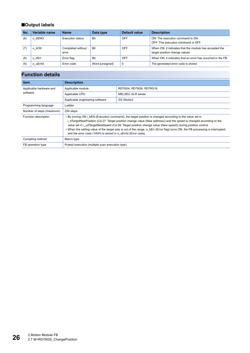#### ■**Output labels**

| No. | Variable name | <b>Name</b>                | Data type       | Default value | <b>Description</b>                                                                       |
|-----|---------------|----------------------------|-----------------|---------------|------------------------------------------------------------------------------------------|
| (6) | o bENO        | <b>Execution status</b>    | <b>Bit</b>      | OFF           | ON: The execution command is ON.<br>OFF: The execution command is OFF.                   |
|     | o bOK         | Completed without<br>error | Bit             | OFF           | When ON, it indicates that the module has accepted the<br>target position change values. |
| (8) | o bErr        | Error flag                 | <b>Bit</b>      | OFF           | When ON, it indicates that an error has occurred in the FB.                              |
| (9) | o uErrid      | Error code                 | Word [unsigned] | $\mathbf 0$   | The generated error code is stored.                                                      |

| <b>Item</b>               | <b>Description</b>                                                                                                                                                                                                                                                                                                                                                                                                                                                                                                                               |                         |  |  |
|---------------------------|--------------------------------------------------------------------------------------------------------------------------------------------------------------------------------------------------------------------------------------------------------------------------------------------------------------------------------------------------------------------------------------------------------------------------------------------------------------------------------------------------------------------------------------------------|-------------------------|--|--|
| Applicable hardware and   | Applicable module                                                                                                                                                                                                                                                                                                                                                                                                                                                                                                                                | RD78G4, RD78G8, RD78G16 |  |  |
| software                  | Applicable CPU                                                                                                                                                                                                                                                                                                                                                                                                                                                                                                                                   | MELSEC iQ-R series      |  |  |
|                           | Applicable engineering software                                                                                                                                                                                                                                                                                                                                                                                                                                                                                                                  | GX Works3               |  |  |
| Programming language      | Ladder                                                                                                                                                                                                                                                                                                                                                                                                                                                                                                                                           |                         |  |  |
| Number of steps (maximum) | 254 steps                                                                                                                                                                                                                                                                                                                                                                                                                                                                                                                                        |                         |  |  |
| Function description      | • By turning ON i bEN (Execution command), the target position is changed according to the value set in<br>i dTargetNewPosition (Cd.27: Target position change value (New address)) and the speed is changed according to the<br>value set in i udTargetNewSpeed (Cd.28: Target position change value (New speed)) during position control.<br>. When the setting value of the target axis is out of the range, o bErr (Error flag) turns ON, the FB processing is interrupted,<br>and the error code (100H) is stored in o uErrld (Error code). |                         |  |  |
| Compiling method          | Macro type                                                                                                                                                                                                                                                                                                                                                                                                                                                                                                                                       |                         |  |  |
| FB operation type         | Pulsed execution (multiple scan execution type)                                                                                                                                                                                                                                                                                                                                                                                                                                                                                                  |                         |  |  |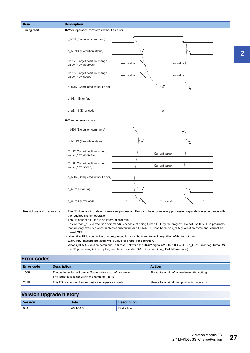| <b>Description</b><br><b>Item</b> |                    |                                                                                                                                                                                                                                                                                                                                                                                                                                                                                                                                                                                                                                                                                                                                                                                                                                                                                         |               |                                                |             |  |
|-----------------------------------|--------------------|-----------------------------------------------------------------------------------------------------------------------------------------------------------------------------------------------------------------------------------------------------------------------------------------------------------------------------------------------------------------------------------------------------------------------------------------------------------------------------------------------------------------------------------------------------------------------------------------------------------------------------------------------------------------------------------------------------------------------------------------------------------------------------------------------------------------------------------------------------------------------------------------|---------------|------------------------------------------------|-------------|--|
| Timing chart                      |                    | When operation completes without an error                                                                                                                                                                                                                                                                                                                                                                                                                                                                                                                                                                                                                                                                                                                                                                                                                                               |               |                                                |             |  |
|                                   |                    | i_bEN (Execution command)                                                                                                                                                                                                                                                                                                                                                                                                                                                                                                                                                                                                                                                                                                                                                                                                                                                               |               |                                                |             |  |
|                                   |                    | o_bENO (Execution status)                                                                                                                                                                                                                                                                                                                                                                                                                                                                                                                                                                                                                                                                                                                                                                                                                                                               |               |                                                |             |  |
|                                   |                    | Cd.27: Target position change<br>value (New address)                                                                                                                                                                                                                                                                                                                                                                                                                                                                                                                                                                                                                                                                                                                                                                                                                                    | Current value | New value                                      |             |  |
|                                   |                    | Cd.28: Target position change<br>value (New speed)                                                                                                                                                                                                                                                                                                                                                                                                                                                                                                                                                                                                                                                                                                                                                                                                                                      | Current value | New value                                      |             |  |
|                                   |                    | o_bOK (Completed without error)                                                                                                                                                                                                                                                                                                                                                                                                                                                                                                                                                                                                                                                                                                                                                                                                                                                         |               |                                                |             |  |
|                                   |                    | o_bErr (Error flag)                                                                                                                                                                                                                                                                                                                                                                                                                                                                                                                                                                                                                                                                                                                                                                                                                                                                     |               |                                                |             |  |
|                                   |                    | o uErrId (Error code)                                                                                                                                                                                                                                                                                                                                                                                                                                                                                                                                                                                                                                                                                                                                                                                                                                                                   |               | 0                                              |             |  |
|                                   |                    | When an error occurs                                                                                                                                                                                                                                                                                                                                                                                                                                                                                                                                                                                                                                                                                                                                                                                                                                                                    |               |                                                |             |  |
|                                   |                    | i_bEN (Execution command)                                                                                                                                                                                                                                                                                                                                                                                                                                                                                                                                                                                                                                                                                                                                                                                                                                                               |               |                                                |             |  |
|                                   |                    | o_bENO (Execution status)                                                                                                                                                                                                                                                                                                                                                                                                                                                                                                                                                                                                                                                                                                                                                                                                                                                               |               |                                                |             |  |
|                                   |                    | Cd.27: Target position change<br>value (New address)                                                                                                                                                                                                                                                                                                                                                                                                                                                                                                                                                                                                                                                                                                                                                                                                                                    |               | Current value                                  |             |  |
|                                   |                    | Cd.28: Target position change<br>value (New speed)                                                                                                                                                                                                                                                                                                                                                                                                                                                                                                                                                                                                                                                                                                                                                                                                                                      |               | Current value                                  |             |  |
|                                   |                    | o_bOK (Completed without error)                                                                                                                                                                                                                                                                                                                                                                                                                                                                                                                                                                                                                                                                                                                                                                                                                                                         |               |                                                |             |  |
|                                   |                    | o_bErr (Error flag)                                                                                                                                                                                                                                                                                                                                                                                                                                                                                                                                                                                                                                                                                                                                                                                                                                                                     |               |                                                |             |  |
|                                   |                    | o uErrId (Error code)                                                                                                                                                                                                                                                                                                                                                                                                                                                                                                                                                                                                                                                                                                                                                                                                                                                                   | $\bf 0$       | Error code                                     | $\mathbf 0$ |  |
| Restrictions and precautions      |                    | • The FB does not include error recovery processing. Program the error recovery processing separately in accordance with<br>the required system operation.<br>• The FB cannot be used in an interrupt program.<br>• Ensure that i_bEN (Execution command) is capable of being turned OFF by the program. Do not use this FB in programs<br>that are only executed once such as a subroutine and FOR-NEXT loop because i_bEN (Execution command) cannot be<br>turned OFF.<br>. When this FB is used twice or more, precaution must be taken to avoid repetition of the target axis.<br>• Every input must be provided with a value for proper FB operation.<br>• When i_bEN (Execution command) is turned ON while the BUSY signal (X10 to X1F) is OFF, o_bErr (Error flag) turns ON,<br>the FB processing is interrupted, and the error code (201H) is stored in o_uErrld (Error code). |               |                                                |             |  |
| <b>Error codes</b>                |                    |                                                                                                                                                                                                                                                                                                                                                                                                                                                                                                                                                                                                                                                                                                                                                                                                                                                                                         |               |                                                |             |  |
| <b>Error code</b>                 | <b>Description</b> |                                                                                                                                                                                                                                                                                                                                                                                                                                                                                                                                                                                                                                                                                                                                                                                                                                                                                         |               | <b>Action</b>                                  |             |  |
| 100H                              |                    | The setting value of i_uAxis (Target axis) is out of the range.                                                                                                                                                                                                                                                                                                                                                                                                                                                                                                                                                                                                                                                                                                                                                                                                                         |               | Please try again after confirming the setting. |             |  |

The target axis is not within the range of 1 to 16.

| <b>Version</b> | <b>Date</b> | <b>Description</b> |
|----------------|-------------|--------------------|
| 00A            | 2021/04/30  | First edition      |

201H This FB is executed before positioning operation starts. Please try again during positioning operation.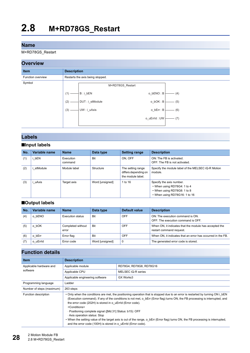<span id="page-29-0"></span>M+RD78GS\_Restart

#### **Overview**

#### **Item Description** Function overview **Restarts** the axis being stopped. Symbol M+RD78GS\_Restart DUT : i\_stModule UW : i\_uAxis  $B : i_bEN$ (2) (3)  $(1) -$  (5)  $-$  (6)  $-$  (7)  $-$  (4) o\_bOK : B o\_bErr : B o\_uErrId : UW o\_bENO : B

#### **Labels**

#### ■**Input labels**

| No. | Variable name | <b>Name</b>          | Data type       | <b>Setting range</b>                                           | <b>Description</b>                                                                                                      |
|-----|---------------|----------------------|-----------------|----------------------------------------------------------------|-------------------------------------------------------------------------------------------------------------------------|
| (1) | bEN           | Execution<br>command | Bit             | ON. OFF                                                        | ON: The FB is activated.<br>OFF: The FB is not activated.                                                               |
| (2) | stModule      | Module label         | Structure       | The setting range<br>differs depending on<br>the module label. | Specify the module label of the MELSEC iQ-R Motion<br>module.                                                           |
| (3) | uAxis         | Target axis          | Word [unsigned] | 1 to 16                                                        | Specify the axis number.<br>• When using RD78G4: 1 to 4<br>• When using RD78G8: 1 to 8<br>• When using RD78G16: 1 to 16 |

#### ■**Output labels**

| No. | Variable name | <b>Name</b>                | Data type       | Default value | <b>Description</b>                                                                 |
|-----|---------------|----------------------------|-----------------|---------------|------------------------------------------------------------------------------------|
| (4) | o bENO        | Execution status           | <b>Bit</b>      | <b>OFF</b>    | ON: The execution command is ON.<br>OFF: The execution command is OFF.             |
| (5) | bOK           | Completed without<br>error | <b>Bit</b>      | <b>OFF</b>    | When ON, it indicates that the module has accepted the<br>restart command request. |
| (6) | bErr<br>O     | Error flag                 | Bit             | OFF           | When ON, it indicates that an error has occurred in the FB.                        |
|     | o uErrid      | Error code                 | Word [unsigned] | 0             | The generated error code is stored.                                                |

| <b>Item</b>               | <b>Description</b>                                                                                                                                                                                                                                                                                                                                                                                                                                                                                                                                                                                                                                            |                    |  |  |
|---------------------------|---------------------------------------------------------------------------------------------------------------------------------------------------------------------------------------------------------------------------------------------------------------------------------------------------------------------------------------------------------------------------------------------------------------------------------------------------------------------------------------------------------------------------------------------------------------------------------------------------------------------------------------------------------------|--------------------|--|--|
| Applicable hardware and   | Applicable module<br>RD78G4, RD78G8, RD78G16                                                                                                                                                                                                                                                                                                                                                                                                                                                                                                                                                                                                                  |                    |  |  |
| software                  | Applicable CPU                                                                                                                                                                                                                                                                                                                                                                                                                                                                                                                                                                                                                                                | MELSEC iQ-R series |  |  |
|                           | Applicable engineering software                                                                                                                                                                                                                                                                                                                                                                                                                                                                                                                                                                                                                               | GX Works3          |  |  |
| Programming language      | Ladder                                                                                                                                                                                                                                                                                                                                                                                                                                                                                                                                                                                                                                                        |                    |  |  |
| Number of steps (maximum) | 263 steps                                                                                                                                                                                                                                                                                                                                                                                                                                                                                                                                                                                                                                                     |                    |  |  |
| Function description      | . Only when the conditions are met, the positioning operation that is stopped due to an error is restarted by turning ON i bEN<br>(Execution command). If any of the conditions is not met, o bErr (Error flag) turns ON, the FB processing is interrupted, and<br>the error code (202H) is stored in o uErrId (Error code).<br><conditions><br/>- Positioning complete signal ([Md.31] Status: b15): OFF<br/>Axis operation status: Stop<br/>• When the setting value of the target axis is out of the range, o bErr (Error flag) turns ON, the FB processing is interrupted,<br/>and the error code (100H) is stored in o uErrld (Error code).</conditions> |                    |  |  |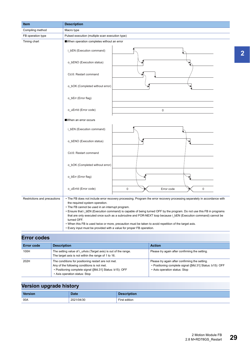| <b>Item</b>                  | <b>Description</b>                                                                                                                                                                                                                                                                                                                                                                                                                                                                                                                                                                                                                                         |  |  |  |  |
|------------------------------|------------------------------------------------------------------------------------------------------------------------------------------------------------------------------------------------------------------------------------------------------------------------------------------------------------------------------------------------------------------------------------------------------------------------------------------------------------------------------------------------------------------------------------------------------------------------------------------------------------------------------------------------------------|--|--|--|--|
| Compiling method             | Macro type                                                                                                                                                                                                                                                                                                                                                                                                                                                                                                                                                                                                                                                 |  |  |  |  |
| FB operation type            | Pulsed execution (multiple scan execution type)                                                                                                                                                                                                                                                                                                                                                                                                                                                                                                                                                                                                            |  |  |  |  |
| Timing chart                 | When operation completes without an error                                                                                                                                                                                                                                                                                                                                                                                                                                                                                                                                                                                                                  |  |  |  |  |
|                              | i_bEN (Execution command)                                                                                                                                                                                                                                                                                                                                                                                                                                                                                                                                                                                                                                  |  |  |  |  |
|                              | o_bENO (Execution status)                                                                                                                                                                                                                                                                                                                                                                                                                                                                                                                                                                                                                                  |  |  |  |  |
|                              | Cd.6: Restart command                                                                                                                                                                                                                                                                                                                                                                                                                                                                                                                                                                                                                                      |  |  |  |  |
|                              | o_bOK (Completed without error)                                                                                                                                                                                                                                                                                                                                                                                                                                                                                                                                                                                                                            |  |  |  |  |
|                              | o_bErr (Error flag)                                                                                                                                                                                                                                                                                                                                                                                                                                                                                                                                                                                                                                        |  |  |  |  |
|                              | o_uErrId (Error code)<br>$\mathsf 0$                                                                                                                                                                                                                                                                                                                                                                                                                                                                                                                                                                                                                       |  |  |  |  |
|                              | When an error occurs                                                                                                                                                                                                                                                                                                                                                                                                                                                                                                                                                                                                                                       |  |  |  |  |
|                              | i_bEN (Execution command)                                                                                                                                                                                                                                                                                                                                                                                                                                                                                                                                                                                                                                  |  |  |  |  |
|                              | o_bENO (Execution status)                                                                                                                                                                                                                                                                                                                                                                                                                                                                                                                                                                                                                                  |  |  |  |  |
|                              | Cd.6: Restart command                                                                                                                                                                                                                                                                                                                                                                                                                                                                                                                                                                                                                                      |  |  |  |  |
|                              | o_bOK (Completed without error)                                                                                                                                                                                                                                                                                                                                                                                                                                                                                                                                                                                                                            |  |  |  |  |
|                              | o_bErr (Error flag)                                                                                                                                                                                                                                                                                                                                                                                                                                                                                                                                                                                                                                        |  |  |  |  |
|                              | o_uErrId (Error code)<br>$\mathbf 0$<br>$\mathbf 0$<br>Error code                                                                                                                                                                                                                                                                                                                                                                                                                                                                                                                                                                                          |  |  |  |  |
| Restrictions and precautions | • The FB does not include error recovery processing. Program the error recovery processing separately in accordance with<br>the required system operation.<br>• The FB cannot be used in an interrupt program.<br>• Ensure that i_bEN (Execution command) is capable of being turned OFF by the program. Do not use this FB in programs<br>that are only executed once such as a subroutine and FOR-NEXT loop because i_bEN (Execution command) cannot be<br>turned OFF.<br>. When this FB is used twice or more, precaution must be taken to avoid repetition of the target axis.<br>• Every input must be provided with a value for proper FB operation. |  |  |  |  |

## **Error codes**

| <b>Error code</b> | <b>Description</b>                                                                                                                                                                              | <b>Action</b>                                                                                                                               |
|-------------------|-------------------------------------------------------------------------------------------------------------------------------------------------------------------------------------------------|---------------------------------------------------------------------------------------------------------------------------------------------|
| 100H              | The setting value of i uAxis (Target axis) is out of the range.<br>The target axis is not within the range of 1 to 16.                                                                          | Please try again after confirming the setting.                                                                                              |
| 202H              | The conditions for positioning restart are not met.<br>Any of the following conditions is not met.<br>• Positioning complete signal ([Md.31] Status: b15): OFF<br>• Axis operation status: Stop | Please try again after confirming the setting.<br>• Positioning complete signal ([Md.31] Status: b15): OFF<br>• Axis operation status: Stop |

# **Version upgrade history**

| <b>Version</b> | <b>Date</b> | <b>Description</b> |
|----------------|-------------|--------------------|
| 00A            | 2021/04/30  | First edition      |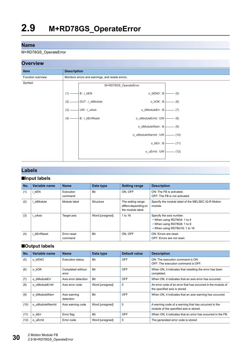#### <span id="page-31-0"></span>M+RD78GS\_OperateError



#### **Labels**

#### ■**Input labels**

| No. | Variable name | <b>Name</b>            | Data type       | <b>Setting range</b>                                           | <b>Description</b>                                                                                                      |
|-----|---------------|------------------------|-----------------|----------------------------------------------------------------|-------------------------------------------------------------------------------------------------------------------------|
| (1) | bEN           | Execution<br>command   | <b>Bit</b>      | ON. OFF                                                        | ON: The FB is activated.<br>OFF: The FB is not activated.                                                               |
| (2) | stModule      | Module label           | Structure       | The setting range<br>differs depending on<br>the module label. | Specify the module label of the MELSEC iQ-R Motion<br>module.                                                           |
| (3) | uAxis         | Target axis            | Word [unsigned] | 1 to 16                                                        | Specify the axis number.<br>• When using RD78G4: 1 to 4<br>• When using RD78G8: 1 to 8<br>• When using RD78G16: 1 to 16 |
| (4) | bErrReset     | Error reset<br>command | Bit             | ON. OFF                                                        | ON: Errors are reset.<br>OFF: Errors are not reset.                                                                     |

#### ■**Output labels**

| No.  | Variable name   | <b>Name</b>                | Data type       | Default value | <b>Description</b>                                                                              |
|------|-----------------|----------------------------|-----------------|---------------|-------------------------------------------------------------------------------------------------|
| (5)  | o bENO          | <b>Execution status</b>    | Bit             | <b>OFF</b>    | ON: The execution command is ON.<br>OFF: The execution command is OFF.                          |
| (6)  | o bOK           | Completed without<br>error | Bit             | <b>OFF</b>    | When ON, it indicates that resetting the error has been<br>completed.                           |
| (7)  | o bModuleErr    | Axis error detection       | <b>Bit</b>      | <b>OFF</b>    | When ON, it indicates that an axis error has occurred.                                          |
| (8)  | o uModuleErrId  | Axis error code            | Word [unsigned] | 0             | An error code of an error that has occurred in the module of<br>the specified axis is stored.   |
| (9)  | o bModuleWarn   | Axis warning<br>detection  | <b>Bit</b>      | <b>OFF</b>    | When ON, it indicates that an axis warning has occurred.                                        |
| (10) | o uModuleWarnId | Axis warning code          | Word [unsigned] | $\mathbf 0$   | A warning code of a warning that has occurred in the<br>module of the specified axis is stored. |
| (11) | o bErr          | Error flag                 | <b>Bit</b>      | OFF           | When ON, it indicates that an error has occurred in the FB.                                     |
| (12) | o uErrid        | Error code                 | Word [unsigned] | $\mathbf 0$   | The generated error code is stored.                                                             |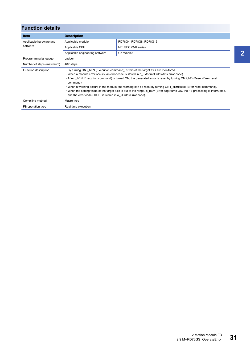| <b>Function details</b>   |                                                                                                                                                                                                                                                                                                                                                                                                                                                                                                                                                                                                                                                |                         |  |
|---------------------------|------------------------------------------------------------------------------------------------------------------------------------------------------------------------------------------------------------------------------------------------------------------------------------------------------------------------------------------------------------------------------------------------------------------------------------------------------------------------------------------------------------------------------------------------------------------------------------------------------------------------------------------------|-------------------------|--|
| <b>Item</b>               | <b>Description</b>                                                                                                                                                                                                                                                                                                                                                                                                                                                                                                                                                                                                                             |                         |  |
| Applicable hardware and   | Applicable module                                                                                                                                                                                                                                                                                                                                                                                                                                                                                                                                                                                                                              | RD78G4, RD78G8, RD78G16 |  |
| software                  | Applicable CPU                                                                                                                                                                                                                                                                                                                                                                                                                                                                                                                                                                                                                                 | MELSEC iQ-R series      |  |
|                           | Applicable engineering software                                                                                                                                                                                                                                                                                                                                                                                                                                                                                                                                                                                                                | GX Works3               |  |
| Programming language      | Ladder                                                                                                                                                                                                                                                                                                                                                                                                                                                                                                                                                                                                                                         |                         |  |
| Number of steps (maximum) | 407 steps                                                                                                                                                                                                                                                                                                                                                                                                                                                                                                                                                                                                                                      |                         |  |
| Function description      | • By turning ON i bEN (Execution command), errors of the target axis are monitored.<br>• When a module error occurs, an error code is stored in o uModuleErrId (Axis error code).<br>• After i bEN (Execution command) is turned ON, the generated error is reset by turning ON i bErrReset (Error reset<br>command).<br>• When a warning occurs in the module, the warning can be reset by turning ON i bErrReset (Error reset command).<br>• When the setting value of the target axis is out of the range, o bErr (Error flag) turns ON, the FB processing is interrupted,<br>and the error code (100H) is stored in o uErrld (Error code). |                         |  |
| Compiling method          | Macro type                                                                                                                                                                                                                                                                                                                                                                                                                                                                                                                                                                                                                                     |                         |  |
| FB operation type         | Real-time execution                                                                                                                                                                                                                                                                                                                                                                                                                                                                                                                                                                                                                            |                         |  |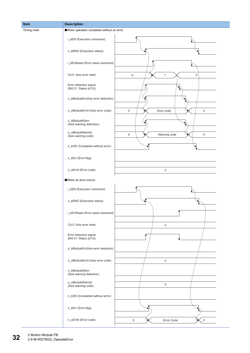| Item         | <b>Description</b>                              |                                                    |  |  |
|--------------|-------------------------------------------------|----------------------------------------------------|--|--|
| Timing chart | When operation completes without an error       |                                                    |  |  |
|              | i_bEN (Execution command)                       |                                                    |  |  |
|              | o_bENO (Execution status)                       |                                                    |  |  |
|              | i_bErrReset (Error reset command)               |                                                    |  |  |
|              | Cd.5: Axis error reset                          | $\mathbf 0$<br>$\mathbf 0$<br>$\mathbf{1}$         |  |  |
|              | Error detection signal<br>(Md.31: Status (b13)) | $\overline{\mathbf{v}}$                            |  |  |
|              | o_bModuleErr(Axis error detection)              |                                                    |  |  |
|              | o_uModuleErrId (Axis error code)                | $\mathbf 0$<br>Error code<br>$\mathbf 0$           |  |  |
|              | o_bModuleWarn<br>(Axis warning detection)       |                                                    |  |  |
|              | o_uModuleWarnId<br>(Axis warning code)          | $\mathsf{O}\xspace$<br>Warning code<br>$\mathbf 0$ |  |  |
|              | o_bOK (Completed without error)                 |                                                    |  |  |
|              | o_bErr (Error flag)                             |                                                    |  |  |
|              | o_uErrId (Error code)                           | $\pmb{0}$                                          |  |  |
|              | When an error occurs                            |                                                    |  |  |
|              | i_bEN (Execution command)                       |                                                    |  |  |
|              | o_bENO (Execution status)                       |                                                    |  |  |
|              | i_bErrReset (Error reset command)               |                                                    |  |  |
|              | Cd.5: Axis error reset                          | $\mathbf 0$                                        |  |  |
|              | Error detection signal<br>(Md.31: Status (b13)) |                                                    |  |  |
|              | o_bModuleErr(Axis error detection)              |                                                    |  |  |
|              | o_uModuleErrId (Axis error code)                | $\mathbf 0$                                        |  |  |
|              | o_bModuleWarn<br>(Axis warning detection)       |                                                    |  |  |
|              | o_uModuleWarnId<br>(Axis warning code)          | $\mathbf 0$                                        |  |  |
|              | o_bOK (Completed without error)                 |                                                    |  |  |
|              | o_bErr (Error flag)                             |                                                    |  |  |
|              | o_uErrId (Error code)                           | $\mathsf{O}\xspace$<br>Error Code<br>$\mathbf 0$   |  |  |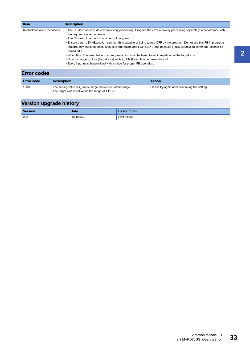| <b>Item</b>                  | <b>Description</b>                                                                                                                                                                                                                                                                                                                                                                                                                                                                                                                                                                                                                                                                                                                         |
|------------------------------|--------------------------------------------------------------------------------------------------------------------------------------------------------------------------------------------------------------------------------------------------------------------------------------------------------------------------------------------------------------------------------------------------------------------------------------------------------------------------------------------------------------------------------------------------------------------------------------------------------------------------------------------------------------------------------------------------------------------------------------------|
| Restrictions and precautions | • The FB does not include error recovery processing. Program the error recovery processing separately in accordance with<br>the required system operation.<br>• The FB cannot be used in an interrupt program.<br>• Ensure that i bEN (Execution command) is capable of being turned OFF by the program. Do not use this FB in programs<br>that are only executed once such as a subroutine and FOR-NEXT loop because i bEN (Execution command) cannot be<br>turned OFF.<br>. When this FB is used twice or more, precaution must be taken to avoid repetition of the target axis.<br>. Do not change i uAxis (Target axis) while i bEN (Execution command) is ON.<br>• Every input must be provided with a value for proper FB operation. |
| <b>Error codes</b>           |                                                                                                                                                                                                                                                                                                                                                                                                                                                                                                                                                                                                                                                                                                                                            |

| <b>Error code</b> | <b>Description</b>                                              | <b>Action</b>                                  |
|-------------------|-----------------------------------------------------------------|------------------------------------------------|
| 100H              | The setting value of i uAxis (Target axis) is out of the range. | Please try again after confirming the setting. |
|                   | The target axis is not within the range of 1 to 16.             |                                                |

| <b>Version</b> | <b>Date</b> | <b>Description</b> |
|----------------|-------------|--------------------|
| 00A            | 2021/04/30  | First edition      |

in I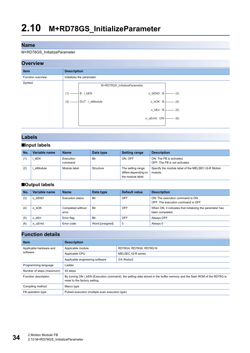#### <span id="page-35-0"></span>M+RD78GS\_InitializeParameter

#### **Overview Item Description** Function overview **Initializes** the parameter. Symbol M+RD78GS\_InitializeParameter DUT : i\_stModule  $B : i_bEN$ (2)  $(1) -$  (4)  $-$  (5)  $-$  (6)  $-$  (3) o\_bOK : B o\_bENO : B o\_bErr : B o\_uErrId : UW

#### **Labels**

#### ■**Input labels**

| No. | Variable name | <b>Name</b>          | Data type | Setting range                                                  | <b>Description</b>                                            |
|-----|---------------|----------------------|-----------|----------------------------------------------------------------|---------------------------------------------------------------|
|     | bEN           | Execution<br>command | Bit       | ON. OFF                                                        | ON: The FB is activated.<br>OFF: The FB is not activated.     |
| (2) | stModule      | Module label         | Structure | The setting range<br>differs depending on<br>the module label. | Specify the module label of the MELSEC iQ-R Motion<br>module. |

#### ■**Output labels**

| No. | Variable name | <b>Name</b>                | Data type       | Default value | <b>Description</b>                                                           |
|-----|---------------|----------------------------|-----------------|---------------|------------------------------------------------------------------------------|
| (3) | bENO<br>o     | Execution status           | <b>Bit</b>      | <b>OFF</b>    | ON: The execution command is ON.<br>OFF: The execution command is OFF.       |
| (4) | bOK           | Completed without<br>error | <b>Bit</b>      | OFF           | When ON, it indicates that initializing the parameter has<br>been completed. |
| (5) | bErr<br>O     | Error flag                 | <b>Bit</b>      | OFF           | Always OFF                                                                   |
| (6) | o uErrid      | Error code                 | Word [unsigned] | 0             | Always 0                                                                     |

| <b>Item</b>               | <b>Description</b>                                                                                                                                       |                         |  |
|---------------------------|----------------------------------------------------------------------------------------------------------------------------------------------------------|-------------------------|--|
| Applicable hardware and   | Applicable module                                                                                                                                        | RD78G4, RD78G8, RD78G16 |  |
| software                  | Applicable CPU                                                                                                                                           | MELSEC iQ-R series      |  |
|                           | Applicable engineering software                                                                                                                          | GX Works3               |  |
| Programming language      | Ladder                                                                                                                                                   |                         |  |
| Number of steps (maximum) | 45 steps                                                                                                                                                 |                         |  |
| Function description      | By turning ON i bEN (Execution command), the setting data stored in the buffer memory and the flash ROM of the RD78G is<br>reset to the factory setting. |                         |  |
| Compiling method          | Macro type                                                                                                                                               |                         |  |
| FB operation type         | Pulsed execution (multiple scan execution type)                                                                                                          |                         |  |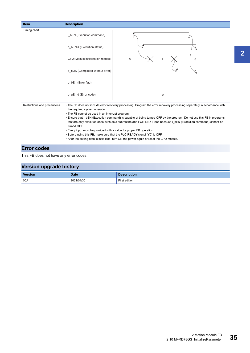| <b>Item</b>                  | <b>Description</b>                                                                                                                                                                                                                                                                                                                                                                                                                                                                                                                                                                                                                                                                                                        |  |
|------------------------------|---------------------------------------------------------------------------------------------------------------------------------------------------------------------------------------------------------------------------------------------------------------------------------------------------------------------------------------------------------------------------------------------------------------------------------------------------------------------------------------------------------------------------------------------------------------------------------------------------------------------------------------------------------------------------------------------------------------------------|--|
| Timing chart                 | i bEN (Execution command)                                                                                                                                                                                                                                                                                                                                                                                                                                                                                                                                                                                                                                                                                                 |  |
|                              | o bENO (Execution status)                                                                                                                                                                                                                                                                                                                                                                                                                                                                                                                                                                                                                                                                                                 |  |
|                              | Cd.2: Module initialization request<br>$\mathbf 0$<br>$\Omega$                                                                                                                                                                                                                                                                                                                                                                                                                                                                                                                                                                                                                                                            |  |
|                              | o bOK (Completed without error)                                                                                                                                                                                                                                                                                                                                                                                                                                                                                                                                                                                                                                                                                           |  |
|                              | o bErr (Error flag)                                                                                                                                                                                                                                                                                                                                                                                                                                                                                                                                                                                                                                                                                                       |  |
|                              | o uErrld (Error code)<br>$\pmb{0}$                                                                                                                                                                                                                                                                                                                                                                                                                                                                                                                                                                                                                                                                                        |  |
| Restrictions and precautions | • The FB does not include error recovery processing. Program the error recovery processing separately in accordance with<br>the required system operation.<br>• The FB cannot be used in an interrupt program.<br>• Ensure that i bEN (Execution command) is capable of being turned OFF by the program. Do not use this FB in programs<br>that are only executed once such as a subroutine and FOR-NEXT loop because i bEN (Execution command) cannot be<br>turned OFF.<br>• Every input must be provided with a value for proper FB operation.<br>. Before using this FB, make sure that the PLC READY signal (Y0) is OFF.<br>• After the setting data is initialized, turn ON the power again or reset the CPU module. |  |

### **Error codes**

This FB does not have any error codes.

| Version upgrade history            |             |                    |  |  |
|------------------------------------|-------------|--------------------|--|--|
| <b>Version</b>                     | <b>Date</b> | <b>Description</b> |  |  |
| 00A<br>2021/04/30<br>First edition |             |                    |  |  |

**2**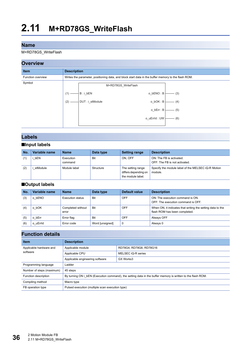M+RD78GS\_WriteFlash

## **Overview**



## **Labels**

### ■**Input labels**

| No. | Variable name | <b>Name</b>          | Data type | <b>Setting range</b>                                           | <b>Description</b>                                            |
|-----|---------------|----------------------|-----------|----------------------------------------------------------------|---------------------------------------------------------------|
|     | bEN           | Execution<br>command | Bit       | ON. OFF                                                        | ON: The FB is activated.<br>OFF: The FB is not activated.     |
| (2) | stModule      | Module label         | Structure | The setting range<br>differs depending on<br>the module label. | Specify the module label of the MELSEC iQ-R Motion<br>module. |

#### ■**Output labels**

| No. | Variable name | <b>Name</b>                | Data type       | Default value | <b>Description</b>                                                                          |
|-----|---------------|----------------------------|-----------------|---------------|---------------------------------------------------------------------------------------------|
| (3) | bENO<br>o     | Execution status           | Bit             | OFF           | ON: The execution command is ON.<br>OFF: The execution command is OFF.                      |
| (4) | bOK           | Completed without<br>error | Bit             | OFF           | When ON, it indicates that writing the setting data to the<br>flash ROM has been completed. |
| (5) | bErr          | Error flag                 | Bit             | OFF           | Always OFF                                                                                  |
| (6) | o uErrid      | Error code                 | Word [unsigned] | $\mathbf 0$   | Always 0                                                                                    |

| <b>Item</b>               | <b>Description</b>                                                                                          |                         |  |
|---------------------------|-------------------------------------------------------------------------------------------------------------|-------------------------|--|
| Applicable hardware and   | Applicable module                                                                                           | RD78G4, RD78G8, RD78G16 |  |
| software                  | Applicable CPU                                                                                              | MELSEC iQ-R series      |  |
|                           | Applicable engineering software<br>GX Works3                                                                |                         |  |
| Programming language      | Ladder                                                                                                      |                         |  |
| Number of steps (maximum) | 45 steps                                                                                                    |                         |  |
| Function description      | By turning ON i bEN (Execution command), the setting data in the buffer memory is written to the flash ROM. |                         |  |
| Compiling method          | Macro type                                                                                                  |                         |  |
| FB operation type         | Pulsed execution (multiple scan execution type)                                                             |                         |  |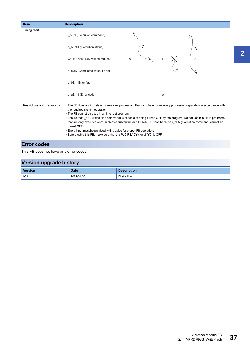| <b>Item</b>                  | <b>Description</b>                                                                                                            |                                                                                                                          |  |  |
|------------------------------|-------------------------------------------------------------------------------------------------------------------------------|--------------------------------------------------------------------------------------------------------------------------|--|--|
| Timing chart                 | i bEN (Execution command)                                                                                                     |                                                                                                                          |  |  |
|                              | o bENO (Execution status)                                                                                                     |                                                                                                                          |  |  |
|                              | Cd.1: Flash ROM writing request                                                                                               | $\mathbf 0$<br>$\mathbf 0$                                                                                               |  |  |
|                              | o bOK (Completed without error)                                                                                               |                                                                                                                          |  |  |
|                              | o bErr (Error flag)                                                                                                           |                                                                                                                          |  |  |
|                              | o uErrld (Error code)                                                                                                         | $\mathbf 0$                                                                                                              |  |  |
| Restrictions and precautions |                                                                                                                               | • The FB does not include error recovery processing. Program the error recovery processing separately in accordance with |  |  |
|                              |                                                                                                                               |                                                                                                                          |  |  |
|                              |                                                                                                                               |                                                                                                                          |  |  |
|                              | that are only executed once such as a subroutine and FOR-NEXT loop because i bEN (Execution command) cannot be<br>turned OFF. |                                                                                                                          |  |  |
|                              | • Every input must be provided with a value for proper FB operation.                                                          |                                                                                                                          |  |  |
|                              |                                                                                                                               | • Before using this FB, make sure that the PLC READY signal (Y0) is OFF.                                                 |  |  |
|                              | the required system operation.<br>• The FB cannot be used in an interrupt program.                                            | • Ensure that i_bEN (Execution command) is capable of being turned OFF by the program. Do not use this FB in programs    |  |  |

## **Error codes**

This FB does not have any error codes.

| --             |             |                    |
|----------------|-------------|--------------------|
| <b>Version</b> | <b>Date</b> | <b>Description</b> |
| 00A            | 2021/04/30  | First edition      |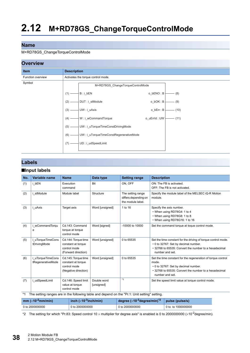#### M+RD78GS\_ChangeTorqueControlMode

### **Overview**



### **Labels**

#### ■**Input labels**

| No. | Variable name                          | <b>Name</b>                                                                       | Data type                 | <b>Setting range</b>                                                                          | <b>Description</b>                                                                                                                                                                        |
|-----|----------------------------------------|-----------------------------------------------------------------------------------|---------------------------|-----------------------------------------------------------------------------------------------|-------------------------------------------------------------------------------------------------------------------------------------------------------------------------------------------|
| (1) | i bEN                                  | Execution<br>command                                                              | <b>Bit</b>                | ON, OFF                                                                                       | ON: The FB is activated.<br>OFF: The FB is not activated.                                                                                                                                 |
| (2) | i stModule                             | Module label                                                                      | Structure                 | The setting range<br>differs depending on<br>the module label.                                | Specify the module label of the MELSEC iQ-R Motion<br>module.                                                                                                                             |
| (3) | i uAxis                                | Target axis                                                                       | Word [unsigned]           | 1 to 16                                                                                       | Specify the axis number.<br>• When using RD78G4: 1 to 4<br>• When using RD78G8: 1 to 8<br>• When using RD78G16: 1 to 16                                                                   |
| (4) | i wCommandTorqu<br>e                   | Cd.143: Command<br>torque at torque<br>control mode                               | Word [signed]             | -10000 to 10000                                                                               | Set the command torque at toque control mode.                                                                                                                                             |
| (5) | i uTorqueTimeCons<br>tDrivingMode      | Cd.144: Torque time<br>constant at torque<br>control mode<br>(Forward direction)  | Word [unsigned]           | 0 to 65535                                                                                    | Set the time constant for the driving of torque control mode.<br>• 0 to 32767: Set by decimal number.<br>• 32768 to 65535: Convert the number to a hexadecimal<br>number and set.         |
| (6) | i uTorqueTimeCons<br>tRegenerativeMode | Cd.145: Torque time<br>constant at torque<br>control mode<br>(Negative direction) | Word [unsigned]           | 0 to 65535                                                                                    | Set the time constant for the regeneration of torque control<br>mode.<br>• 0 to 32767: Set by decimal number.<br>• 32768 to 65535: Convert the number to a hexadecimal<br>number and set. |
| (7) | i udSpeedLimit                         | Cd.146: Speed limit<br>value at torque<br>control mode                            | Double word<br>[unsigned] | $*_{1}$                                                                                       | Set the speed limit value at torque control mode.                                                                                                                                         |
|     |                                        |                                                                                   |                           | The setting ranges are in the following table and depend on the "Pr.1: Unit setting" setting. |                                                                                                                                                                                           |

<span id="page-39-1"></span>

| $mm$ ( $\times$ 10 <sup>-2</sup> mm/min) | inch $(x10^{-3}$ inch/min) | degree ( $\times$ 10 <sup>-3</sup> degree/min) $^{\ast}{}^{2}$ | $ $ pulse (pulse/s) |
|------------------------------------------|----------------------------|----------------------------------------------------------------|---------------------|
| 0 to 2000000000                          | 0 to 2000000000            | 0 to 2000000000                                                | 0 to to 1000000000  |

<span id="page-39-0"></span>\*2 The setting for which "Pr.83: Speed control 10  $\times$  multiplier for degree axis" is enabled is 0 to 2000000000 ( $\times$ 10<sup>-2</sup>degree/min).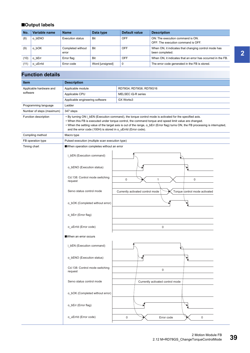## ■**Output labels**

| No.  | Variable name | <b>Name</b>                | Data type       | Default value | <b>Description</b>                                                      |
|------|---------------|----------------------------|-----------------|---------------|-------------------------------------------------------------------------|
| (8)  | bENO          | <b>Execution status</b>    | <b>Bit</b>      | <b>OFF</b>    | ON: The execution command is ON.<br>OFF: The execution command is OFF.  |
| (9)  | bOK<br>o      | Completed without<br>error | <b>Bit</b>      | <b>OFF</b>    | When ON, it indicates that changing control mode has<br>been completed. |
| (10) | bErr          | Error flag                 | <b>Bit</b>      | OFF           | When ON, it indicates that an error has occurred in the FB.             |
| (11) | o uErrid      | Error code                 | Word [unsigned] | 0             | The error code generated in the FB is stored.                           |

| <b>Item</b>               | <b>Description</b>                              |                                                                                                                                                                                                                                                                                                                                                                                                                        |  |  |  |
|---------------------------|-------------------------------------------------|------------------------------------------------------------------------------------------------------------------------------------------------------------------------------------------------------------------------------------------------------------------------------------------------------------------------------------------------------------------------------------------------------------------------|--|--|--|
| Applicable hardware and   | Applicable module                               | RD78G4, RD78G8, RD78G16                                                                                                                                                                                                                                                                                                                                                                                                |  |  |  |
| software                  | Applicable CPU                                  | MELSEC iQ-R series                                                                                                                                                                                                                                                                                                                                                                                                     |  |  |  |
|                           | Applicable engineering software                 | GX Works3                                                                                                                                                                                                                                                                                                                                                                                                              |  |  |  |
| Programming language      | Ladder                                          |                                                                                                                                                                                                                                                                                                                                                                                                                        |  |  |  |
| Number of steps (maximum) | 347 steps                                       |                                                                                                                                                                                                                                                                                                                                                                                                                        |  |  |  |
| Function description      |                                                 | • By turning ON i_bEN (Execution command), the torque control mode is activated for the specified axis.<br>. When this FB is executed under torque control, the command torque and speed limit value are changed.<br>. When the setting value of the target axis is out of the range, o_bErr (Error flag) turns ON, the FB processing is interrupted,<br>and the error code (100H) is stored in o_uErrld (Error code). |  |  |  |
| Compiling method          | Macro type                                      |                                                                                                                                                                                                                                                                                                                                                                                                                        |  |  |  |
| FB operation type         | Pulsed execution (multiple scan execution type) |                                                                                                                                                                                                                                                                                                                                                                                                                        |  |  |  |
| Timing chart              | When operation completes without an error       |                                                                                                                                                                                                                                                                                                                                                                                                                        |  |  |  |
|                           | i_bEN (Execution command)                       |                                                                                                                                                                                                                                                                                                                                                                                                                        |  |  |  |
|                           | o_bENO (Execution status)                       |                                                                                                                                                                                                                                                                                                                                                                                                                        |  |  |  |
|                           | Cd.138: Control mode switching<br>request       | $\mathsf 0$<br>$\mathbf 0$<br>1                                                                                                                                                                                                                                                                                                                                                                                        |  |  |  |
|                           | Servo status control mode                       | Torque control mode activated<br>Currently activated control mode                                                                                                                                                                                                                                                                                                                                                      |  |  |  |
|                           | o_bOK (Completed without error)                 |                                                                                                                                                                                                                                                                                                                                                                                                                        |  |  |  |
|                           | o_bErr (Error flag)                             |                                                                                                                                                                                                                                                                                                                                                                                                                        |  |  |  |
|                           | o_uErrId (Error code)                           | $\mathbf 0$                                                                                                                                                                                                                                                                                                                                                                                                            |  |  |  |
|                           | When an error occurs                            |                                                                                                                                                                                                                                                                                                                                                                                                                        |  |  |  |
|                           | i_bEN (Execution command)                       |                                                                                                                                                                                                                                                                                                                                                                                                                        |  |  |  |
|                           | o_bENO (Execution status)                       |                                                                                                                                                                                                                                                                                                                                                                                                                        |  |  |  |
|                           | Cd.138: Control mode switching<br>request       | 0                                                                                                                                                                                                                                                                                                                                                                                                                      |  |  |  |
|                           | Servo status control mode                       | Currently activated control mode                                                                                                                                                                                                                                                                                                                                                                                       |  |  |  |
|                           | o_bOK (Completed without error)                 |                                                                                                                                                                                                                                                                                                                                                                                                                        |  |  |  |
|                           | o bErr (Error flag)                             |                                                                                                                                                                                                                                                                                                                                                                                                                        |  |  |  |
|                           | o uErrld (Error code)                           | 0<br>Error code<br>0                                                                                                                                                                                                                                                                                                                                                                                                   |  |  |  |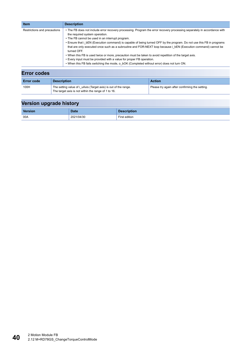| <b>Item</b>                  | <b>Description</b>                                                                                                                                                                                                                                                                                                                                                                                                                                                                                                                                                                                                                                                                                                                                       |
|------------------------------|----------------------------------------------------------------------------------------------------------------------------------------------------------------------------------------------------------------------------------------------------------------------------------------------------------------------------------------------------------------------------------------------------------------------------------------------------------------------------------------------------------------------------------------------------------------------------------------------------------------------------------------------------------------------------------------------------------------------------------------------------------|
| Restrictions and precautions | • The FB does not include error recovery processing. Program the error recovery processing separately in accordance with<br>the required system operation.<br>• The FB cannot be used in an interrupt program.<br>• Ensure that i bEN (Execution command) is capable of being turned OFF by the program. Do not use this FB in programs<br>that are only executed once such as a subroutine and FOR-NEXT loop because i bEN (Execution command) cannot be<br>turned OFF.<br>. When this FB is used twice or more, precaution must be taken to avoid repetition of the target axis.<br>• Every input must be provided with a value for proper FB operation.<br>. When this FB fails switching the mode, o bOK (Completed without error) does not turn ON. |
| <b>Error codes</b>           |                                                                                                                                                                                                                                                                                                                                                                                                                                                                                                                                                                                                                                                                                                                                                          |

| <b>Error code</b> | <b>Description</b>                                              | <b>Action</b>                                  |
|-------------------|-----------------------------------------------------------------|------------------------------------------------|
| 100H              | The setting value of i_uAxis (Target axis) is out of the range. | Please try again after confirming the setting. |
|                   | The target axis is not within the range of 1 to 16.             |                                                |

| <b>Version</b> | <b>Date</b> | <b>Description</b> |
|----------------|-------------|--------------------|
| 00A            | 2021/04/30  | First edition      |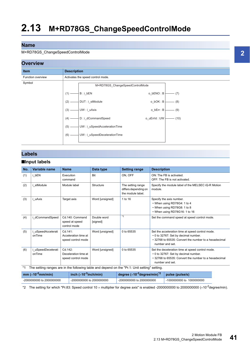#### M+RD78GS\_ChangeSpeedControlMode

#### **Overview**



## **Labels**

### ■**Input labels**

| No. | Variable name                                                                                 | <b>Name</b>                                           | Data type               | <b>Setting range</b>                                           | <b>Description</b>                                                                                                                                                   |
|-----|-----------------------------------------------------------------------------------------------|-------------------------------------------------------|-------------------------|----------------------------------------------------------------|----------------------------------------------------------------------------------------------------------------------------------------------------------------------|
| (1) | i bEN                                                                                         | Execution<br>command                                  | <b>Bit</b>              | ON, OFF                                                        | ON: The FB is activated.<br>OFF: The FB is not activated.                                                                                                            |
| (2) | i stModule                                                                                    | Module label                                          | Structure               | The setting range<br>differs depending on<br>the module label. | Specify the module label of the MELSEC iQ-R Motion<br>module.                                                                                                        |
| (3) | i uAxis                                                                                       | Target axis                                           | Word [unsigned]         | 1 to 16                                                        | Specify the axis number.<br>• When using RD78G4: 1 to 4<br>• When using RD78G8: 1 to 8<br>• When using RD78G16: 1 to 16                                              |
| (4) | dCommandSpeed                                                                                 | Cd.140: Command<br>speed at speed<br>control mode     | Double word<br>[signed] | $*_{1}$                                                        | Set the command speed at speed control mode.                                                                                                                         |
| (5) | i uSpeedAccelerati<br>onTime                                                                  | Cd.141:<br>Acceleration time at<br>speed control mode | Word [unsigned]         | 0 to 65535                                                     | Set the acceleration time at speed control mode.<br>• 0 to 32767: Set by decimal number.<br>• 32768 to 65535: Convert the number to a hexadecimal<br>number and set. |
| (6) | i uSpeedDecelerati<br>onTime                                                                  | Cd.142:<br>Deceleration time at<br>speed control mode | Word [unsigned]         | 0 to 65535                                                     | Set the deceleration time at speed control mode.<br>• 0 to 32767: Set by decimal number.<br>• 32768 to 65535: Convert the number to a hexadecimal<br>number and set. |
|     | The setting ranges are in the following table and depend on the "Pr.1: Unit setting" setting. |                                                       |                         |                                                                |                                                                                                                                                                      |

<span id="page-42-1"></span>

| mm $(x10-2mm/min)$        | inch $(x10^{-3}$ inch/min) | degree ( $\times$ 10 <sup>-3</sup> degree/min) <sup>*2</sup> | pulse (pulse/s)           |
|---------------------------|----------------------------|--------------------------------------------------------------|---------------------------|
| -2000000000 to 2000000000 | -2000000000 to 2000000000  | -2000000000 to 2000000000                                    | -1000000000 to 1000000000 |

<span id="page-42-0"></span>\*2 The setting for which "Pr.83: Speed control 10 x multiplier for degree axis" is enabled -2000000000 to 2000000000 ( $\times$ 10<sup>-2</sup>degree/min).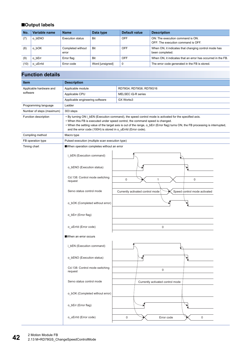## ■**Output labels**

| No.  | Variable name    | <b>Name</b>                | Data type       | Default value | <b>Description</b>                                                      |
|------|------------------|----------------------------|-----------------|---------------|-------------------------------------------------------------------------|
| (7)  | o bENO           | <b>Execution status</b>    | <b>Bit</b>      | <b>OFF</b>    | ON: The execution command is ON.<br>OFF: The execution command is OFF.  |
| (8)  | o bOK            | Completed without<br>error | Bit             | <b>OFF</b>    | When ON, it indicates that changing control mode has<br>been completed. |
| (9)  | bErr<br>$\Omega$ | Error flag                 | Bit             | OFF           | When ON, it indicates that an error has occurred in the FB.             |
| (10) | o uErrid         | Error code                 | Word [unsigned] | 0             | The error code generated in the FB is stored.                           |

| <b>Item</b>                     | <b>Description</b>                                                                                                                                                                                                                                                                                                                                                                           |                                                                  |  |  |
|---------------------------------|----------------------------------------------------------------------------------------------------------------------------------------------------------------------------------------------------------------------------------------------------------------------------------------------------------------------------------------------------------------------------------------------|------------------------------------------------------------------|--|--|
| Applicable hardware and         | Applicable module<br>RD78G4, RD78G8, RD78G16                                                                                                                                                                                                                                                                                                                                                 |                                                                  |  |  |
| software                        | Applicable CPU<br>MELSEC iQ-R series                                                                                                                                                                                                                                                                                                                                                         |                                                                  |  |  |
| Applicable engineering software |                                                                                                                                                                                                                                                                                                                                                                                              | GX Works3                                                        |  |  |
| Programming language            | Ladder                                                                                                                                                                                                                                                                                                                                                                                       |                                                                  |  |  |
| Number of steps (maximum)       | 303 steps                                                                                                                                                                                                                                                                                                                                                                                    |                                                                  |  |  |
| Function description            | • By turning ON i_bEN (Execution command), the speed control mode is activated for the specified axis.<br>• When this FB is executed under speed control, the command speed is changed.<br>• When the setting value of the target axis is out of the range, o_bErr (Error flag) turns ON, the FB processing is interrupted,<br>and the error code (100H) is stored in o_uErrld (Error code). |                                                                  |  |  |
| Compiling method                | Macro type                                                                                                                                                                                                                                                                                                                                                                                   |                                                                  |  |  |
| FB operation type               | Pulsed execution (multiple scan execution type)                                                                                                                                                                                                                                                                                                                                              |                                                                  |  |  |
| Timing chart                    | When operation completes without an error                                                                                                                                                                                                                                                                                                                                                    |                                                                  |  |  |
|                                 | i_bEN (Execution command)                                                                                                                                                                                                                                                                                                                                                                    |                                                                  |  |  |
|                                 | o_bENO (Execution status)                                                                                                                                                                                                                                                                                                                                                                    |                                                                  |  |  |
|                                 | Cd.138: Control mode switching<br>request                                                                                                                                                                                                                                                                                                                                                    | 0<br>$\mathbf 0$<br>1                                            |  |  |
|                                 | Servo status control mode                                                                                                                                                                                                                                                                                                                                                                    | Speed control mode activated<br>Currently activated control mode |  |  |
|                                 | o_bOK (Completed without error)                                                                                                                                                                                                                                                                                                                                                              |                                                                  |  |  |
|                                 | o_bErr (Error flag)                                                                                                                                                                                                                                                                                                                                                                          |                                                                  |  |  |
|                                 | o_uErrId (Error code)                                                                                                                                                                                                                                                                                                                                                                        | $\mathbf 0$                                                      |  |  |
|                                 | ■When an error occurs                                                                                                                                                                                                                                                                                                                                                                        |                                                                  |  |  |
|                                 | i_bEN (Execution command)                                                                                                                                                                                                                                                                                                                                                                    |                                                                  |  |  |
|                                 | o_bENO (Execution status)                                                                                                                                                                                                                                                                                                                                                                    |                                                                  |  |  |
|                                 | Cd.138: Control mode switching<br>request                                                                                                                                                                                                                                                                                                                                                    | $\mathbf 0$                                                      |  |  |
|                                 | Servo status control mode                                                                                                                                                                                                                                                                                                                                                                    | Currently activated control mode                                 |  |  |
|                                 | o_bOK (Completed without error)                                                                                                                                                                                                                                                                                                                                                              |                                                                  |  |  |
|                                 | o_bErr (Error flag)                                                                                                                                                                                                                                                                                                                                                                          |                                                                  |  |  |
|                                 | o_uErrId (Error code)                                                                                                                                                                                                                                                                                                                                                                        | $\mathsf 0$<br>Error code<br>0                                   |  |  |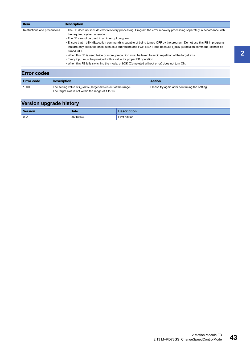| <b>Item</b>                  | <b>Description</b>                                                                                                                                                                                                                                                                                                                                                                                                                                                                                                                                                                                                                                                                                                                                       |
|------------------------------|----------------------------------------------------------------------------------------------------------------------------------------------------------------------------------------------------------------------------------------------------------------------------------------------------------------------------------------------------------------------------------------------------------------------------------------------------------------------------------------------------------------------------------------------------------------------------------------------------------------------------------------------------------------------------------------------------------------------------------------------------------|
| Restrictions and precautions | • The FB does not include error recovery processing. Program the error recovery processing separately in accordance with<br>the required system operation.<br>• The FB cannot be used in an interrupt program.<br>• Ensure that i bEN (Execution command) is capable of being turned OFF by the program. Do not use this FB in programs<br>that are only executed once such as a subroutine and FOR-NEXT loop because i bEN (Execution command) cannot be<br>turned OFF.<br>. When this FB is used twice or more, precaution must be taken to avoid repetition of the target axis.<br>• Every input must be provided with a value for proper FB operation.<br>. When this FB fails switching the mode, o bOK (Completed without error) does not turn ON. |
| <b>Error codes</b>           |                                                                                                                                                                                                                                                                                                                                                                                                                                                                                                                                                                                                                                                                                                                                                          |

| <b>Error code</b> | <b>Description</b>                                              | <b>Action</b>                                  |
|-------------------|-----------------------------------------------------------------|------------------------------------------------|
| 100H              | The setting value of i uAxis (Target axis) is out of the range. | Please try again after confirming the setting. |
|                   | The target axis is not within the range of 1 to 16.             |                                                |

| <b>Version</b> | <b>Date</b> | <b>Description</b> |
|----------------|-------------|--------------------|
| 00A            | 2021/04/30  | First edition      |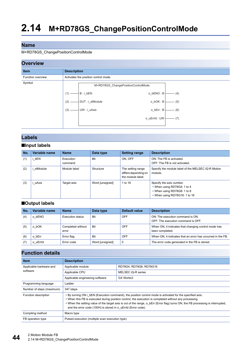#### M+RD78GS\_ChangePositionControlMode

## **Overview**



## **Labels**

### ■**Input labels**

| No. | Variable name | <b>Name</b>          | Data type       | <b>Setting range</b>                                           | <b>Description</b>                                                                                                      |
|-----|---------------|----------------------|-----------------|----------------------------------------------------------------|-------------------------------------------------------------------------------------------------------------------------|
| (1) | bEN           | Execution<br>command | <b>Bit</b>      | ON. OFF                                                        | ON: The FB is activated.<br>OFF: The FB is not activated.                                                               |
| (2) | stModule      | Module label         | Structure       | The setting range<br>differs depending on<br>the module label. | Specify the module label of the MELSEC iQ-R Motion<br>module.                                                           |
| (3) | uAxis         | Target axis          | Word [unsigned] | 1 to 16                                                        | Specify the axis number.<br>• When using RD78G4: 1 to 4<br>• When using RD78G8: 1 to 8<br>• When using RD78G16: 1 to 16 |

### ■**Output labels**

| No. | Variable name   | <b>Name</b>                | Data type       | Default value | <b>Description</b>                                                      |
|-----|-----------------|----------------------------|-----------------|---------------|-------------------------------------------------------------------------|
| (4) | bENO<br>$\circ$ | Execution status           | Bit             | OFF           | ON: The execution command is ON.<br>OFF: The execution command is OFF.  |
| (5) | bOK             | Completed without<br>error | Bit             | OFF           | When ON, it indicates that changing control mode has<br>been completed. |
| (6) | bErr            | Error flag                 | Bit             | OFF           | When ON, it indicates that an error has occurred in the FB.             |
|     | o uErrid        | Error code                 | Word [unsigned] | $\mathbf 0$   | The error code generated in the FB is stored.                           |

| <b>Item</b>               | <b>Description</b>                                                                                                                                                                                                                                                                                                                                                                                                       |                         |  |  |
|---------------------------|--------------------------------------------------------------------------------------------------------------------------------------------------------------------------------------------------------------------------------------------------------------------------------------------------------------------------------------------------------------------------------------------------------------------------|-------------------------|--|--|
| Applicable hardware and   | Applicable module                                                                                                                                                                                                                                                                                                                                                                                                        | RD78G4, RD78G8, RD78G16 |  |  |
| software                  | Applicable CPU                                                                                                                                                                                                                                                                                                                                                                                                           | MELSEC iQ-R series      |  |  |
|                           | Applicable engineering software                                                                                                                                                                                                                                                                                                                                                                                          | GX Works3               |  |  |
| Programming language      | Ladder                                                                                                                                                                                                                                                                                                                                                                                                                   |                         |  |  |
| Number of steps (maximum) | 347 steps                                                                                                                                                                                                                                                                                                                                                                                                                |                         |  |  |
| Function description      | • By turning ON i bEN (Execution command), the position control mode is activated for the specified axis.<br>. When this FB is executed during position control, the execution is completed without any processing.<br>• When the setting value of the target axis is out of the range, o bErr (Error flag) turns ON, the FB processing is interrupted,<br>and the error code (100H) is stored in o uErrld (Error code). |                         |  |  |
| Compiling method          | Macro type                                                                                                                                                                                                                                                                                                                                                                                                               |                         |  |  |
| FB operation type         | Pulsed execution (multiple scan execution type)                                                                                                                                                                                                                                                                                                                                                                          |                         |  |  |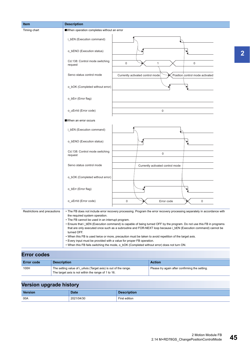| <b>Item</b>                  | <b>Description</b>                                                                                                                                                                                                                                                                                                                                                                                                                                                                                                                                                                                                                                                                                                                                       |                                  |
|------------------------------|----------------------------------------------------------------------------------------------------------------------------------------------------------------------------------------------------------------------------------------------------------------------------------------------------------------------------------------------------------------------------------------------------------------------------------------------------------------------------------------------------------------------------------------------------------------------------------------------------------------------------------------------------------------------------------------------------------------------------------------------------------|----------------------------------|
| Timing chart                 | When operation completes without an error                                                                                                                                                                                                                                                                                                                                                                                                                                                                                                                                                                                                                                                                                                                |                                  |
|                              | i_bEN (Execution command)                                                                                                                                                                                                                                                                                                                                                                                                                                                                                                                                                                                                                                                                                                                                |                                  |
|                              | o_bENO (Execution status)                                                                                                                                                                                                                                                                                                                                                                                                                                                                                                                                                                                                                                                                                                                                |                                  |
|                              | Cd.138: Control mode switching<br>0<br>request                                                                                                                                                                                                                                                                                                                                                                                                                                                                                                                                                                                                                                                                                                           | 0<br>1                           |
|                              | Servo status control mode<br>Currently activated control mode                                                                                                                                                                                                                                                                                                                                                                                                                                                                                                                                                                                                                                                                                            | Position control mode activated  |
|                              | o_bOK (Completed without error)                                                                                                                                                                                                                                                                                                                                                                                                                                                                                                                                                                                                                                                                                                                          |                                  |
|                              | o_bErr (Error flag)                                                                                                                                                                                                                                                                                                                                                                                                                                                                                                                                                                                                                                                                                                                                      |                                  |
|                              | o_uErrId (Error code)                                                                                                                                                                                                                                                                                                                                                                                                                                                                                                                                                                                                                                                                                                                                    | 0                                |
|                              | When an error occurs                                                                                                                                                                                                                                                                                                                                                                                                                                                                                                                                                                                                                                                                                                                                     |                                  |
|                              | i_bEN (Execution command)                                                                                                                                                                                                                                                                                                                                                                                                                                                                                                                                                                                                                                                                                                                                |                                  |
|                              | o_bENO (Execution status)                                                                                                                                                                                                                                                                                                                                                                                                                                                                                                                                                                                                                                                                                                                                |                                  |
|                              | Cd.138: Control mode switching<br>request                                                                                                                                                                                                                                                                                                                                                                                                                                                                                                                                                                                                                                                                                                                | $\mathbf 0$                      |
|                              | Servo status control mode                                                                                                                                                                                                                                                                                                                                                                                                                                                                                                                                                                                                                                                                                                                                | Currently activated control mode |
|                              | o_bOK (Completed without error)                                                                                                                                                                                                                                                                                                                                                                                                                                                                                                                                                                                                                                                                                                                          |                                  |
|                              | o_bErr (Error flag)                                                                                                                                                                                                                                                                                                                                                                                                                                                                                                                                                                                                                                                                                                                                      |                                  |
|                              | o uErrld (Error code)<br>0                                                                                                                                                                                                                                                                                                                                                                                                                                                                                                                                                                                                                                                                                                                               | $\mathbf 0$<br>Error code        |
| Restrictions and precautions | • The FB does not include error recovery processing. Program the error recovery processing separately in accordance with<br>the required system operation.<br>• The FB cannot be used in an interrupt program.<br>• Ensure that i bEN (Execution command) is capable of being turned OFF by the program. Do not use this FB in programs<br>that are only executed once such as a subroutine and FOR-NEXT loop because i_bEN (Execution command) cannot be<br>turned OFF.<br>. When this FB is used twice or more, precaution must be taken to avoid repetition of the target axis.<br>• Every input must be provided with a value for proper FB operation.<br>. When this FB fails switching the mode, o_bOK (Completed without error) does not turn ON. |                                  |
| <b>Error codes</b>           |                                                                                                                                                                                                                                                                                                                                                                                                                                                                                                                                                                                                                                                                                                                                                          |                                  |

| <b>Error code</b> | <b>Description</b>                                                                                                     | <b>Action</b>                                  |
|-------------------|------------------------------------------------------------------------------------------------------------------------|------------------------------------------------|
| 100H              | The setting value of i uAxis (Target axis) is out of the range.<br>The target axis is not within the range of 1 to 16. | Please try again after confirming the setting. |

| <b>Version</b> | <b>Date</b> | <b>Description</b> |
|----------------|-------------|--------------------|
| 00A            | 2021/04/30  | First edition      |

**2**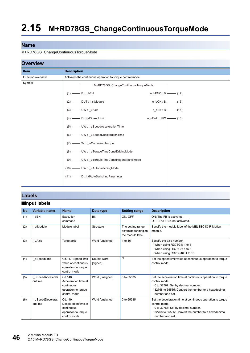#### M+RD78GS\_ChangeContinuousTorqueMode

| <b>Overview</b>   |                                                                        |
|-------------------|------------------------------------------------------------------------|
| <b>Item</b>       | <b>Description</b>                                                     |
| Function overview | Activates the continuous operation to torque control mode.             |
| Symbol            | M+RD78GS ChangeContinuousTorqueMode                                    |
|                   | $o_bENO:B$ (12)                                                        |
|                   | $o_bOK : B$ (13)                                                       |
|                   | $o_bErr : B$ (14)<br>$(3)$ — UW : i_uAxis                              |
|                   | $(4)$ - $D : i_d$ SpeedLimit<br>$o$ _uErrId : UW $\boxed{\qquad}$ (15) |
|                   | (5) — UW : i_uSpeedAccelerationTime                                    |
|                   | $(6)$ $\longrightarrow$ UW : i_uSpeedDecelerationTime                  |
|                   | $(7)$ $\longrightarrow$ W : i_wCommandTorque                           |
|                   | (8) — UW : i_uTorqueTimeConstDrivingMode                               |
|                   | (9) — UW : i_uTorqueTimeConstRegenerativeMode                          |
|                   | (10) —— UW : i_uAutoSwitchingMode                                      |
|                   | (11) - D : i_dAutoSwitchingParameter                                   |
|                   |                                                                        |

## **Labels**

## ■**Input labels**

| No. | Variable name                | <b>Name</b>                                                                           | Data type               | <b>Setting range</b>                                           | <b>Description</b>                                                                                                                                                                               |
|-----|------------------------------|---------------------------------------------------------------------------------------|-------------------------|----------------------------------------------------------------|--------------------------------------------------------------------------------------------------------------------------------------------------------------------------------------------------|
| (1) | i bEN                        | Execution<br>command                                                                  | <b>Bit</b>              | ON. OFF                                                        | ON: The FB is activated.<br>OFF: The FB is not activated.                                                                                                                                        |
| (2) | i stModule                   | Module label                                                                          | Structure               | The setting range<br>differs depending on<br>the module label. | Specify the module label of the MELSEC iQ-R Motion<br>module.                                                                                                                                    |
| (3) | i uAxis                      | Target axis                                                                           | Word [unsigned]         | 1 to 16                                                        | Specify the axis number.<br>• When using RD78G4: 1 to 4<br>• When using RD78G8: 1 to 8<br>• When using RD78G16: 1 to 16                                                                          |
| (4) | dSpeedLimit                  | Cd.147: Speed limit<br>value at continuous<br>operation to torque<br>control mode     | Double word<br>[signed] | $*_{1}$                                                        | Set the speed limit value at continuous operation to torque<br>control mode.                                                                                                                     |
| (5) | i uSpeedAccelerati<br>onTime | Cd.148:<br>Acceleration time at<br>continuous<br>operation to torque<br>control mode  | Word [unsigned]         | 0 to 65535                                                     | Set the acceleration time at continuous operation to torque<br>control mode.<br>• 0 to 32767: Set by decimal number.<br>• 32768 to 65535: Convert the number to a hexadecimal<br>number and set. |
| (6) | i uSpeedDecelerati<br>onTime | Cd. 149:<br>Deceleration time at<br>continuous<br>operation to torque<br>control mode | Word [unsigned]         | 0 to 65535                                                     | Set the deceleration time at continuous operation to torque<br>control mode.<br>• 0 to 32767: Set by decimal number.<br>• 32768 to 65535: Convert the number to a hexadecimal<br>number and set. |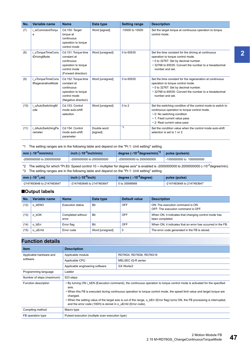| No.  | Variable name                        | <b>Name</b>                                                                                                     | Data type               | <b>Setting range</b> | <b>Description</b>                                                                                                                                                                                                |
|------|--------------------------------------|-----------------------------------------------------------------------------------------------------------------|-------------------------|----------------------|-------------------------------------------------------------------------------------------------------------------------------------------------------------------------------------------------------------------|
| (7)  | i_wCommandTorqu<br>е                 | Cd.150: Target<br>torque at<br>continuous<br>operation to torque<br>control mode                                | Word [signed]           | $-10000$ to $10000$  | Set the target torque at continuous operation to torque<br>control mode.                                                                                                                                          |
| (8)  | uTorqueTimeCons<br>tDrivingMode      | Cd.151: Torque time<br>constant at<br>continuous<br>operation to torque<br>control mode<br>(Forward direction)  | Word [unsigned]         | 0 to 65535           | Set the time constant for the driving at continuous<br>operation to torque control mode.<br>• 0 to 32767: Set by decimal number.<br>• 32768 to 65535: Convert the number to a hexadecimal<br>number and set.      |
| (9)  | uTorqueTimeCons<br>tRegenerativeMode | Cd.152: Torque time<br>constant at<br>continuous<br>operation to torque<br>control mode<br>(Negative direction) | Word [unsigned]         | 0 to 65535           | Set the time constant for the regeneration at continuous<br>operation to torque control mode.<br>• 0 to 32767: Set by decimal number.<br>• 32768 to 65535: Convert the number to a hexadecimal<br>number and set. |
| (10) | uAutoSwitchingM<br>ode               | Cd.153: Control<br>mode auto-shift<br>selection                                                                 | Word [unsigned]         | $0$ to $2$           | Set the switching condition of the control mode to switch to<br>continuous operation to torque control mode.<br>• 0: No switching condition<br>• 1: Feed current value pass<br>• 2: Real current value pass       |
| (11) | i dAutoSwitchingPa<br>rameter        | Cd.154: Control<br>mode auto-shift<br>parameter                                                                 | Double word<br>[signed] | *3                   | Set the condition value when the control mode auto-shift<br>selection is set to 1 or 2.                                                                                                                           |

<span id="page-48-0"></span>\*1 The setting ranges are in the following table and depend on the "Pr.1: Unit setting" setting.

| $mm$ ( $\times$ 10 <sup>-2</sup> mm/min) | inch $(x10^{-3}$ inch/min) | degree $(x10^{-3})$ degree/min) $^2$ | pulse (pulse/s) |
|------------------------------------------|----------------------------|--------------------------------------|-----------------|
| -2000000000 to 2000000000                | -20000000000 to 2000000000 | -20000000000 to 2000000000           |                 |

<span id="page-48-2"></span>\*2 The setting for which "Pr.83: Speed control 10 x multiplier for degree axis" is enabled is -2000000000 to 2000000000 (x10<sup>-2</sup>degree/min).

<span id="page-48-1"></span>\*3 The setting ranges are in the following table and depend on the "Pr.1: Unit setting" setting.

| mm ( $\times$ 10 <sup>-1</sup> $\mu$ m) | inch ( $\times$ 10 <sup>-5</sup> inch) | degree ( $\times$ 10 <sup>-5</sup> degree) | pulse (pulse)             |
|-----------------------------------------|----------------------------------------|--------------------------------------------|---------------------------|
| -2147483648 to 2147483647               | -2147483648 to 2147483647              | 0 to 35999999                              | -2147483648 to 2147483647 |

#### ■**Output labels**

| No.  | Variable name    | <b>Name</b>                | Data type       | Default value | <b>Description</b>                                                      |
|------|------------------|----------------------------|-----------------|---------------|-------------------------------------------------------------------------|
| (12) | o bENO           | Execution status           | <b>Bit</b>      | OFF           | ON: The execution command is ON.<br>OFF: The execution command is OFF.  |
| (13) | o bOK            | Completed without<br>error | Bit             | OFF           | When ON, it indicates that changing control mode has<br>been completed. |
| (14) | bErr<br>$\Omega$ | Error flag                 | Bit             | OFF           | When ON, it indicates that an error has occurred in the FB.             |
| (15) | o uErrid         | Error code                 | Word [unsigned] | $\mathbf 0$   | The error code generated in the FB is stored.                           |

| <b>Item</b>               | <b>Description</b>                                                                                                                                                                                                                                                                                                                                                                                                                                                                |                         |  |
|---------------------------|-----------------------------------------------------------------------------------------------------------------------------------------------------------------------------------------------------------------------------------------------------------------------------------------------------------------------------------------------------------------------------------------------------------------------------------------------------------------------------------|-------------------------|--|
| Applicable hardware and   | Applicable module                                                                                                                                                                                                                                                                                                                                                                                                                                                                 | RD78G4, RD78G8, RD78G16 |  |
| software                  | Applicable CPU                                                                                                                                                                                                                                                                                                                                                                                                                                                                    | MELSEC iQ-R series      |  |
|                           | Applicable engineering software                                                                                                                                                                                                                                                                                                                                                                                                                                                   | GX Works3               |  |
| Programming language      | Ladder                                                                                                                                                                                                                                                                                                                                                                                                                                                                            |                         |  |
| Number of steps (maximum) | 523 steps                                                                                                                                                                                                                                                                                                                                                                                                                                                                         |                         |  |
| Function description      | • By turning ON i bEN (Execution command), the continuous operation to torque control mode is activated for the specified<br>axis.<br>• When this FB is executed during continuous operation to torque control mode, the speed limit value and target torque are<br>changed.<br>• When the setting value of the target axis is out of the range, o bErr (Error flag) turns ON, the FB processing is interrupted,<br>and the error code (100H) is stored in o uErrld (Error code). |                         |  |
| Compiling method          | Macro type                                                                                                                                                                                                                                                                                                                                                                                                                                                                        |                         |  |
| FB operation type         | Pulsed execution (multiple scan execution type)                                                                                                                                                                                                                                                                                                                                                                                                                                   |                         |  |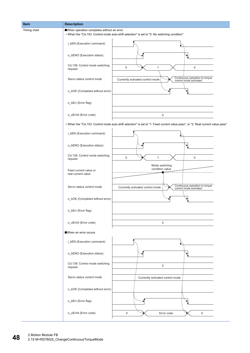| Item         | <b>Description</b>                          |                                                                                                                                |
|--------------|---------------------------------------------|--------------------------------------------------------------------------------------------------------------------------------|
| Timing chart | When operation completes without an error   | • When the "Cd.153: Control mode auto-shift selection" is set to "0: No switching condition"                                   |
|              | i_bEN (Execution command)                   |                                                                                                                                |
|              | o_bENO (Execution status)                   |                                                                                                                                |
|              | Cd.138: Control mode switching<br>request   | $\mathsf{O}\xspace$<br>$\pmb{0}$<br>$\mathbf{1}$                                                                               |
|              | Servo status control mode                   | Continuous operation to torque<br>control mode activated<br>Currently activated control mode                                   |
|              | o_bOK (Completed without error)             |                                                                                                                                |
|              | o_bErr (Error flag)                         |                                                                                                                                |
|              | o_uErrId (Error code)                       | $\mathbf 0$                                                                                                                    |
|              |                                             | • When the "Cd.153: Control mode auto-shift selection" is set to "1: Feed current value pass", or "2: Real current value pass" |
|              | i_bEN (Execution command)                   |                                                                                                                                |
|              | o_bENO (Execution status)                   |                                                                                                                                |
|              | Cd.138: Control mode switching<br>request   | $\mathsf{O}\xspace$<br>$\mathbf{1}$<br>$\mathbf 0$                                                                             |
|              | Feed current value or<br>real current value | Mode switching<br>condition value                                                                                              |
|              | Servo status control mode                   | Continuous operation to torque<br>control mode activated<br>Currently activated control mode                                   |
|              | o_bOK (Completed without error)             |                                                                                                                                |
|              | o_bErr (Error flag)                         |                                                                                                                                |
|              | o_uErrId (Error code)                       | 0                                                                                                                              |
|              | When an error occurs                        |                                                                                                                                |
|              | i_bEN (Execution command)                   |                                                                                                                                |
|              | o_bENO (Execution status)                   |                                                                                                                                |
|              | Cd.138: Control mode switching<br>request   | $\mathsf{0}$                                                                                                                   |
|              | Servo status control mode                   | Currently activated control mode                                                                                               |
|              | o_bOK (Completed without error)             |                                                                                                                                |
|              | o_bErr (Error flag)                         |                                                                                                                                |
|              | o_uErrId (Error code)                       | $\mathbf 0$<br>Error code<br>0                                                                                                 |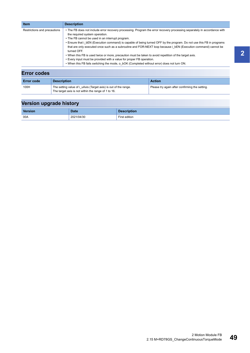| Restrictions and precautions | • The FB does not include error recovery processing. Program the error recovery processing separately in accordance with<br>the required system operation.                                                                                                                                                                                                                                                                                                                                                                                                                                 |
|------------------------------|--------------------------------------------------------------------------------------------------------------------------------------------------------------------------------------------------------------------------------------------------------------------------------------------------------------------------------------------------------------------------------------------------------------------------------------------------------------------------------------------------------------------------------------------------------------------------------------------|
|                              | • The FB cannot be used in an interrupt program.<br>• Ensure that i bEN (Execution command) is capable of being turned OFF by the program. Do not use this FB in programs<br>that are only executed once such as a subroutine and FOR-NEXT loop because i bEN (Execution command) cannot be<br>turned OFF.<br>. When this FB is used twice or more, precaution must be taken to avoid repetition of the target axis.<br>• Every input must be provided with a value for proper FB operation.<br>. When this FB fails switching the mode, o bOK (Completed without error) does not turn ON. |
| <b>Error codes</b>           |                                                                                                                                                                                                                                                                                                                                                                                                                                                                                                                                                                                            |

| <b>Error code</b> | <b>Description</b>                                              | <b>Action</b>                                  |
|-------------------|-----------------------------------------------------------------|------------------------------------------------|
| 100H              | The setting value of i uAxis (Target axis) is out of the range. | Please try again after confirming the setting. |
|                   | The target axis is not within the range of 1 to 16.             |                                                |

| Version | <b>Date</b> | <b>Description</b> |
|---------|-------------|--------------------|
| 00A     | 2021/04/30  | First edition      |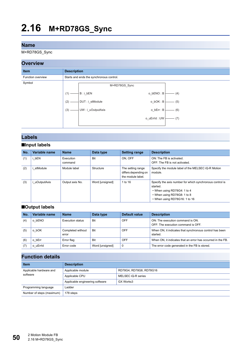M+RD78GS\_Sync

## **Overview**



## **Labels**

### ■**Input labels**

| No. | Variable name | <b>Name</b>          | Data type       | <b>Setting range</b>                                           | <b>Description</b>                                                                                                                                                  |
|-----|---------------|----------------------|-----------------|----------------------------------------------------------------|---------------------------------------------------------------------------------------------------------------------------------------------------------------------|
| (1) | bEN           | Execution<br>command | Bit             | ON. OFF                                                        | ON: The FB is activated.<br>OFF: The FB is not activated.                                                                                                           |
| (2) | stModule      | Module label         | Structure       | The setting range<br>differs depending on<br>the module label. | Specify the module label of the MELSEC iQ-R Motion<br>module.                                                                                                       |
| (3) | uOutputAxis   | Output axis No.      | Word [unsigned] | 1 to 16                                                        | Specify the axis number for which synchronous control is<br>started.<br>• When using RD78G4: 1 to 4<br>• When using RD78G8: 1 to 8<br>• When using RD78G16: 1 to 16 |

### ■**Output labels**

| No. | Variable name    | <b>Name</b>                | Data type       | Default value | <b>Description</b>                                                     |
|-----|------------------|----------------------------|-----------------|---------------|------------------------------------------------------------------------|
| (4) | o bENO           | Execution status           | Bit             | OFF           | ON: The execution command is ON.<br>OFF: The execution command is OFF. |
| (5) | o bOK            | Completed without<br>error | Bit             | OFF           | When ON, it indicates that synchronous control has been<br>started.    |
| (6) | bErr<br>$\Omega$ | Error flag                 | Bit             | <b>OFF</b>    | When ON, it indicates that an error has occurred in the FB.            |
| (7) | o uErrid         | Error code                 | Word [unsigned] | $\mathbf 0$   | The error code generated in the FB is stored.                          |

| <b>Description</b>              |                         |  |  |  |
|---------------------------------|-------------------------|--|--|--|
| Applicable module               | RD78G4, RD78G8, RD78G16 |  |  |  |
| Applicable CPU                  | MELSEC iQ-R series      |  |  |  |
| Applicable engineering software | GX Works3               |  |  |  |
| Ladder                          |                         |  |  |  |
| 178 steps                       |                         |  |  |  |
|                                 |                         |  |  |  |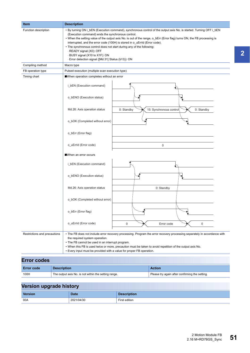| Item                         | <b>Description</b>                                                                                                                                                                                                                                                                                                                                                                                                                                                                                                                                                              |  |  |  |  |
|------------------------------|---------------------------------------------------------------------------------------------------------------------------------------------------------------------------------------------------------------------------------------------------------------------------------------------------------------------------------------------------------------------------------------------------------------------------------------------------------------------------------------------------------------------------------------------------------------------------------|--|--|--|--|
| Function description         | • By turning ON i_bEN (Execution command), synchronous control of the output axis No. is started. Turning OFF i_bEN<br>(Execution command) ends the synchronous control.<br>• When the setting value of the output axis No. is out of the range, o_bErr (Error flag) turns ON, the FB processing is<br>interrupted, and the error code (100H) is stored in o uErrId (Error code).<br>• The synchronous control does not start during any of the following:<br>· READY signal (X0): OFF<br>- BUSY signal (X10 to X1F): ON<br>· Error detection signal ([Md.31] Status (b13)): ON |  |  |  |  |
| Compiling method             | Macro type                                                                                                                                                                                                                                                                                                                                                                                                                                                                                                                                                                      |  |  |  |  |
| FB operation type            | Pulsed execution (multiple scan execution type)                                                                                                                                                                                                                                                                                                                                                                                                                                                                                                                                 |  |  |  |  |
| Timing chart                 | When operation completes without an error                                                                                                                                                                                                                                                                                                                                                                                                                                                                                                                                       |  |  |  |  |
|                              | i_bEN (Execution command)                                                                                                                                                                                                                                                                                                                                                                                                                                                                                                                                                       |  |  |  |  |
|                              | o_bENO (Execution status)                                                                                                                                                                                                                                                                                                                                                                                                                                                                                                                                                       |  |  |  |  |
|                              | Md.26: Axis operation status<br>0: Standby<br>15: Synchronous control<br>0: Standby                                                                                                                                                                                                                                                                                                                                                                                                                                                                                             |  |  |  |  |
|                              | o_bOK (Completed without error)                                                                                                                                                                                                                                                                                                                                                                                                                                                                                                                                                 |  |  |  |  |
|                              | o_bErr (Error flag)                                                                                                                                                                                                                                                                                                                                                                                                                                                                                                                                                             |  |  |  |  |
|                              | o_uErrId (Error code)<br>$\mathbf 0$                                                                                                                                                                                                                                                                                                                                                                                                                                                                                                                                            |  |  |  |  |
|                              | ■When an error occurs                                                                                                                                                                                                                                                                                                                                                                                                                                                                                                                                                           |  |  |  |  |
|                              | i_bEN (Execution command)                                                                                                                                                                                                                                                                                                                                                                                                                                                                                                                                                       |  |  |  |  |
|                              | o_bENO (Execution status)                                                                                                                                                                                                                                                                                                                                                                                                                                                                                                                                                       |  |  |  |  |
|                              | Md.26: Axis operation status<br>0: Standby                                                                                                                                                                                                                                                                                                                                                                                                                                                                                                                                      |  |  |  |  |
|                              | o_bOK (Completed without error)                                                                                                                                                                                                                                                                                                                                                                                                                                                                                                                                                 |  |  |  |  |
|                              | o_bErr (Error flag)                                                                                                                                                                                                                                                                                                                                                                                                                                                                                                                                                             |  |  |  |  |
|                              | o_uErrId (Error code)<br>0<br>Error code<br>$\mathbf 0$                                                                                                                                                                                                                                                                                                                                                                                                                                                                                                                         |  |  |  |  |
| Restrictions and precautions | • The FB does not include error recovery processing. Program the error recovery processing separately in accordance with<br>the required system operation.<br>• The FB cannot be used in an interrupt program.<br>. When this FB is used twice or more, precaution must be taken to avoid repetition of the output axis No.<br>• Every input must be provided with a value for proper FB operation.                                                                                                                                                                             |  |  |  |  |
| Error codoc                  |                                                                                                                                                                                                                                                                                                                                                                                                                                                                                                                                                                                 |  |  |  |  |

| EITOR COURS       |                                                      |                                                |  |  |  |
|-------------------|------------------------------------------------------|------------------------------------------------|--|--|--|
| <b>Error code</b> | <b>Description</b>                                   | <b>Action</b>                                  |  |  |  |
| 100H              | The output axis No. is not within the setting range. | Please try again after confirming the setting. |  |  |  |

| <b>Version</b> | <b>Date</b> | <b>Description</b> |
|----------------|-------------|--------------------|
| 00A            | 2021/04/30  | First edition      |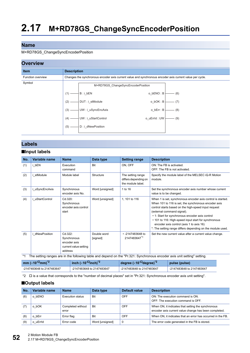#### M+RD78GS\_ChangeSyncEncoderPosition

## **Overview**

| --------                 |                                    |                                                                                                          |  |  |  |  |
|--------------------------|------------------------------------|----------------------------------------------------------------------------------------------------------|--|--|--|--|
| <b>Item</b>              | <b>Description</b>                 |                                                                                                          |  |  |  |  |
| <b>Function overview</b> |                                    | Changes the synchronous encoder axis current value and synchronous encoder axis current value per cycle. |  |  |  |  |
| Symbol                   | M+RD78GS ChangeSyncEncoderPosition |                                                                                                          |  |  |  |  |
|                          | B:i bEN<br>(1)                     | o bENO: B<br>(6)                                                                                         |  |  |  |  |
|                          | DUT: i stModule<br>(2)             | o_bOK: B<br>(7)                                                                                          |  |  |  |  |
|                          | UW: i uSyncEncAxis<br>(3)          | o_bErr: B<br>(8)                                                                                         |  |  |  |  |
|                          | UW: i_uStartControl<br>(4)         | o uErrld: UW<br>(9)                                                                                      |  |  |  |  |
|                          | D: i dNewPosition<br>(5)           |                                                                                                          |  |  |  |  |
|                          |                                    |                                                                                                          |  |  |  |  |

## **Labels**

### ■**Input labels**

| No. | Variable name   | <b>Name</b>                                                                | Data type               | <b>Setting range</b>                                           | <b>Description</b>                                                                                                                                                                                                                                                                                                                                                                                                             |
|-----|-----------------|----------------------------------------------------------------------------|-------------------------|----------------------------------------------------------------|--------------------------------------------------------------------------------------------------------------------------------------------------------------------------------------------------------------------------------------------------------------------------------------------------------------------------------------------------------------------------------------------------------------------------------|
| (1) | i bEN           | Execution<br>command                                                       | Bit                     | ON, OFF                                                        | ON: The FB is activated.<br>OFF: The FB is not activated.                                                                                                                                                                                                                                                                                                                                                                      |
| (2) | i stModule      | Module label                                                               | Structure               | The setting range<br>differs depending on<br>the module label. | Specify the module label of the MELSEC iQ-R Motion<br>module.                                                                                                                                                                                                                                                                                                                                                                  |
| (3) | i uSyncEncAxis  | Synchronous<br>encoder axis No.                                            | Word [unsigned]         | 1 to 16                                                        | Set the synchronous encoder axis number whose current<br>value is to be changed.                                                                                                                                                                                                                                                                                                                                               |
| (4) | i uStartControl | Cd.320:<br>Synchronous<br>encoder axis control<br>start                    | Word [unsigned]         | 1, 101 to 116                                                  | When 1 is set, synchronous encoder axis control is started.<br>When 101 to 116 is set, the synchronous encoder axis<br>control starts based on the high-speed input request<br>(external command signal).<br>• 1: Start for synchronous encoder axis control<br>• 101 to 116: High-speed input start for synchronous<br>encoder axis control (axis 1 to axis 16)<br>*: The setting range differs depending on the module used. |
| (5) | i dNewPosition  | Cd.322:<br>Synchronous<br>encoder axis<br>current value setting<br>address | Double word<br>[signed] | $\cdot$ -2147483648 to<br>21474836471                          | Set the new current value after a current value change.                                                                                                                                                                                                                                                                                                                                                                        |

<span id="page-53-1"></span>\*1 The setting ranges are in the following table and depend on the "Pr.321: Synchronous encoder axis unit setting" setting.

| mm ( $\times$ 10 <sup>-<math>\Box</math></sup> mm) <sup>*2</sup> | inch $(x10^{-1}$ inch) <sup>*2</sup> | degree ( $\times$ 10 <sup>-<math>\Box</math></sup> degree) <sup>*2</sup> | pulse (pulse)             |
|------------------------------------------------------------------|--------------------------------------|--------------------------------------------------------------------------|---------------------------|
| -2147483648 to 2147483647                                        | -2147483648 to 2147483647            | -2147483648 to 2147483647                                                | -2147483648 to 2147483647 |

<span id="page-53-0"></span>\*2  $\Box$  is a value that corresponds to the "number of decimal places" set in "Pr.321: Synchronous encoder axis unit setting".

### ■**Output labels**

| No. | Variable name | <b>Name</b>                | Data type       | Default value | <b>Description</b>                                                                                          |
|-----|---------------|----------------------------|-----------------|---------------|-------------------------------------------------------------------------------------------------------------|
| (6) | o bENO        | Execution status           | Bit             | OFF           | ON: The execution command is ON.<br>OFF: The execution command is OFF.                                      |
|     | o bOK         | Completed without<br>error | Bit             | OFF           | When ON, it indicates that setting the synchronous<br>encoder axis current value change has been completed. |
| (8) | o bErr        | Error flag                 | <b>Bit</b>      | OFF           | When ON, it indicates that an error has occurred in the FB.                                                 |
| (9) | o uErrid      | Error code                 | Word [unsigned] | $\mathbf 0$   | The error code generated in the FB is stored.                                                               |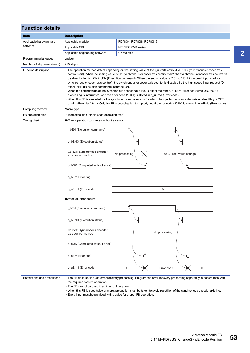| <b>Function details</b>      |                                                                                                                                                                                                                                                                                                                                                                                                                                                                                                                                                                                                                                                                                                                                                                                                                                                                                                                                                                                                                                                |                                          |  |  |  |  |  |
|------------------------------|------------------------------------------------------------------------------------------------------------------------------------------------------------------------------------------------------------------------------------------------------------------------------------------------------------------------------------------------------------------------------------------------------------------------------------------------------------------------------------------------------------------------------------------------------------------------------------------------------------------------------------------------------------------------------------------------------------------------------------------------------------------------------------------------------------------------------------------------------------------------------------------------------------------------------------------------------------------------------------------------------------------------------------------------|------------------------------------------|--|--|--|--|--|
| <b>Item</b>                  | <b>Description</b>                                                                                                                                                                                                                                                                                                                                                                                                                                                                                                                                                                                                                                                                                                                                                                                                                                                                                                                                                                                                                             |                                          |  |  |  |  |  |
| Applicable hardware and      | Applicable module                                                                                                                                                                                                                                                                                                                                                                                                                                                                                                                                                                                                                                                                                                                                                                                                                                                                                                                                                                                                                              | RD78G4, RD78G8, RD78G16                  |  |  |  |  |  |
| software                     | Applicable CPU                                                                                                                                                                                                                                                                                                                                                                                                                                                                                                                                                                                                                                                                                                                                                                                                                                                                                                                                                                                                                                 | MELSEC iQ-R series                       |  |  |  |  |  |
|                              | Applicable engineering software                                                                                                                                                                                                                                                                                                                                                                                                                                                                                                                                                                                                                                                                                                                                                                                                                                                                                                                                                                                                                | GX Works3                                |  |  |  |  |  |
| Programming language         | Ladder                                                                                                                                                                                                                                                                                                                                                                                                                                                                                                                                                                                                                                                                                                                                                                                                                                                                                                                                                                                                                                         |                                          |  |  |  |  |  |
| Number of steps (maximum)    | 215 steps                                                                                                                                                                                                                                                                                                                                                                                                                                                                                                                                                                                                                                                                                                                                                                                                                                                                                                                                                                                                                                      |                                          |  |  |  |  |  |
| Function description         | • The operation method differs depending on the setting value of the i_uStartControl (Cd.320: Synchronous encoder axis<br>control start). When the setting value is "1: Synchronous encoder axis control start", the synchronous encoder axis counter is<br>disabled by turning ON i_bEN (Execution command). When the setting value is "101 to 116: High-speed input start for<br>synchronous encoder axis control", the synchronous encoder axis counter is disabled by the high speed input request [DI]<br>after i bEN (Execution command) is turned ON.<br>• When the setting value of the synchronous encoder axis No. is out of the range, o_bErr (Error flag) turns ON, the FB<br>processing is interrupted, and the error code (100H) is stored in o_uErrId (Error code).<br>• When this FB is executed for the synchronous encoder axis for which the synchronous encoder axis enabled flag is OFF,<br>o_bErr (Error flag) turns ON, the FB processing is interrupted, and the error code (301H) is stored in o_uErrld (Error code). |                                          |  |  |  |  |  |
| Compiling method             | Macro type                                                                                                                                                                                                                                                                                                                                                                                                                                                                                                                                                                                                                                                                                                                                                                                                                                                                                                                                                                                                                                     |                                          |  |  |  |  |  |
| FB operation type            | Pulsed execution (single scan execution type)                                                                                                                                                                                                                                                                                                                                                                                                                                                                                                                                                                                                                                                                                                                                                                                                                                                                                                                                                                                                  |                                          |  |  |  |  |  |
| Timing chart                 | When operation completes without an error                                                                                                                                                                                                                                                                                                                                                                                                                                                                                                                                                                                                                                                                                                                                                                                                                                                                                                                                                                                                      |                                          |  |  |  |  |  |
|                              | i bEN (Execution command)                                                                                                                                                                                                                                                                                                                                                                                                                                                                                                                                                                                                                                                                                                                                                                                                                                                                                                                                                                                                                      |                                          |  |  |  |  |  |
|                              | o_bENO (Execution status)                                                                                                                                                                                                                                                                                                                                                                                                                                                                                                                                                                                                                                                                                                                                                                                                                                                                                                                                                                                                                      |                                          |  |  |  |  |  |
|                              | Cd.321: Synchronous encoder<br>axis control method                                                                                                                                                                                                                                                                                                                                                                                                                                                                                                                                                                                                                                                                                                                                                                                                                                                                                                                                                                                             | No processing<br>0: Current value change |  |  |  |  |  |
|                              | o_bOK (Completed without error)                                                                                                                                                                                                                                                                                                                                                                                                                                                                                                                                                                                                                                                                                                                                                                                                                                                                                                                                                                                                                |                                          |  |  |  |  |  |
|                              | o_bErr (Error flag)                                                                                                                                                                                                                                                                                                                                                                                                                                                                                                                                                                                                                                                                                                                                                                                                                                                                                                                                                                                                                            |                                          |  |  |  |  |  |
|                              | o_uErrId (Error code)                                                                                                                                                                                                                                                                                                                                                                                                                                                                                                                                                                                                                                                                                                                                                                                                                                                                                                                                                                                                                          | $\mathbf 0$                              |  |  |  |  |  |
|                              | When an error occurs                                                                                                                                                                                                                                                                                                                                                                                                                                                                                                                                                                                                                                                                                                                                                                                                                                                                                                                                                                                                                           |                                          |  |  |  |  |  |
|                              | i_bEN (Execution command)                                                                                                                                                                                                                                                                                                                                                                                                                                                                                                                                                                                                                                                                                                                                                                                                                                                                                                                                                                                                                      |                                          |  |  |  |  |  |
|                              | o_bENO (Execution status)                                                                                                                                                                                                                                                                                                                                                                                                                                                                                                                                                                                                                                                                                                                                                                                                                                                                                                                                                                                                                      |                                          |  |  |  |  |  |
|                              | Cd.321: Synchronous encoder<br>axis control method                                                                                                                                                                                                                                                                                                                                                                                                                                                                                                                                                                                                                                                                                                                                                                                                                                                                                                                                                                                             | No processing                            |  |  |  |  |  |
|                              | o_bOK (Completed without error)                                                                                                                                                                                                                                                                                                                                                                                                                                                                                                                                                                                                                                                                                                                                                                                                                                                                                                                                                                                                                |                                          |  |  |  |  |  |
|                              | o_bErr (Error flag)                                                                                                                                                                                                                                                                                                                                                                                                                                                                                                                                                                                                                                                                                                                                                                                                                                                                                                                                                                                                                            |                                          |  |  |  |  |  |
|                              | o_uErrId (Error code)                                                                                                                                                                                                                                                                                                                                                                                                                                                                                                                                                                                                                                                                                                                                                                                                                                                                                                                                                                                                                          | $\bf 0$<br>0<br>Error code               |  |  |  |  |  |
| Restrictions and precautions | • The FB does not include error recovery processing. Program the error recovery processing separately in accordance with<br>the required system operation.<br>• The FB cannot be used in an interrupt program.<br>. When this FB is used twice or more, precaution must be taken to avoid repetition of the synchronous encoder axis No.<br>• Every input must be provided with a value for proper FB operation.                                                                                                                                                                                                                                                                                                                                                                                                                                                                                                                                                                                                                               |                                          |  |  |  |  |  |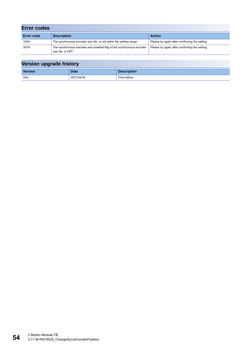| <b>Error codes</b> |                                                                                          |                                                |
|--------------------|------------------------------------------------------------------------------------------|------------------------------------------------|
| <b>Error code</b>  | <b>Description</b>                                                                       | <b>Action</b>                                  |
| 100H               | The synchronous encoder axis No. is not within the setting range.                        | Please try again after confirming the setting. |
| 301H               | The synchronous encoder axis enabled flag of the synchronous encoder<br>axis No. is OFF. | Please try again after confirming the setting. |

| --      |            |                    |
|---------|------------|--------------------|
| Version | Date       | <b>Description</b> |
| 00A     | 2021/04/30 | First edition      |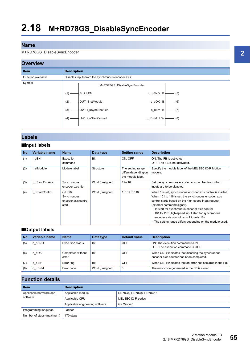#### M+RD78GS\_DisableSyncEncoder

## **Overview**



## **Labels**

## ■**Input labels**

| No. | Variable name | <b>Name</b>                                             | Data type       | <b>Setting range</b>                                           | <b>Description</b>                                                                                                                                                                                                                                                                                                                                                                                                             |
|-----|---------------|---------------------------------------------------------|-----------------|----------------------------------------------------------------|--------------------------------------------------------------------------------------------------------------------------------------------------------------------------------------------------------------------------------------------------------------------------------------------------------------------------------------------------------------------------------------------------------------------------------|
| (1) | bEN           | Execution<br>command                                    | Bit             | ON. OFF                                                        | ON: The FB is activated.<br>OFF: The FB is not activated.                                                                                                                                                                                                                                                                                                                                                                      |
| (2) | stModule      | Module label                                            | Structure       | The setting range<br>differs depending on<br>the module label. | Specify the module label of the MELSEC iQ-R Motion<br>module.                                                                                                                                                                                                                                                                                                                                                                  |
| (3) | uSyncEncAxis  | Synchronous<br>encoder axis No.                         | Word [unsigned] | 1 to 16                                                        | Set the synchronous encoder axis number from which<br>inputs are to be disabled.                                                                                                                                                                                                                                                                                                                                               |
| (4) | uStartControl | Cd.320:<br>Synchronous<br>encoder axis control<br>start | Word [unsigned] | 1.101 to 116                                                   | When 1 is set, synchronous encoder axis control is started.<br>When 101 to 116 is set, the synchronous encoder axis<br>control starts based on the high-speed input request<br>(external command signal).<br>• 1: Start for synchronous encoder axis control<br>• 101 to 116: High-speed input start for synchronous<br>encoder axis control (axis 1 to axis 16)<br>*: The setting range differs depending on the module used. |

#### ■**Output labels**

| No. | Variable name    | <b>Name</b>                | Data type       | Default value | <b>Description</b>                                                                               |
|-----|------------------|----------------------------|-----------------|---------------|--------------------------------------------------------------------------------------------------|
| (5) | bENO<br>$\Omega$ | Execution status           | <b>Bit</b>      | OFF           | ON: The execution command is ON.<br>OFF: The execution command is OFF.                           |
| (6) | bOK              | Completed without<br>error | <b>Bit</b>      | OFF           | When ON, it indicates that disabling the synchronous<br>encoder axis counter has been completed. |
|     | bErr<br>$\Omega$ | Error flag                 | <b>Bit</b>      | OFF           | When ON, it indicates that an error has occurred in the FB.                                      |
| (8) | o uErrid         | Error code                 | Word [unsigned] | 0             | The error code generated in the FB is stored.                                                    |

| <b>Item</b>                         | <b>Description</b>                           |                         |  |
|-------------------------------------|----------------------------------------------|-------------------------|--|
| Applicable hardware and<br>software | Applicable module                            | RD78G4, RD78G8, RD78G16 |  |
|                                     | Applicable CPU                               | MELSEC iQ-R series      |  |
|                                     | Applicable engineering software<br>GX Works3 |                         |  |
| Programming language                | Ladder                                       |                         |  |
| Number of steps (maximum)           | 170 steps                                    |                         |  |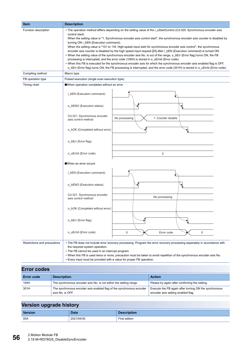| <b>Item</b>                  | <b>Description</b>                                                                                                                                                                                                                                                                                                                                                                                                                                                                                                                                                                                                                                                                                                                                                                                                                                                                                                                                                                                                                                |  |  |
|------------------------------|---------------------------------------------------------------------------------------------------------------------------------------------------------------------------------------------------------------------------------------------------------------------------------------------------------------------------------------------------------------------------------------------------------------------------------------------------------------------------------------------------------------------------------------------------------------------------------------------------------------------------------------------------------------------------------------------------------------------------------------------------------------------------------------------------------------------------------------------------------------------------------------------------------------------------------------------------------------------------------------------------------------------------------------------------|--|--|
| Function description         | • The operation method differs depending on the setting value of the i_uStartControl (Cd.320: Synchronous encoder axis<br>control start).<br>When the setting value is "1: Synchronous encoder axis control start", the synchronous encoder axis counter is disabled by<br>turning ON i_bEN (Execution command).<br>When the setting value is "101 to 116: High-speed input start for synchronous encoder axis control", the synchronous<br>encoder axis counter is disabled by the high speed input request [DI] after i_bEN (Execution command) is turned ON.<br>• When the setting value of the synchronous encoder axis No. is out of the range, o_bErr (Error flag) turns ON, the FB<br>processing is interrupted, and the error code (100H) is stored in o_uErrId (Error code).<br>• When this FB is executed for the synchronous encoder axis for which the synchronous encoder axis enabled flag is OFF,<br>o_bErr (Error flag) turns ON, the FB processing is interrupted, and the error code (301H) is stored in o_uErrld (Error code). |  |  |
| Compiling method             | Macro type                                                                                                                                                                                                                                                                                                                                                                                                                                                                                                                                                                                                                                                                                                                                                                                                                                                                                                                                                                                                                                        |  |  |
| FB operation type            | Pulsed execution (single scan execution type)                                                                                                                                                                                                                                                                                                                                                                                                                                                                                                                                                                                                                                                                                                                                                                                                                                                                                                                                                                                                     |  |  |
| Timing chart                 | When operation completes without an error                                                                                                                                                                                                                                                                                                                                                                                                                                                                                                                                                                                                                                                                                                                                                                                                                                                                                                                                                                                                         |  |  |
|                              | i_bEN (Execution command)                                                                                                                                                                                                                                                                                                                                                                                                                                                                                                                                                                                                                                                                                                                                                                                                                                                                                                                                                                                                                         |  |  |
|                              | o_bENO (Execution status)                                                                                                                                                                                                                                                                                                                                                                                                                                                                                                                                                                                                                                                                                                                                                                                                                                                                                                                                                                                                                         |  |  |
|                              | Cd.321: Synchronous encoder<br>1: Counter disable<br>No processing<br>axis control method                                                                                                                                                                                                                                                                                                                                                                                                                                                                                                                                                                                                                                                                                                                                                                                                                                                                                                                                                         |  |  |
|                              | o_bOK (Completed without error)                                                                                                                                                                                                                                                                                                                                                                                                                                                                                                                                                                                                                                                                                                                                                                                                                                                                                                                                                                                                                   |  |  |
|                              | o_bErr (Error flag)                                                                                                                                                                                                                                                                                                                                                                                                                                                                                                                                                                                                                                                                                                                                                                                                                                                                                                                                                                                                                               |  |  |
|                              | o_uErrId (Error code)<br>$\pmb{0}$                                                                                                                                                                                                                                                                                                                                                                                                                                                                                                                                                                                                                                                                                                                                                                                                                                                                                                                                                                                                                |  |  |
|                              | When an error occurs                                                                                                                                                                                                                                                                                                                                                                                                                                                                                                                                                                                                                                                                                                                                                                                                                                                                                                                                                                                                                              |  |  |
|                              | i_bEN (Execution command)                                                                                                                                                                                                                                                                                                                                                                                                                                                                                                                                                                                                                                                                                                                                                                                                                                                                                                                                                                                                                         |  |  |
|                              | o bENO (Execution status)                                                                                                                                                                                                                                                                                                                                                                                                                                                                                                                                                                                                                                                                                                                                                                                                                                                                                                                                                                                                                         |  |  |
|                              | Cd.321: Synchronous encoder<br>No processing<br>axis control method                                                                                                                                                                                                                                                                                                                                                                                                                                                                                                                                                                                                                                                                                                                                                                                                                                                                                                                                                                               |  |  |
|                              | o_bOK (Completed without error)                                                                                                                                                                                                                                                                                                                                                                                                                                                                                                                                                                                                                                                                                                                                                                                                                                                                                                                                                                                                                   |  |  |
|                              | o_bErr (Error flag)                                                                                                                                                                                                                                                                                                                                                                                                                                                                                                                                                                                                                                                                                                                                                                                                                                                                                                                                                                                                                               |  |  |
|                              | o uErrId (Error code)<br>$\mathsf 0$<br>0<br>Error code                                                                                                                                                                                                                                                                                                                                                                                                                                                                                                                                                                                                                                                                                                                                                                                                                                                                                                                                                                                           |  |  |
| Restrictions and precautions | • The FB does not include error recovery processing. Program the error recovery processing separately in accordance with<br>the required system operation.<br>• The FB cannot be used in an interrupt program.<br>. When this FB is used twice or more, precaution must be taken to avoid repetition of the synchronous encoder axis No.<br>. Every input must be provided with a value for proper FB operation.                                                                                                                                                                                                                                                                                                                                                                                                                                                                                                                                                                                                                                  |  |  |

## **Error codes**

| <b>Error code</b> | <b>Description</b>                                                                       | <b>Action</b>                                                                               |  |  |  |
|-------------------|------------------------------------------------------------------------------------------|---------------------------------------------------------------------------------------------|--|--|--|
| 100H              | The synchronous encoder axis No. is not within the setting range.                        | Please try again after confirming the setting.                                              |  |  |  |
| 301H              | The synchronous encoder axis enabled flag of the synchronous encoder<br>axis No. is OFF. | Execute the FB again after turning ON the synchronous<br>encoder axis setting enabled flag. |  |  |  |

| - -     |             |                      |
|---------|-------------|----------------------|
| Version | <b>Date</b> | <b>Description</b>   |
| 00A     | 2021/04/30  | <b>First edition</b> |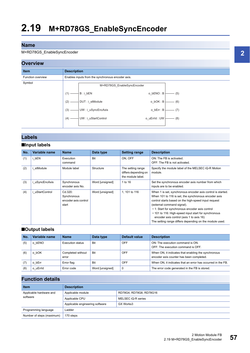#### M+RD78GS\_EnableSyncEncoder

## **Overview**



## **Labels**

### ■**Input labels**

| No. | Variable name  | <b>Name</b>                                             | Data type       | <b>Setting range</b>                                           | <b>Description</b>                                                                                                                                                                                                                                                                                                                                                                                                          |
|-----|----------------|---------------------------------------------------------|-----------------|----------------------------------------------------------------|-----------------------------------------------------------------------------------------------------------------------------------------------------------------------------------------------------------------------------------------------------------------------------------------------------------------------------------------------------------------------------------------------------------------------------|
| (1) | bEN            | Execution<br>command                                    | Bit             | ON, OFF                                                        | ON: The FB is activated.<br>OFF: The FB is not activated.                                                                                                                                                                                                                                                                                                                                                                   |
| (2) | stModule       | Module label                                            | Structure       | The setting range<br>differs depending on<br>the module label. | Specify the module label of the MELSEC iQ-R Motion<br>module.                                                                                                                                                                                                                                                                                                                                                               |
| (3) | i uSyncEncAxis | Synchronous<br>encoder axis No.                         | Word [unsigned] | 1 to 16                                                        | Set the synchronous encoder axis number from which<br>inputs are to be enabled.                                                                                                                                                                                                                                                                                                                                             |
| (4) | uStartControl  | Cd.320:<br>Synchronous<br>encoder axis control<br>start | Word [unsigned] | 1.101 to 116                                                   | When 1 is set, synchronous encoder axis control is started.<br>When 101 to 116 is set, the synchronous encoder axis<br>control starts based on the high-speed input request<br>(external command signal).<br>• 1: Start for synchronous encoder axis control<br>• 101 to 116: High-speed input start for synchronous<br>encoder axis control (axis 1 to axis 16)<br>The setting range differs depending on the module used. |

#### ■**Output labels**

| No. | Variable name   | <b>Name</b>                | Data type       | Default value | <b>Description</b>                                                                              |
|-----|-----------------|----------------------------|-----------------|---------------|-------------------------------------------------------------------------------------------------|
| (5) | bENO            | Execution status           | <b>Bit</b>      | OFF           | ON: The execution command is ON.<br>OFF: The execution command is OFF.                          |
|     | bOK<br>o        | Completed without<br>error | <b>Bit</b>      | OFF           | When ON, it indicates that enabling the synchronous<br>encoder axis counter has been completed. |
|     | bErr<br>$\circ$ | Error flag                 | <b>Bit</b>      | OFF           | When ON, it indicates that an error has occurred in the FB.                                     |
| (8) | o uErrid        | Error code                 | Word [unsigned] | 0             | The error code generated in the FB is stored.                                                   |

| <b>Item</b>                         | <b>Description</b>                           |                         |  |
|-------------------------------------|----------------------------------------------|-------------------------|--|
| Applicable hardware and<br>software | Applicable module                            | RD78G4, RD78G8, RD78G16 |  |
|                                     | Applicable CPU                               | MELSEC iQ-R series      |  |
|                                     | Applicable engineering software<br>GX Works3 |                         |  |
| Programming language                | Ladder                                       |                         |  |
| Number of steps (maximum)           | 170 steps                                    |                         |  |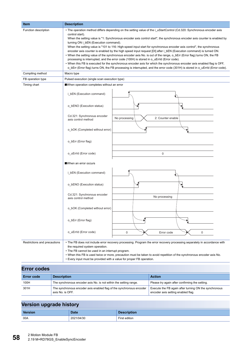| <b>Item</b>                  | <b>Description</b>                                                                                                                                                                                                                                                                                                                                                                                                                                                                                                                                                                                                                                                                                                                                                                                                                                                                                                                                                                                                                              |  |  |  |
|------------------------------|-------------------------------------------------------------------------------------------------------------------------------------------------------------------------------------------------------------------------------------------------------------------------------------------------------------------------------------------------------------------------------------------------------------------------------------------------------------------------------------------------------------------------------------------------------------------------------------------------------------------------------------------------------------------------------------------------------------------------------------------------------------------------------------------------------------------------------------------------------------------------------------------------------------------------------------------------------------------------------------------------------------------------------------------------|--|--|--|
| Function description         | • The operation method differs depending on the setting value of the i_uStartControl (Cd.320: Synchronous encoder axis<br>control start).<br>When the setting value is "1: Synchronous encoder axis control start", the synchronous encoder axis counter is enabled by<br>turning ON i_bEN (Execution command).<br>When the setting value is "101 to 116: High-speed input start for synchronous encoder axis control", the synchronous<br>encoder axis counter is enabled by the high speed input request [DI] after i_bEN (Execution command) is turned ON.<br>• When the setting value of the synchronous encoder axis No. is out of the range, o_bErr (Error flag) turns ON, the FB<br>processing is interrupted, and the error code (100H) is stored in o_uErrId (Error code).<br>• When this FB is executed for the synchronous encoder axis for which the synchronous encoder axis enabled flag is OFF,<br>o bErr (Error flag) turns ON, the FB processing is interrupted, and the error code (301H) is stored in o uErrld (Error code). |  |  |  |
| Compiling method             | Macro type                                                                                                                                                                                                                                                                                                                                                                                                                                                                                                                                                                                                                                                                                                                                                                                                                                                                                                                                                                                                                                      |  |  |  |
| FB operation type            | Pulsed execution (single scan execution type)                                                                                                                                                                                                                                                                                                                                                                                                                                                                                                                                                                                                                                                                                                                                                                                                                                                                                                                                                                                                   |  |  |  |
| Timing chart                 | When operation completes without an error                                                                                                                                                                                                                                                                                                                                                                                                                                                                                                                                                                                                                                                                                                                                                                                                                                                                                                                                                                                                       |  |  |  |
|                              | i_bEN (Execution command)                                                                                                                                                                                                                                                                                                                                                                                                                                                                                                                                                                                                                                                                                                                                                                                                                                                                                                                                                                                                                       |  |  |  |
|                              | o_bENO (Execution status)                                                                                                                                                                                                                                                                                                                                                                                                                                                                                                                                                                                                                                                                                                                                                                                                                                                                                                                                                                                                                       |  |  |  |
|                              | Cd.321: Synchronous encoder<br>No processing<br>2: Counter enable<br>axis control method                                                                                                                                                                                                                                                                                                                                                                                                                                                                                                                                                                                                                                                                                                                                                                                                                                                                                                                                                        |  |  |  |
|                              | o_bOK (Completed without error)                                                                                                                                                                                                                                                                                                                                                                                                                                                                                                                                                                                                                                                                                                                                                                                                                                                                                                                                                                                                                 |  |  |  |
|                              | o bErr (Error flag)                                                                                                                                                                                                                                                                                                                                                                                                                                                                                                                                                                                                                                                                                                                                                                                                                                                                                                                                                                                                                             |  |  |  |
|                              | o_uErrId (Error code)<br>0                                                                                                                                                                                                                                                                                                                                                                                                                                                                                                                                                                                                                                                                                                                                                                                                                                                                                                                                                                                                                      |  |  |  |
|                              | When an error occurs                                                                                                                                                                                                                                                                                                                                                                                                                                                                                                                                                                                                                                                                                                                                                                                                                                                                                                                                                                                                                            |  |  |  |
|                              | i_bEN (Execution command)                                                                                                                                                                                                                                                                                                                                                                                                                                                                                                                                                                                                                                                                                                                                                                                                                                                                                                                                                                                                                       |  |  |  |
|                              | o_bENO (Execution status)                                                                                                                                                                                                                                                                                                                                                                                                                                                                                                                                                                                                                                                                                                                                                                                                                                                                                                                                                                                                                       |  |  |  |
|                              | Cd.321: Synchronous encoder<br>No processing<br>axis control method                                                                                                                                                                                                                                                                                                                                                                                                                                                                                                                                                                                                                                                                                                                                                                                                                                                                                                                                                                             |  |  |  |
|                              | o_bOK (Completed without error)                                                                                                                                                                                                                                                                                                                                                                                                                                                                                                                                                                                                                                                                                                                                                                                                                                                                                                                                                                                                                 |  |  |  |
|                              | o bErr (Error flag)                                                                                                                                                                                                                                                                                                                                                                                                                                                                                                                                                                                                                                                                                                                                                                                                                                                                                                                                                                                                                             |  |  |  |
|                              | o_uErrId (Error code)<br>$\mathsf 0$<br>Error code<br>0                                                                                                                                                                                                                                                                                                                                                                                                                                                                                                                                                                                                                                                                                                                                                                                                                                                                                                                                                                                         |  |  |  |
| Restrictions and precautions | • The FB does not include error recovery processing. Program the error recovery processing separately in accordance with<br>the required system operation.<br>• The FB cannot be used in an interrupt program.<br>. When this FB is used twice or more, precaution must be taken to avoid repetition of the synchronous encoder axis No.<br>• Every input must be provided with a value for proper FB operation.                                                                                                                                                                                                                                                                                                                                                                                                                                                                                                                                                                                                                                |  |  |  |

## **Error codes**

| <b>Error code</b> | <b>Description</b>                                                                       | <b>Action</b>                                                                               |
|-------------------|------------------------------------------------------------------------------------------|---------------------------------------------------------------------------------------------|
| 100H              | The synchronous encoder axis No. is not within the setting range.                        | Please try again after confirming the setting.                                              |
| 301H              | The synchronous encoder axis enabled flag of the synchronous encoder<br>axis No. is OFF. | Execute the FB again after turning ON the synchronous<br>encoder axis setting enabled flag. |

| . .     |            |                    |
|---------|------------|--------------------|
| Version | Date       | <b>Description</b> |
| 00A     | 2021/04/30 | First edition      |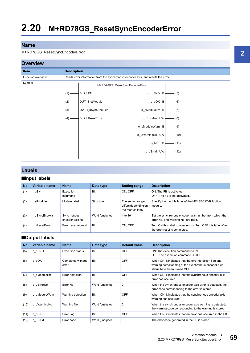#### M+RD78GS\_ResetSyncEncoderError



## **Labels**

#### ■**Input labels**

| No. | Variable name | <b>Name</b>                     | Data type       | <b>Setting range</b>                                           | <b>Description</b>                                                                             |
|-----|---------------|---------------------------------|-----------------|----------------------------------------------------------------|------------------------------------------------------------------------------------------------|
| (1) | bEN           | Execution<br>command            | Bit             | ON. OFF                                                        | ON: The FB is activated.<br>OFF: The FB is not activated.                                      |
| (2) | stModule      | Module label                    | Structure       | The setting range<br>differs depending on<br>the module label. | Specify the module label of the MELSEC iQ-R Motion<br>module.                                  |
| (3) | uSyncEncAxis  | Synchronous<br>encoder axis No. | Word [unsigned] | 1 to 16                                                        | Set the synchronous encoder axis number from which the<br>error No. and warning No. are read.  |
| (4) | bResetError   | Error reset request             | <b>Bit</b>      | ON, OFF                                                        | Turn ON this label to reset errors. Turn OFF this label after<br>the error reset is completed. |

### ■**Output labels**

| No.  | Variable name | <b>Name</b>                | Data type       | <b>Default value</b> | <b>Description</b>                                                                                                                                |
|------|---------------|----------------------------|-----------------|----------------------|---------------------------------------------------------------------------------------------------------------------------------------------------|
| (5)  | o bENO        | <b>Execution status</b>    | Bit             | <b>OFF</b>           | ON: The execution command is ON.<br>OFF: The execution command is OFF.                                                                            |
| (6)  | o bOK         | Completed without<br>error | <b>Bit</b>      | <b>OFF</b>           | When ON, it indicates that the error detection flag and<br>warning detection flag of the synchronous encoder axis<br>status have been turned OFF. |
| (7)  | o bModuleErr  | Error detection            | Bit             | <b>OFF</b>           | When ON, it indicates that the synchronous encoder axis<br>error has occurred.                                                                    |
| (8)  | o uErrorNo    | Error No.                  | Word [unsigned] | $\mathbf 0$          | When the synchronous encoder axis error is detected, the<br>error code corresponding to the error is stored.                                      |
| (9)  | o bModuleWarn | Warning detection          | Bit             | <b>OFF</b>           | When ON, it indicates that the synchronous encoder axis<br>warning has occurred.                                                                  |
| (10) | o uWarningNo  | Warning No.                | Word [unsigned] | $\mathbf 0$          | When the synchronous encoder axis warning is detected,<br>the warning code corresponding to the warning is stored.                                |
| (11) | o bErr        | Error flag                 | Bit             | <b>OFF</b>           | When ON, it indicates that an error has occurred in the FB.                                                                                       |
| (12) | o uErrld      | Error code                 | Word [unsigned] | 0                    | The error code generated in the FB is stored.                                                                                                     |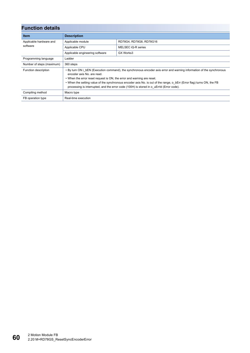| <b>Function details</b>   |                                                                                                                                                                                                                                                                                                                                                                                                                                                     |                         |  |
|---------------------------|-----------------------------------------------------------------------------------------------------------------------------------------------------------------------------------------------------------------------------------------------------------------------------------------------------------------------------------------------------------------------------------------------------------------------------------------------------|-------------------------|--|
| <b>Item</b>               | <b>Description</b>                                                                                                                                                                                                                                                                                                                                                                                                                                  |                         |  |
| Applicable hardware and   | Applicable module                                                                                                                                                                                                                                                                                                                                                                                                                                   | RD78G4, RD78G8, RD78G16 |  |
| software                  | Applicable CPU                                                                                                                                                                                                                                                                                                                                                                                                                                      | MELSEC iQ-R series      |  |
|                           | Applicable engineering software                                                                                                                                                                                                                                                                                                                                                                                                                     | GX Works3               |  |
| Programming language      | Ladder                                                                                                                                                                                                                                                                                                                                                                                                                                              |                         |  |
| Number of steps (maximum) | 360 steps                                                                                                                                                                                                                                                                                                                                                                                                                                           |                         |  |
| Function description      | • By turn ON i bEN (Execution command), the synchronous encoder axis error and warning information of the synchronous<br>encoder axis No. are read.<br>• When the error reset request is ON, the error and warning are reset.<br>• When the setting value of the synchronous encoder axis No. is out of the range, o bErr (Error flag) turns ON, the FB<br>processing is interrupted, and the error code (100H) is stored in o uErrld (Error code). |                         |  |
| Compiling method          | Macro type                                                                                                                                                                                                                                                                                                                                                                                                                                          |                         |  |
| FB operation type         | Real-time execution                                                                                                                                                                                                                                                                                                                                                                                                                                 |                         |  |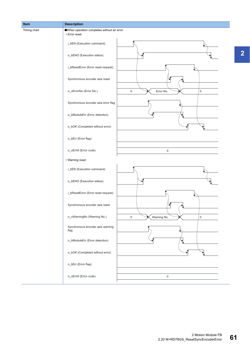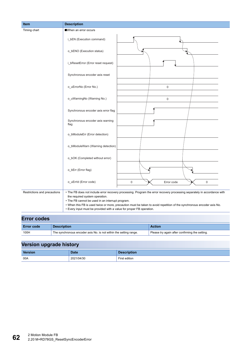| Item                         | <b>Description</b>                                                                                                                                                                                             |
|------------------------------|----------------------------------------------------------------------------------------------------------------------------------------------------------------------------------------------------------------|
| Timing chart                 | When an error occurs                                                                                                                                                                                           |
|                              | i_bEN (Execution command)                                                                                                                                                                                      |
|                              | o_bENO (Execution status)                                                                                                                                                                                      |
|                              | i_bResetError (Error reset request)                                                                                                                                                                            |
|                              | Synchronous encoder axis reset                                                                                                                                                                                 |
|                              | o_uErrorNo (Error No.)<br>$\mathsf{O}\xspace$                                                                                                                                                                  |
|                              | o_uWarningNo (Warning No.)<br>0                                                                                                                                                                                |
|                              | Synchronous encoder axis error flag                                                                                                                                                                            |
|                              | Synchronous encoder axis warning<br>flag                                                                                                                                                                       |
|                              | o_bModuleErr (Error detection)                                                                                                                                                                                 |
|                              | o_bModuleWarn (Warning detection)                                                                                                                                                                              |
|                              | o_bOK (Completed without error)                                                                                                                                                                                |
|                              | o_bErr (Error flag)                                                                                                                                                                                            |
|                              | o_uErrId (Error code)<br>0<br>Error code<br>$\mathbf 0$                                                                                                                                                        |
| Restrictions and precautions | . The FB does not include error recovery processing. Program the error recovery processing separately in accordance with<br>the required system operation.<br>• The FB cannot be used in an interrupt program. |
|                              | . When this FB is used twice or more, precaution must be taken to avoid repetition of the synchronous encoder axis No.                                                                                         |
|                              | • Every input must be provided with a value for proper FB operation.                                                                                                                                           |

## **Error codes**

| <b>Error code</b> | <b>Description</b>                                                | Action                                         |
|-------------------|-------------------------------------------------------------------|------------------------------------------------|
| 100H              | The synchronous encoder axis No. is not within the setting range. | Please try again after confirming the setting. |

| __      |             |                    |
|---------|-------------|--------------------|
| Version | <b>Date</b> | <b>Description</b> |
| 00A     | 2021/04/30  | First edition      |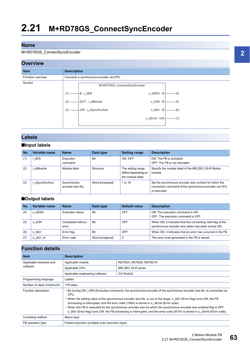#### M+RD78GS\_ConnectSyncEncoder

## **Overview**



## **Labels**

### ■**Input labels**

| No. | Variable name | <b>Name</b>                     | Data type       | <b>Setting range</b>                                           | <b>Description</b>                                                                                                             |
|-----|---------------|---------------------------------|-----------------|----------------------------------------------------------------|--------------------------------------------------------------------------------------------------------------------------------|
| (1) | bEN           | Execution<br>command            | <b>Bit</b>      | ON. OFF                                                        | ON: The FB is activated.<br>OFF: The FB is not activated.                                                                      |
| (2) | stModule      | Module label                    | Structure       | The setting range<br>differs depending on<br>the module label. | Specify the module label of the MELSEC iQ-R Motion<br>module.                                                                  |
| (3) | uSyncEncAxis  | Synchronous<br>encoder axis No. | Word [unsigned] | 1 to 16                                                        | Set the synchronous encoder axis number for which the<br>connection command of the synchronous encoder via CPU<br>is executed. |

#### ■**Output labels**

| No. | Variable name    | <b>Name</b>                | Data type       | <b>Default value</b> | <b>Description</b>                                                                                                 |
|-----|------------------|----------------------------|-----------------|----------------------|--------------------------------------------------------------------------------------------------------------------|
| (4) | bENO<br>$\Omega$ | <b>Execution status</b>    | Bit             | OFF                  | ON: The execution command is ON.<br>OFF: The execution command is OFF.                                             |
| (5) | bOK<br>o         | Completed without<br>error | Bit             | OFF                  | When ON, it indicates that the connecting valid flag of the<br>synchronous encoder axis status has been turned ON. |
| (6) | bErr<br>$\Omega$ | Error flag                 | Bit             | OFF                  | When ON, it indicates that an error has occurred in the FB.                                                        |
|     | o_uErr_ld        | Error code                 | Word [unsigned] | 0                    | The error code generated in the FB is stored.                                                                      |

| <b>Item</b>               | <b>Description</b>                                                                                                                                                                                                                                                                                                                                                                                                                                                                                                                                                                                                |                         |  |
|---------------------------|-------------------------------------------------------------------------------------------------------------------------------------------------------------------------------------------------------------------------------------------------------------------------------------------------------------------------------------------------------------------------------------------------------------------------------------------------------------------------------------------------------------------------------------------------------------------------------------------------------------------|-------------------------|--|
| Applicable hardware and   | Applicable module                                                                                                                                                                                                                                                                                                                                                                                                                                                                                                                                                                                                 | RD78G4, RD78G8, RD78G16 |  |
| software                  | Applicable CPU                                                                                                                                                                                                                                                                                                                                                                                                                                                                                                                                                                                                    | MELSEC iQ-R series      |  |
|                           | Applicable engineering software                                                                                                                                                                                                                                                                                                                                                                                                                                                                                                                                                                                   | GX Works3               |  |
| Programming language      | Ladder                                                                                                                                                                                                                                                                                                                                                                                                                                                                                                                                                                                                            |                         |  |
| Number of steps (maximum) | 176 steps                                                                                                                                                                                                                                                                                                                                                                                                                                                                                                                                                                                                         |                         |  |
| Function description      | • By turning ON i bEN (Execution command), the synchronous encoder of the synchronous encoder axis No. is connected via<br>CPU.<br>• When the setting value of the synchronous encoder axis No. is out of the range, o bErr (Error flag) turns ON, the FB<br>processing is interrupted, and the error code (100H) is stored in o uErrld (Error code).<br>. When this FB is executed for the synchronous encoder axis for which the synchronous encoder axis enabled flag is OFF,<br>o bErr (Error flag) turns ON, the FB processing is interrupted, and the error code (301H) is stored in o uErrld (Error code). |                         |  |
| Compiling method          | Macro type                                                                                                                                                                                                                                                                                                                                                                                                                                                                                                                                                                                                        |                         |  |
| FB operation type         | Pulsed execution (multiple scan execution type)                                                                                                                                                                                                                                                                                                                                                                                                                                                                                                                                                                   |                         |  |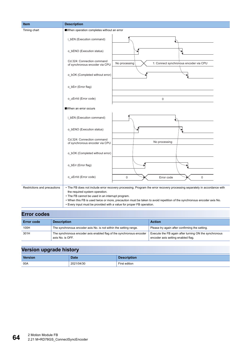| Item                         | <b>Description</b>                                                                                                                                         |                                                                                                                                                                                                                                                    |
|------------------------------|------------------------------------------------------------------------------------------------------------------------------------------------------------|----------------------------------------------------------------------------------------------------------------------------------------------------------------------------------------------------------------------------------------------------|
| Timing chart                 | When operation completes without an error                                                                                                                  |                                                                                                                                                                                                                                                    |
|                              | i_bEN (Execution command)                                                                                                                                  |                                                                                                                                                                                                                                                    |
|                              | o_bENO (Execution status)                                                                                                                                  |                                                                                                                                                                                                                                                    |
|                              | Cd.324: Connection command<br>of synchronous encoder via CPU                                                                                               | 1: Connect synchronous encoder via CPU<br>No processing                                                                                                                                                                                            |
|                              | o_bOK (Completed without error)                                                                                                                            |                                                                                                                                                                                                                                                    |
|                              | o_bErr (Error flag)                                                                                                                                        |                                                                                                                                                                                                                                                    |
|                              | o_uErrId (Error code)                                                                                                                                      | $\mathbf 0$                                                                                                                                                                                                                                        |
|                              | When an error occurs                                                                                                                                       |                                                                                                                                                                                                                                                    |
|                              | i_bEN (Execution command)                                                                                                                                  |                                                                                                                                                                                                                                                    |
|                              | o_bENO (Execution status)                                                                                                                                  |                                                                                                                                                                                                                                                    |
|                              | Cd.324: Connection command<br>of synchronous encoder via CPU                                                                                               | No processing                                                                                                                                                                                                                                      |
|                              | o_bOK (Completed without error)                                                                                                                            |                                                                                                                                                                                                                                                    |
|                              | o_bErr (Error flag)                                                                                                                                        |                                                                                                                                                                                                                                                    |
|                              | o_uErrId (Error code)                                                                                                                                      | 0<br>Error code<br>0                                                                                                                                                                                                                               |
| Restrictions and precautions | the required system operation.<br>• The FB cannot be used in an interrupt program.<br>• Every input must be provided with a value for proper FB operation. | • The FB does not include error recovery processing. Program the error recovery processing separately in accordance with<br>. When this FB is used twice or more, precaution must be taken to avoid repetition of the synchronous encoder axis No. |
|                              |                                                                                                                                                            |                                                                                                                                                                                                                                                    |

| <b>Error codes</b> |                                                                                          |                                                                                             |  |  |  |
|--------------------|------------------------------------------------------------------------------------------|---------------------------------------------------------------------------------------------|--|--|--|
| <b>Error code</b>  | <b>Description</b>                                                                       | <b>Action</b>                                                                               |  |  |  |
| 100H               | The synchronous encoder axis No. is not within the setting range.                        | Please try again after confirming the setting.                                              |  |  |  |
| 301H               | The synchronous encoder axis enabled flag of the synchronous encoder<br>axis No. is OFF. | Execute the FB again after turning ON the synchronous<br>encoder axis setting enabled flag. |  |  |  |

| --             |             |                    |
|----------------|-------------|--------------------|
| <b>Version</b> | <b>Date</b> | <b>Description</b> |
| 00A            | 2021/04/30  | First edition      |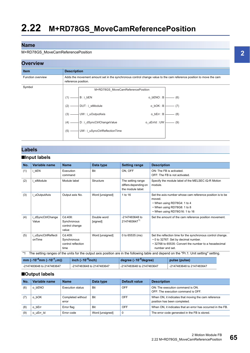#### M+RD78GS\_MoveCamReferencePosition

## **Overview**



## **Labels**

#### ■**Input labels**

| No. | Variable name                 | <b>Name</b>                                          | Data type               | <b>Setting range</b>                                           | <b>Description</b>                                                                                                                                                              |
|-----|-------------------------------|------------------------------------------------------|-------------------------|----------------------------------------------------------------|---------------------------------------------------------------------------------------------------------------------------------------------------------------------------------|
| (1) | i bEN                         | Execution<br>command                                 | <b>Bit</b>              | ON, OFF                                                        | ON: The FB is activated.<br>OFF: The FB is not activated.                                                                                                                       |
| (2) | i stModule                    | Module label                                         | Structure               | The setting range<br>differs depending on<br>the module label. | Specify the module label of the MELSEC iQ-R Motion<br>module.                                                                                                                   |
| (3) | i uOutputAxis                 | Output axis No.                                      | Word [unsigned]         | 1 to 16                                                        | Set the axis number whose cam reference position is to be<br>moved.<br>• When using RD78G4: 1 to 4<br>• When using RD78G8: 1 to 8<br>• When using RD78G16: 1 to 16              |
| (4) | dSyncCtrlChange<br>Value      | Cd.408:<br>Synchronous<br>control change<br>value    | Double word<br>[signed] | -2147483648 to<br>21474836471                                  | Set the amount of the cam reference position movement.                                                                                                                          |
| (5) | i uSyncCtrlReflecti<br>onTime | Cd.409:<br>Synchronous<br>control reflection<br>time | Word [unsigned]         | 0 to $65535$ (ms)                                              | Set the reflection time for the synchronous control change.<br>• 0 to 32767: Set by decimal number.<br>• 32768 to 65535: Convert the number to a hexadecimal<br>number and set. |
|     |                               |                                                      |                         |                                                                | The setting ranges of the units for the output axis position are in the following table and depend on the "Pr.1: Unit setting" setting.                                         |

<span id="page-66-0"></span>

| mm ( $\times$ 10 <sup>-4</sup> mm ( $\times$ 10 <sup>-1</sup> µm)) | inch ( $\times$ 10 <sup>-5</sup> inch) | degree ( $\times$ 10 <sup>-9</sup> degree) | pulse (pulse)             |
|--------------------------------------------------------------------|----------------------------------------|--------------------------------------------|---------------------------|
| -2147483648 to 2147483647                                          | -2147483648 to 2147483647              | -2147483648 to 2147483647                  | -2147483648 to 2147483647 |

## ■**Output labels**

| No. | Variable name | <b>Name</b>                | Data type       | Default value | <b>Description</b>                                                                  |
|-----|---------------|----------------------------|-----------------|---------------|-------------------------------------------------------------------------------------|
| (6) | o bENO        | Execution status           | <b>Bit</b>      | OFF           | ON: The execution command is ON.<br>OFF: The execution command is OFF.              |
|     | o bOK         | Completed without<br>error | Bit             | OFF           | When ON, it indicates that moving the cam reference<br>position has been completed. |
| (8) | bErr<br>o     | Error flag                 | Bit             | OFF           | When ON, it indicates that an error has occurred in the FB.                         |
| (9) | o uErr Id     | Error code                 | Word [unsigned] | $\mathbf 0$   | The error code generated in the FB is stored.                                       |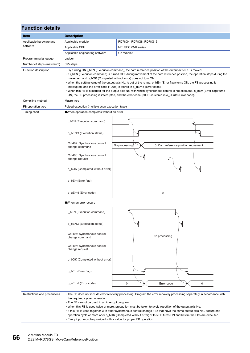| <b>Function details</b>      |                                                                                                                                                            |                                                                                                                                                                                                                                                                                                                                                                                                                                                                                                                                                                                                                                                                                      |  |  |  |  |
|------------------------------|------------------------------------------------------------------------------------------------------------------------------------------------------------|--------------------------------------------------------------------------------------------------------------------------------------------------------------------------------------------------------------------------------------------------------------------------------------------------------------------------------------------------------------------------------------------------------------------------------------------------------------------------------------------------------------------------------------------------------------------------------------------------------------------------------------------------------------------------------------|--|--|--|--|
| Item                         | <b>Description</b>                                                                                                                                         |                                                                                                                                                                                                                                                                                                                                                                                                                                                                                                                                                                                                                                                                                      |  |  |  |  |
| Applicable hardware and      | Applicable module                                                                                                                                          | RD78G4, RD78G8, RD78G16                                                                                                                                                                                                                                                                                                                                                                                                                                                                                                                                                                                                                                                              |  |  |  |  |
| software                     | Applicable CPU                                                                                                                                             | MELSEC iQ-R series                                                                                                                                                                                                                                                                                                                                                                                                                                                                                                                                                                                                                                                                   |  |  |  |  |
|                              | Applicable engineering software                                                                                                                            | GX Works3                                                                                                                                                                                                                                                                                                                                                                                                                                                                                                                                                                                                                                                                            |  |  |  |  |
| Programming language         | Ladder                                                                                                                                                     |                                                                                                                                                                                                                                                                                                                                                                                                                                                                                                                                                                                                                                                                                      |  |  |  |  |
| Number of steps (maximum)    | 355 steps                                                                                                                                                  |                                                                                                                                                                                                                                                                                                                                                                                                                                                                                                                                                                                                                                                                                      |  |  |  |  |
| Function description         | movement and o_bOK (Completed without error) does not turn ON.                                                                                             | • By turning ON i_bEN (Execution command), the cam reference position of the output axis No. is moved.<br>• If i bEN (Execution command) is turned OFF during movement of the cam reference position, the operation stops during the<br>• When the setting value of the output axis No. is out of the range, o bErr (Error flag) turns ON, the FB processing is<br>interrupted, and the error code (100H) is stored in o_uErrId (Error code).<br>. When this FB is executed for the output axis No. with which synchronous control is not executed, o_bErr (Error flag) turns<br>ON, the FB processing is interrupted, and the error code (300H) is stored in o_uErrld (Error code). |  |  |  |  |
| Compiling method             | Macro type                                                                                                                                                 |                                                                                                                                                                                                                                                                                                                                                                                                                                                                                                                                                                                                                                                                                      |  |  |  |  |
| FB operation type            | Pulsed execution (multiple scan execution type)                                                                                                            |                                                                                                                                                                                                                                                                                                                                                                                                                                                                                                                                                                                                                                                                                      |  |  |  |  |
| Timing chart                 | When operation completes without an error                                                                                                                  |                                                                                                                                                                                                                                                                                                                                                                                                                                                                                                                                                                                                                                                                                      |  |  |  |  |
|                              | i bEN (Execution command)                                                                                                                                  |                                                                                                                                                                                                                                                                                                                                                                                                                                                                                                                                                                                                                                                                                      |  |  |  |  |
|                              | o_bENO (Execution status)                                                                                                                                  |                                                                                                                                                                                                                                                                                                                                                                                                                                                                                                                                                                                                                                                                                      |  |  |  |  |
|                              | Cd.407: Synchronous control<br>change command                                                                                                              | No processing<br>0: Cam reference position movement                                                                                                                                                                                                                                                                                                                                                                                                                                                                                                                                                                                                                                  |  |  |  |  |
|                              | Cd.406: Synchronous control<br>change request                                                                                                              |                                                                                                                                                                                                                                                                                                                                                                                                                                                                                                                                                                                                                                                                                      |  |  |  |  |
|                              | o_bOK (Completed without error)                                                                                                                            |                                                                                                                                                                                                                                                                                                                                                                                                                                                                                                                                                                                                                                                                                      |  |  |  |  |
|                              | o_bErr (Error flag)                                                                                                                                        |                                                                                                                                                                                                                                                                                                                                                                                                                                                                                                                                                                                                                                                                                      |  |  |  |  |
|                              | o_uErrId (Error code)                                                                                                                                      | $\mathbf 0$                                                                                                                                                                                                                                                                                                                                                                                                                                                                                                                                                                                                                                                                          |  |  |  |  |
|                              | ■When an error occurs                                                                                                                                      |                                                                                                                                                                                                                                                                                                                                                                                                                                                                                                                                                                                                                                                                                      |  |  |  |  |
|                              | i_bEN (Execution command)                                                                                                                                  |                                                                                                                                                                                                                                                                                                                                                                                                                                                                                                                                                                                                                                                                                      |  |  |  |  |
|                              | o_bENO (Execution status)                                                                                                                                  |                                                                                                                                                                                                                                                                                                                                                                                                                                                                                                                                                                                                                                                                                      |  |  |  |  |
|                              | Cd.407: Synchronous control<br>change command                                                                                                              | No processing                                                                                                                                                                                                                                                                                                                                                                                                                                                                                                                                                                                                                                                                        |  |  |  |  |
|                              | Cd.406: Synchronous control<br>change request                                                                                                              |                                                                                                                                                                                                                                                                                                                                                                                                                                                                                                                                                                                                                                                                                      |  |  |  |  |
|                              | o_bOK (Completed without error)                                                                                                                            |                                                                                                                                                                                                                                                                                                                                                                                                                                                                                                                                                                                                                                                                                      |  |  |  |  |
|                              | o_bErr (Error flag)                                                                                                                                        |                                                                                                                                                                                                                                                                                                                                                                                                                                                                                                                                                                                                                                                                                      |  |  |  |  |
|                              | o_uErrId (Error code)                                                                                                                                      | $\mathsf 0$<br>0<br>Error code                                                                                                                                                                                                                                                                                                                                                                                                                                                                                                                                                                                                                                                       |  |  |  |  |
| Restrictions and precautions | the required system operation.<br>• The FB cannot be used in an interrupt program.<br>• Every input must be provided with a value for proper FB operation. | • The FB does not include error recovery processing. Program the error recovery processing separately in accordance with<br>. When this FB is used twice or more, precaution must be taken to avoid repetition of the output axis No.<br>. If this FB is used together with other synchronous control change FBs that have the same output axis No., secure one<br>operation cycle or more after o_bOK (Completed without error) of this FB turns ON and before the FBs are executed.                                                                                                                                                                                                |  |  |  |  |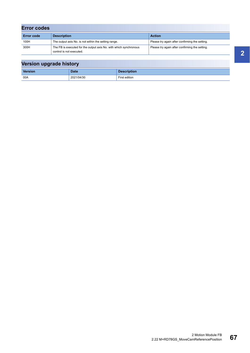| <b>Error codes</b> |                                                                                               |                                                |  |  |  |
|--------------------|-----------------------------------------------------------------------------------------------|------------------------------------------------|--|--|--|
| <b>Error code</b>  | <b>Description</b>                                                                            | <b>Action</b>                                  |  |  |  |
| 100H               | The output axis No. is not within the setting range.                                          | Please try again after confirming the setting. |  |  |  |
| 300H               | The FB is executed for the output axis No. with which synchronous<br>control is not executed. | Please try again after confirming the setting. |  |  |  |

| Version upgrade history |             |                    |  |  |
|-------------------------|-------------|--------------------|--|--|
| <b>Version</b>          | <b>Date</b> | <b>Description</b> |  |  |
| 00A                     | 2021/04/30  | First edition      |  |  |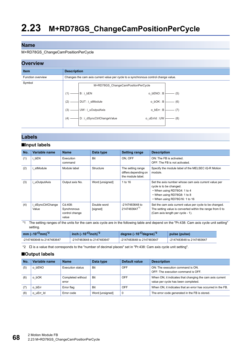#### M+RD78GS\_ChangeCamPositionPerCycle

## **Overview**

| <b></b>           |                    |                                                                                     |              |     |
|-------------------|--------------------|-------------------------------------------------------------------------------------|--------------|-----|
| <b>Item</b>       | <b>Description</b> |                                                                                     |              |     |
| Function overview |                    | Changes the cam axis current value per cycle to a synchronous control change value. |              |     |
| Symbol            |                    | M+RD78GS ChangeCamPositionPerCycle                                                  |              |     |
|                   | (1)                | B:i bEN                                                                             | o bENO: B    | (5) |
|                   | (2)                | DUT: i_stModule                                                                     | $o_bOK : B$  | (6) |
|                   | (3)                | UW: i_uOutputAxis                                                                   | o_bErr: B    | (7) |
|                   | (4)                | D: i_dSyncCtrlChangeValue                                                           | o_uErrId: UW | (8) |
|                   |                    |                                                                                     |              |     |

## **Labels**

### ■**Input labels**

| No. | Variable name            | <b>Name</b>                                       | Data type               | <b>Setting range</b>                                           | <b>Description</b>                                                                                                                                                             |
|-----|--------------------------|---------------------------------------------------|-------------------------|----------------------------------------------------------------|--------------------------------------------------------------------------------------------------------------------------------------------------------------------------------|
| (1) | bEN                      | Execution<br>command                              | <b>Bit</b>              | ON. OFF                                                        | ON: The FB is activated.<br>OFF: The FB is not activated.                                                                                                                      |
| (2) | stModule                 | Module label                                      | Structure               | The setting range<br>differs depending on<br>the module label. | Specify the module label of the MELSEC iQ-R Motion<br>module.                                                                                                                  |
| (3) | uOutputAxis              | Output axis No.                                   | Word [unsigned]         | 1 to 16                                                        | Set the axis number whose cam axis current value per<br>cycle is to be changed.<br>• When using RD78G4: 1 to 4<br>• When using RD78G8: 1 to 8<br>• When using RD78G16: 1 to 16 |
| (4) | dSyncCtrlChange<br>Value | Cd.408:<br>Synchronous<br>control change<br>value | Double word<br>[signed] | -2147483648 to<br>21474836471                                  | Set the cam axis current value per cycle to be changed.<br>The setting value is converted within the range from 0 to<br>(Cam axis length per cycle - 1).                       |

<span id="page-69-1"></span>\*1 The setting ranges of the units for the cam axis cycle are in the following table and depend on the "Pr.438: Cam axis cycle unit setting" setting.

| mm ( $\times$ 10 <sup>-0</sup> mm) <sup>*2</sup> | inch $(x10^{-1}$ inch) <sup>*2</sup> | degree ( $\times$ 10 <sup>-<math>\Box</math></sup> degree) <sup>*2</sup> | pulse (pulse)             |
|--------------------------------------------------|--------------------------------------|--------------------------------------------------------------------------|---------------------------|
| -2147483648 to 2147483647                        | -2147483648 to 2147483647            | -2147483648 to 2147483647                                                | -2147483648 to 2147483647 |

<span id="page-69-0"></span>\*2  $\Box$  is a value that corresponds to the "number of decimal places" set in "Pr.438: Cam axis cycle unit setting".

#### ■**Output labels**

| No. | Variable name    | <b>Name</b>                | Data type       | Default value | <b>Description</b>                                                                              |
|-----|------------------|----------------------------|-----------------|---------------|-------------------------------------------------------------------------------------------------|
| (5) | bENO<br>o        | Execution status           | <b>Bit</b>      | OFF           | ON: The execution command is ON.<br>OFF: The execution command is OFF.                          |
| (6) | bOK              | Completed without<br>error | <b>Bit</b>      | OFF           | When ON, it indicates that changing the cam axis current<br>value per cycle has been completed. |
|     | bErr<br>$\Omega$ | Error flag                 | <b>Bit</b>      | OFF           | When ON, it indicates that an error has occurred in the FB.                                     |
| (8) | uErr Id          | Error code                 | Word [unsigned] | $\mathbf 0$   | The error code generated in the FB is stored.                                                   |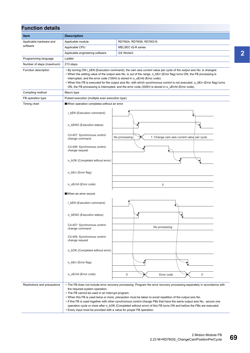| <b>Function details</b>      |                                                                                                                                                                                                                                                                                                                                                                                                                                                                                                                                                                                                                                                     |                                                             |  |  |  |
|------------------------------|-----------------------------------------------------------------------------------------------------------------------------------------------------------------------------------------------------------------------------------------------------------------------------------------------------------------------------------------------------------------------------------------------------------------------------------------------------------------------------------------------------------------------------------------------------------------------------------------------------------------------------------------------------|-------------------------------------------------------------|--|--|--|
| Item                         | <b>Description</b>                                                                                                                                                                                                                                                                                                                                                                                                                                                                                                                                                                                                                                  |                                                             |  |  |  |
| Applicable hardware and      | Applicable module                                                                                                                                                                                                                                                                                                                                                                                                                                                                                                                                                                                                                                   | RD78G4, RD78G8, RD78G16                                     |  |  |  |
| software                     | Applicable CPU                                                                                                                                                                                                                                                                                                                                                                                                                                                                                                                                                                                                                                      | MELSEC iQ-R series                                          |  |  |  |
|                              | Applicable engineering software                                                                                                                                                                                                                                                                                                                                                                                                                                                                                                                                                                                                                     | GX Works3                                                   |  |  |  |
| Programming language         | Ladder                                                                                                                                                                                                                                                                                                                                                                                                                                                                                                                                                                                                                                              |                                                             |  |  |  |
| Number of steps (maximum)    | 213 steps                                                                                                                                                                                                                                                                                                                                                                                                                                                                                                                                                                                                                                           |                                                             |  |  |  |
| Function description         | • By turning ON i_bEN (Execution command), the cam axis current value per cycle of the output axis No. is changed.<br>• When the setting value of the output axis No. is out of the range, o_bErr (Error flag) turns ON, the FB processing is<br>interrupted, and the error code (100H) is stored in o_uErrId (Error code).<br>• When this FB is executed for the output axis No. with which synchronous control is not executed, o_bErr (Error flag) turns<br>ON, the FB processing is interrupted, and the error code (300H) is stored in o_uErrId (Error code).                                                                                  |                                                             |  |  |  |
| Compiling method             | Macro type                                                                                                                                                                                                                                                                                                                                                                                                                                                                                                                                                                                                                                          |                                                             |  |  |  |
| FB operation type            | Pulsed execution (multiple scan execution type)                                                                                                                                                                                                                                                                                                                                                                                                                                                                                                                                                                                                     |                                                             |  |  |  |
| Timing chart                 | When operation completes without an error                                                                                                                                                                                                                                                                                                                                                                                                                                                                                                                                                                                                           |                                                             |  |  |  |
|                              | i bEN (Execution command)                                                                                                                                                                                                                                                                                                                                                                                                                                                                                                                                                                                                                           |                                                             |  |  |  |
|                              | o bENO (Execution status)                                                                                                                                                                                                                                                                                                                                                                                                                                                                                                                                                                                                                           |                                                             |  |  |  |
|                              | Cd.407: Synchronous control<br>change command                                                                                                                                                                                                                                                                                                                                                                                                                                                                                                                                                                                                       | No processing<br>1: Change cam axis current value per cycle |  |  |  |
|                              | Cd.406: Synchronous control<br>change request                                                                                                                                                                                                                                                                                                                                                                                                                                                                                                                                                                                                       |                                                             |  |  |  |
|                              | o_bOK (Completed without error)                                                                                                                                                                                                                                                                                                                                                                                                                                                                                                                                                                                                                     |                                                             |  |  |  |
|                              | o_bErr (Error flag)                                                                                                                                                                                                                                                                                                                                                                                                                                                                                                                                                                                                                                 |                                                             |  |  |  |
|                              | o_uErrId (Error code)<br>0                                                                                                                                                                                                                                                                                                                                                                                                                                                                                                                                                                                                                          |                                                             |  |  |  |
|                              | ■When an error occurs                                                                                                                                                                                                                                                                                                                                                                                                                                                                                                                                                                                                                               |                                                             |  |  |  |
|                              | i bEN (Execution command)                                                                                                                                                                                                                                                                                                                                                                                                                                                                                                                                                                                                                           |                                                             |  |  |  |
|                              | o_bENO (Execution status)                                                                                                                                                                                                                                                                                                                                                                                                                                                                                                                                                                                                                           | ₱                                                           |  |  |  |
|                              | Cd.407: Synchronous control<br>change command                                                                                                                                                                                                                                                                                                                                                                                                                                                                                                                                                                                                       | No processing                                               |  |  |  |
|                              | Cd.406: Synchronous control<br>change request                                                                                                                                                                                                                                                                                                                                                                                                                                                                                                                                                                                                       |                                                             |  |  |  |
|                              | o_bOK (Completed without error)                                                                                                                                                                                                                                                                                                                                                                                                                                                                                                                                                                                                                     |                                                             |  |  |  |
|                              | o_bErr (Error flag)                                                                                                                                                                                                                                                                                                                                                                                                                                                                                                                                                                                                                                 |                                                             |  |  |  |
|                              | o_uErrId (Error code)                                                                                                                                                                                                                                                                                                                                                                                                                                                                                                                                                                                                                               | 0<br>0<br>Error code                                        |  |  |  |
| Restrictions and precautions | • The FB does not include error recovery processing. Program the error recovery processing separately in accordance with<br>the required system operation.<br>• The FB cannot be used in an interrupt program.<br>. When this FB is used twice or more, precaution must be taken to avoid repetition of the output axis No.<br>• If this FB is used together with other synchronous control change FBs that have the same output axis No., secure one<br>operation cycle or more after o_bOK (Completed without error) of this FB turns ON and before the FBs are executed.<br>• Every input must be provided with a value for proper FB operation. |                                                             |  |  |  |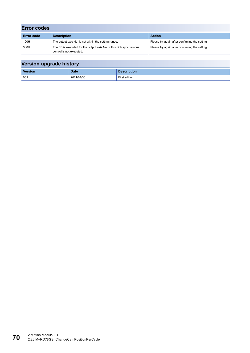| <b>Error codes</b> |                                                                                               |                                                |  |  |  |
|--------------------|-----------------------------------------------------------------------------------------------|------------------------------------------------|--|--|--|
| <b>Error code</b>  | <b>Description</b>                                                                            | <b>Action</b>                                  |  |  |  |
| 100H               | The output axis No. is not within the setting range.                                          | Please try again after confirming the setting. |  |  |  |
| 300H               | The FB is executed for the output axis No. with which synchronous<br>control is not executed. | Please try again after confirming the setting. |  |  |  |

| --      |            |                    |
|---------|------------|--------------------|
| Version | Date       | <b>Description</b> |
| 00A     | 2021/04/30 | First edition      |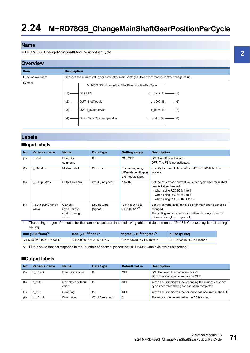#### <span id="page-72-2"></span>M+RD78GS\_ChangeMainShaftGearPositionPerCycle

### **Overview**

| -------           |                                                                                                                                                                                                                                  |  |  |  |  |
|-------------------|----------------------------------------------------------------------------------------------------------------------------------------------------------------------------------------------------------------------------------|--|--|--|--|
| <b>Item</b>       | <b>Description</b>                                                                                                                                                                                                               |  |  |  |  |
| Function overview | Changes the current value per cycle after main shaft gear to a synchronous control change value.                                                                                                                                 |  |  |  |  |
| Symbol            | M+RD78GS ChangeMainShaftGearPositionPerCycle<br>$o_bENO:B$<br>$B : i_bEN$<br>(5)<br>(1)<br>DUT: i_stModule<br>$o_b$ OK : B<br>(6)<br>(2)<br>UW: i_uOutputAxis<br>$o_bErr : B$<br>(7)<br>(3)<br>–<br>← D : i_dSyncCtrlChangeValue |  |  |  |  |
|                   | o uErrld : UW<br>$-$ (8)<br>$(4) -$                                                                                                                                                                                              |  |  |  |  |

#### **Labels**

#### ■**Input labels**

| No. | Variable name            | <b>Name</b>                                       | Data type               | <b>Setting range</b>                                           | <b>Description</b>                                                                                                                                                                   |
|-----|--------------------------|---------------------------------------------------|-------------------------|----------------------------------------------------------------|--------------------------------------------------------------------------------------------------------------------------------------------------------------------------------------|
| (1) | i bEN                    | Execution<br>command                              | Bit                     | ON. OFF                                                        | ON: The FB is activated.<br>OFF: The FB is not activated.                                                                                                                            |
| (2) | stModule                 | Module label                                      | Structure               | The setting range<br>differs depending on<br>the module label. | Specify the module label of the MELSEC iQ-R Motion<br>module.                                                                                                                        |
| (3) | uOutputAxis              | Output axis No.                                   | Word [unsigned]         | 1 to 16                                                        | Set the axis whose current value per cycle after main shaft<br>gear is to be changed.<br>• When using RD78G4: 1 to 4<br>• When using RD78G8: 1 to 8<br>• When using RD78G16: 1 to 16 |
| (4) | dSyncCtrlChange<br>Value | Cd.408:<br>Synchronous<br>control change<br>value | Double word<br>[signed] | -2147483648 to<br>21474836471                                  | Set the current value per cycle after main shaft gear to be<br>changed.<br>The setting value is converted within the range from 0 to<br>(Cam axis length per cycle - 1).             |

<span id="page-72-1"></span>\*1 The setting ranges of the units for the cam axis cycle are in the following table and depend on the "Pr.438: Cam axis cycle unit setting" setting.

| mm $(x10^{-10}$ mm) <sup>*2</sup> | inch $(x10^{-1}$ inch) <sup>*2</sup> | degree ( $\times$ 10 <sup>-<math>\Box</math></sup> degree) <sup>*2</sup> | pulse (pulse)             |
|-----------------------------------|--------------------------------------|--------------------------------------------------------------------------|---------------------------|
| -2147483648 to 2147483647         | -2147483648 to 2147483647            | -2147483648 to 2147483647                                                | -2147483648 to 2147483647 |

<span id="page-72-0"></span>\*2  $\Box$  is a value that corresponds to the "number of decimal places" set in "Pr.438: Cam axis cycle unit setting".

#### ■**Output labels**

| No. | Variable name | <b>Name</b>                | Data type       | Default value | <b>Description</b>                                                                                           |
|-----|---------------|----------------------------|-----------------|---------------|--------------------------------------------------------------------------------------------------------------|
| (5) | o bENO        | Execution status           | <b>Bit</b>      | OFF           | ON: The execution command is ON.<br>OFF: The execution command is OFF.                                       |
| (6) | o bOK         | Completed without<br>error | Bit             | OFF           | When ON, it indicates that changing the current value per<br>cycle after main shaft gear has been completed. |
| (7) | bErr<br>o     | Error flag                 | Bit             | OFF           | When ON, it indicates that an error has occurred in the FB.                                                  |
| (8) | o uErr Id     | Error code                 | Word [unsigned] |               | The error code generated in the FB is stored.                                                                |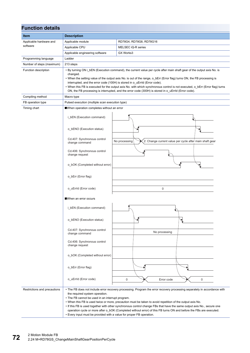| <b>Function details</b>      |                                                                                                                                                            |                                                                                                                                                                                                                                                                                                                                                                                                                                                                                                                                                                        |  |  |  |  |
|------------------------------|------------------------------------------------------------------------------------------------------------------------------------------------------------|------------------------------------------------------------------------------------------------------------------------------------------------------------------------------------------------------------------------------------------------------------------------------------------------------------------------------------------------------------------------------------------------------------------------------------------------------------------------------------------------------------------------------------------------------------------------|--|--|--|--|
| Item                         | <b>Description</b>                                                                                                                                         |                                                                                                                                                                                                                                                                                                                                                                                                                                                                                                                                                                        |  |  |  |  |
| Applicable hardware and      | Applicable module                                                                                                                                          | RD78G4, RD78G8, RD78G16                                                                                                                                                                                                                                                                                                                                                                                                                                                                                                                                                |  |  |  |  |
| software                     | Applicable CPU                                                                                                                                             | MELSEC iQ-R series                                                                                                                                                                                                                                                                                                                                                                                                                                                                                                                                                     |  |  |  |  |
|                              | Applicable engineering software                                                                                                                            | GX Works3                                                                                                                                                                                                                                                                                                                                                                                                                                                                                                                                                              |  |  |  |  |
| Programming language         | Ladder                                                                                                                                                     |                                                                                                                                                                                                                                                                                                                                                                                                                                                                                                                                                                        |  |  |  |  |
| Number of steps (maximum)    | 213 steps                                                                                                                                                  |                                                                                                                                                                                                                                                                                                                                                                                                                                                                                                                                                                        |  |  |  |  |
| Function description         | changed.                                                                                                                                                   | • By turning ON i_bEN (Execution command), the current value per cycle after main shaft gear of the output axis No. is<br>• When the setting value of the output axis No. is out of the range, o_bErr (Error flag) turns ON, the FB processing is<br>interrupted, and the error code (100H) is stored in o_uErrId (Error code).<br>. When this FB is executed for the output axis No. with which synchronous control is not executed, o_bErr (Error flag) turns<br>ON, the FB processing is interrupted, and the error code (300H) is stored in o_uErrld (Error code). |  |  |  |  |
| Compiling method             | Macro type                                                                                                                                                 |                                                                                                                                                                                                                                                                                                                                                                                                                                                                                                                                                                        |  |  |  |  |
| FB operation type            | Pulsed execution (multiple scan execution type)                                                                                                            |                                                                                                                                                                                                                                                                                                                                                                                                                                                                                                                                                                        |  |  |  |  |
| Timing chart                 | When operation completes without an error                                                                                                                  |                                                                                                                                                                                                                                                                                                                                                                                                                                                                                                                                                                        |  |  |  |  |
|                              | i_bEN (Execution command)                                                                                                                                  |                                                                                                                                                                                                                                                                                                                                                                                                                                                                                                                                                                        |  |  |  |  |
|                              | o_bENO (Execution status)                                                                                                                                  |                                                                                                                                                                                                                                                                                                                                                                                                                                                                                                                                                                        |  |  |  |  |
|                              | Cd.407: Synchronous control<br>change command                                                                                                              | 2: Change current value per cycle after main shaft gear<br>No processing                                                                                                                                                                                                                                                                                                                                                                                                                                                                                               |  |  |  |  |
|                              | Cd.406: Synchronous control<br>change request                                                                                                              |                                                                                                                                                                                                                                                                                                                                                                                                                                                                                                                                                                        |  |  |  |  |
|                              | o_bOK (Completed without error)                                                                                                                            |                                                                                                                                                                                                                                                                                                                                                                                                                                                                                                                                                                        |  |  |  |  |
|                              | o_bErr (Error flag)                                                                                                                                        |                                                                                                                                                                                                                                                                                                                                                                                                                                                                                                                                                                        |  |  |  |  |
|                              | o_uErrId (Error code)                                                                                                                                      | 0                                                                                                                                                                                                                                                                                                                                                                                                                                                                                                                                                                      |  |  |  |  |
|                              | When an error occurs                                                                                                                                       |                                                                                                                                                                                                                                                                                                                                                                                                                                                                                                                                                                        |  |  |  |  |
|                              | i_bEN (Execution command)                                                                                                                                  |                                                                                                                                                                                                                                                                                                                                                                                                                                                                                                                                                                        |  |  |  |  |
|                              | o_bENO (Execution status)                                                                                                                                  |                                                                                                                                                                                                                                                                                                                                                                                                                                                                                                                                                                        |  |  |  |  |
|                              | Cd.407: Synchronous control<br>change command                                                                                                              | No processing                                                                                                                                                                                                                                                                                                                                                                                                                                                                                                                                                          |  |  |  |  |
|                              | Cd.406: Synchronous control<br>change request                                                                                                              |                                                                                                                                                                                                                                                                                                                                                                                                                                                                                                                                                                        |  |  |  |  |
|                              | o_bOK (Completed without error)                                                                                                                            |                                                                                                                                                                                                                                                                                                                                                                                                                                                                                                                                                                        |  |  |  |  |
|                              | o_bErr (Error flag)                                                                                                                                        |                                                                                                                                                                                                                                                                                                                                                                                                                                                                                                                                                                        |  |  |  |  |
|                              | o_uErrId (Error code)                                                                                                                                      | $\mathbf 0$<br>$\mathbf 0$<br>Error code                                                                                                                                                                                                                                                                                                                                                                                                                                                                                                                               |  |  |  |  |
| Restrictions and precautions | the required system operation.<br>• The FB cannot be used in an interrupt program.<br>• Every input must be provided with a value for proper FB operation. | • The FB does not include error recovery processing. Program the error recovery processing separately in accordance with<br>. When this FB is used twice or more, precaution must be taken to avoid repetition of the output axis No.<br>• If this FB is used together with other synchronous control change FBs that have the same output axis No., secure one<br>operation cycle or more after o_bOK (Completed without error) of this FB turns ON and before the FBs are executed.                                                                                  |  |  |  |  |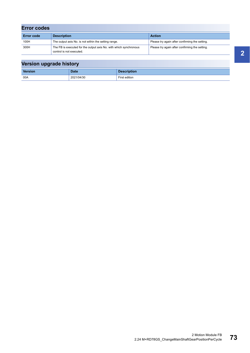| <b>Error codes</b> |                                                                                               |                                                |  |  |  |
|--------------------|-----------------------------------------------------------------------------------------------|------------------------------------------------|--|--|--|
| <b>Error code</b>  | <b>Description</b>                                                                            | <b>Action</b>                                  |  |  |  |
| 100H               | The output axis No. is not within the setting range.                                          | Please try again after confirming the setting. |  |  |  |
| 300H               | The FB is executed for the output axis No. with which synchronous<br>control is not executed. | Please try again after confirming the setting. |  |  |  |

| Version upgrade history |             |                    |  |  |
|-------------------------|-------------|--------------------|--|--|
| <b>Version</b>          | <b>Date</b> | <b>Description</b> |  |  |
| 00A                     | 2021/04/30  | First edition      |  |  |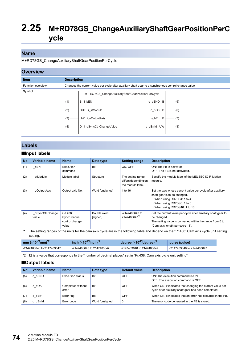## **2.25 M+RD78GS\_ChangeAuxiliaryShaftGearPositionPerC ycle**

#### **Name**

M+RD78GS\_ChangeAuxiliaryShaftGearPositionPerCycle

#### **Overview**



#### **Labels**

#### ■**Input labels**

| No. | Variable name            | <b>Name</b>                                       | Data type               | <b>Setting range</b>                                           | <b>Description</b>                                                                                                                                                                        |
|-----|--------------------------|---------------------------------------------------|-------------------------|----------------------------------------------------------------|-------------------------------------------------------------------------------------------------------------------------------------------------------------------------------------------|
| (1) | bEN                      | Execution<br>command                              | <b>Bit</b>              | ON. OFF                                                        | ON: The FB is activated.<br>OFF: The FB is not activated.                                                                                                                                 |
| (2) | stModule                 | Module label                                      | Structure               | The setting range<br>differs depending on<br>the module label. | Specify the module label of the MELSEC iQ-R Motion<br>module.                                                                                                                             |
| (3) | uOutputAxis              | Output axis No.                                   | Word [unsigned]         | 1 to 16                                                        | Set the axis whose current value per cycle after auxiliary<br>shaft gear is to be changed.<br>• When using RD78G4: 1 to 4<br>• When using RD78G8: 1 to 8<br>• When using RD78G16: 1 to 16 |
| (4) | dSyncCtrlChange<br>Value | Cd.408:<br>Synchronous<br>control change<br>value | Double word<br>[signed] | -2147483648 to<br>21474836471                                  | Set the current value per cycle after auxiliary shaft gear to<br>be changed.<br>The setting value is converted within the range from 0 to<br>(Cam axis length per cycle - 1).             |

<span id="page-75-1"></span>\*1 The setting ranges of the units for the cam axis cycle are in the following table and depend on the "Pr.438: Cam axis cycle unit setting" setting.

| mm ( $\times$ 10 <sup>-<math>\Box</math></sup> mm) <sup>*2</sup> | inch $(x10^{-1}$ inch) <sup>*2</sup> | degree $(x10^{-10})^2$    | pulse (pulse)             |
|------------------------------------------------------------------|--------------------------------------|---------------------------|---------------------------|
| -2147483648 to 2147483647                                        | -2147483648 to 2147483647            | -2147483648 to 2147483647 | -2147483648 to 2147483647 |

<span id="page-75-0"></span>\*2  $\Box$  is a value that corresponds to the "number of decimal places" set in "Pr.438: Cam axis cycle unit setting".

#### ■**Output labels**

| No. | Variable name | <b>Name</b>                | Data type       | Default value | <b>Description</b>                                                                                                |
|-----|---------------|----------------------------|-----------------|---------------|-------------------------------------------------------------------------------------------------------------------|
| (5) | o bENO        | Execution status           | Bit             | OFF           | ON: The execution command is ON.<br>OFF: The execution command is OFF.                                            |
| (6) | o bOK         | Completed without<br>error | Bit             | OFF           | When ON, it indicates that changing the current value per<br>cycle after auxiliary shaft gear has been completed. |
| (7) | o bErr        | Error flag                 | Bit             | <b>OFF</b>    | When ON, it indicates that an error has occurred in the FB.                                                       |
| (8) | o uErrid      | Error code                 | Word [unsigned] | $\mathbf 0$   | The error code generated in the FB is stored.                                                                     |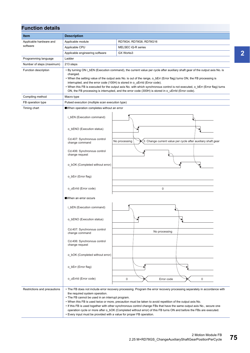| <b>Function details</b>      |                                                                                                                                                            |                                                                                                                                                                                                                                                                                                                                                                                                                                                                                                                                                                             |  |  |  |  |
|------------------------------|------------------------------------------------------------------------------------------------------------------------------------------------------------|-----------------------------------------------------------------------------------------------------------------------------------------------------------------------------------------------------------------------------------------------------------------------------------------------------------------------------------------------------------------------------------------------------------------------------------------------------------------------------------------------------------------------------------------------------------------------------|--|--|--|--|
| Item                         | <b>Description</b>                                                                                                                                         |                                                                                                                                                                                                                                                                                                                                                                                                                                                                                                                                                                             |  |  |  |  |
| Applicable hardware and      | Applicable module                                                                                                                                          | RD78G4, RD78G8, RD78G16                                                                                                                                                                                                                                                                                                                                                                                                                                                                                                                                                     |  |  |  |  |
| software                     | Applicable CPU                                                                                                                                             | MELSEC iQ-R series                                                                                                                                                                                                                                                                                                                                                                                                                                                                                                                                                          |  |  |  |  |
|                              | Applicable engineering software                                                                                                                            | GX Works3                                                                                                                                                                                                                                                                                                                                                                                                                                                                                                                                                                   |  |  |  |  |
| Programming language         | Ladder                                                                                                                                                     |                                                                                                                                                                                                                                                                                                                                                                                                                                                                                                                                                                             |  |  |  |  |
| Number of steps (maximum)    | 213 steps                                                                                                                                                  |                                                                                                                                                                                                                                                                                                                                                                                                                                                                                                                                                                             |  |  |  |  |
| Function description         | changed.                                                                                                                                                   | • By turning ON i_bEN (Execution command), the current value per cycle after auxiliary shaft gear of the output axis No. is<br>• When the setting value of the output axis No. is out of the range, o_bErr (Error flag) turns ON, the FB processing is<br>interrupted, and the error code (100H) is stored in o_uErrId (Error code).<br>• When this FB is executed for the output axis No. with which synchronous control is not executed, o bErr (Error flag) turns<br>ON, the FB processing is interrupted, and the error code (300H) is stored in o_uErrId (Error code). |  |  |  |  |
| Compiling method             | Macro type                                                                                                                                                 |                                                                                                                                                                                                                                                                                                                                                                                                                                                                                                                                                                             |  |  |  |  |
| FB operation type            | Pulsed execution (multiple scan execution type)                                                                                                            |                                                                                                                                                                                                                                                                                                                                                                                                                                                                                                                                                                             |  |  |  |  |
| Timing chart                 | When operation completes without an error<br>i bEN (Execution command)                                                                                     |                                                                                                                                                                                                                                                                                                                                                                                                                                                                                                                                                                             |  |  |  |  |
|                              | o bENO (Execution status)<br>Cd.407: Synchronous control<br>change command                                                                                 | 3: Change current value per cycle after auxiliary shaft gear<br>No processing                                                                                                                                                                                                                                                                                                                                                                                                                                                                                               |  |  |  |  |
|                              | Cd.406: Synchronous control<br>change request                                                                                                              |                                                                                                                                                                                                                                                                                                                                                                                                                                                                                                                                                                             |  |  |  |  |
|                              | o_bOK (Completed without error)                                                                                                                            |                                                                                                                                                                                                                                                                                                                                                                                                                                                                                                                                                                             |  |  |  |  |
|                              | o_bErr (Error flag)                                                                                                                                        |                                                                                                                                                                                                                                                                                                                                                                                                                                                                                                                                                                             |  |  |  |  |
|                              | o_uErrId (Error code)                                                                                                                                      | $\mathsf 0$                                                                                                                                                                                                                                                                                                                                                                                                                                                                                                                                                                 |  |  |  |  |
|                              | ■When an error occurs                                                                                                                                      |                                                                                                                                                                                                                                                                                                                                                                                                                                                                                                                                                                             |  |  |  |  |
|                              | i bEN (Execution command)                                                                                                                                  |                                                                                                                                                                                                                                                                                                                                                                                                                                                                                                                                                                             |  |  |  |  |
|                              | o_bENO (Execution status)                                                                                                                                  |                                                                                                                                                                                                                                                                                                                                                                                                                                                                                                                                                                             |  |  |  |  |
|                              | Cd.407: Synchronous control<br>change command                                                                                                              | No processing                                                                                                                                                                                                                                                                                                                                                                                                                                                                                                                                                               |  |  |  |  |
|                              | Cd.406: Synchronous control<br>change request                                                                                                              |                                                                                                                                                                                                                                                                                                                                                                                                                                                                                                                                                                             |  |  |  |  |
|                              | o_bOK (Completed without error)                                                                                                                            |                                                                                                                                                                                                                                                                                                                                                                                                                                                                                                                                                                             |  |  |  |  |
|                              | o_bErr (Error flag)                                                                                                                                        |                                                                                                                                                                                                                                                                                                                                                                                                                                                                                                                                                                             |  |  |  |  |
|                              | o_uErrId (Error code)                                                                                                                                      | 0<br>$\mathbf 0$<br>Error code                                                                                                                                                                                                                                                                                                                                                                                                                                                                                                                                              |  |  |  |  |
| Restrictions and precautions | the required system operation.<br>• The FB cannot be used in an interrupt program.<br>• Every input must be provided with a value for proper FB operation. | • The FB does not include error recovery processing. Program the error recovery processing separately in accordance with<br>. When this FB is used twice or more, precaution must be taken to avoid repetition of the output axis No.<br>. If this FB is used together with other synchronous control change FBs that have the same output axis No., secure one<br>operation cycle or more after o_bOK (Completed without error) of this FB turns ON and before the FBs are executed.                                                                                       |  |  |  |  |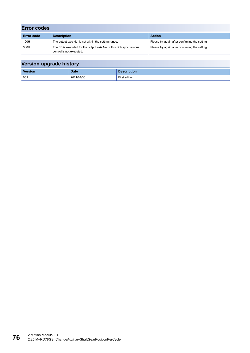| <b>Error codes</b> |                                                                                               |                                                |  |  |  |
|--------------------|-----------------------------------------------------------------------------------------------|------------------------------------------------|--|--|--|
| <b>Error code</b>  | <b>Description</b>                                                                            | <b>Action</b>                                  |  |  |  |
| 100H               | The output axis No. is not within the setting range.                                          | Please try again after confirming the setting. |  |  |  |
| 300H               | The FB is executed for the output axis No. with which synchronous<br>control is not executed. | Please try again after confirming the setting. |  |  |  |

| --      |            |                    |
|---------|------------|--------------------|
| Version | Date       | <b>Description</b> |
| 00A     | 2021/04/30 | First edition      |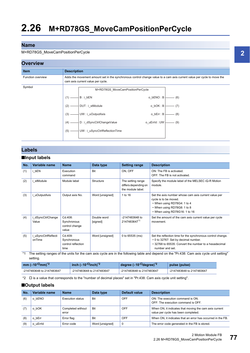#### <span id="page-78-2"></span>M+RD78GS\_MoveCamPositionPerCycle

#### **Overview**



### **Labels**

#### ■**Input labels**

| No. | Variable name               | <b>Name</b>                                          | Data type               | <b>Setting range</b>                                           | <b>Description</b>                                                                                                                                                              |
|-----|-----------------------------|------------------------------------------------------|-------------------------|----------------------------------------------------------------|---------------------------------------------------------------------------------------------------------------------------------------------------------------------------------|
| (1) | i bEN                       | Execution<br>command                                 | <b>Bit</b>              | ON, OFF                                                        | ON: The FB is activated.<br>OFF: The FB is not activated.                                                                                                                       |
| (2) | stModule                    | Module label                                         | Structure               | The setting range<br>differs depending on<br>the module label. | Specify the module label of the MELSEC iQ-R Motion<br>module.                                                                                                                   |
| (3) | i uOutputAxis               | Output axis No.                                      | Word [unsigned]         | 1 to 16                                                        | Set the axis number whose cam axis current value per<br>cycle is to be moved.<br>• When using RD78G4: 1 to 4<br>• When using RD78G8: 1 to 8<br>• When using RD78G16: 1 to 16    |
| (4) | dSyncCtrlChange<br>Value    | Cd.408:<br>Synchronous<br>control change<br>value    | Double word<br>[signed] | -2147483648 to<br>2147483647*1                                 | Set the amount of the cam axis current value per cycle<br>movement.                                                                                                             |
| (5) | uSyncCtrlReflecti<br>onTime | Cd.409:<br>Synchronous<br>control reflection<br>time | Word [unsigned]         | 0 to 65535 (ms)                                                | Set the reflection time for the synchronous control change.<br>• 0 to 32767: Set by decimal number.<br>• 32768 to 65535: Convert the number to a hexadecimal<br>number and set. |

<span id="page-78-1"></span>\*1 The setting ranges of the units for the cam axis cycle are in the following table and depend on the "Pr.438: Cam axis cycle unit setting" setting.

| mm ( $\times$ 10 <sup>-<math>\square</math></sup> mm) <sup>*2</sup> | inch $(x10^{-1}$ inch) <sup>*2</sup> | degree $(x10^{-1})$ degree) <sup>*2</sup> | pulse (pulse)             |
|---------------------------------------------------------------------|--------------------------------------|-------------------------------------------|---------------------------|
| -2147483648 to 2147483647                                           | -2147483648 to 2147483647            | -2147483648 to 2147483647                 | -2147483648 to 2147483647 |

<span id="page-78-0"></span>\*2  $\Box$  is a value that corresponds to the "number of decimal places" set in "Pr.438: Cam axis cycle unit setting".

#### ■**Output labels**

| No. | Variable name | <b>Name</b>                | Data type       | Default value | <b>Description</b>                                                                            |
|-----|---------------|----------------------------|-----------------|---------------|-----------------------------------------------------------------------------------------------|
| (6) | o bENO        | Execution status           | Bit             | OFF           | ON: The execution command is ON.<br>OFF: The execution command is OFF.                        |
|     | o bOK         | Completed without<br>error | Bit             | OFF           | When ON, it indicates that moving the cam axis current<br>value per cycle has been completed. |
| (8) | o bErr        | Error flag                 | Bit             | OFF           | When ON, it indicates that an error has occurred in the FB.                                   |
| (9) | o uErrid      | Error code                 | Word [unsigned] | 0             | The error code generated in the FB is stored.                                                 |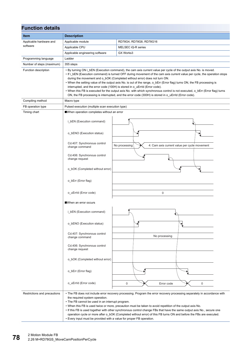| <b>Function details</b>         |                                                                                                                                                                                                                                                                                                                                                                                                                                                                                                                                                                                                                                                                                                                                                                            |                                                               |  |  |  |  |
|---------------------------------|----------------------------------------------------------------------------------------------------------------------------------------------------------------------------------------------------------------------------------------------------------------------------------------------------------------------------------------------------------------------------------------------------------------------------------------------------------------------------------------------------------------------------------------------------------------------------------------------------------------------------------------------------------------------------------------------------------------------------------------------------------------------------|---------------------------------------------------------------|--|--|--|--|
| Item                            | <b>Description</b>                                                                                                                                                                                                                                                                                                                                                                                                                                                                                                                                                                                                                                                                                                                                                         |                                                               |  |  |  |  |
| Applicable hardware and         | Applicable module                                                                                                                                                                                                                                                                                                                                                                                                                                                                                                                                                                                                                                                                                                                                                          | RD78G4, RD78G8, RD78G16                                       |  |  |  |  |
| software                        | Applicable CPU                                                                                                                                                                                                                                                                                                                                                                                                                                                                                                                                                                                                                                                                                                                                                             | MELSEC iQ-R series                                            |  |  |  |  |
|                                 | Applicable engineering software                                                                                                                                                                                                                                                                                                                                                                                                                                                                                                                                                                                                                                                                                                                                            | GX Works3                                                     |  |  |  |  |
| Programming language            | Ladder                                                                                                                                                                                                                                                                                                                                                                                                                                                                                                                                                                                                                                                                                                                                                                     |                                                               |  |  |  |  |
| Number of steps (maximum)       | 355 steps                                                                                                                                                                                                                                                                                                                                                                                                                                                                                                                                                                                                                                                                                                                                                                  |                                                               |  |  |  |  |
| Function description            | • By turning ON i_bEN (Execution command), the cam axis current value per cycle of the output axis No. is moved.<br>• If i bEN (Execution command) is turned OFF during movement of the cam axis current value per cycle, the operation stops<br>during the movement and o_bOK (Completed without error) does not turn ON.<br>• When the setting value of the output axis No. is out of the range, o_bErr (Error flag) turns ON, the FB processing is<br>interrupted, and the error code (100H) is stored in o_uErrId (Error code).<br>• When this FB is executed for the output axis No. with which synchronous control is not executed, o_bErr (Error flag) turns<br>ON, the FB processing is interrupted, and the error code (300H) is stored in o_uErrld (Error code). |                                                               |  |  |  |  |
| Compiling method                | Macro type                                                                                                                                                                                                                                                                                                                                                                                                                                                                                                                                                                                                                                                                                                                                                                 |                                                               |  |  |  |  |
| FB operation type               | Pulsed execution (multiple scan execution type)                                                                                                                                                                                                                                                                                                                                                                                                                                                                                                                                                                                                                                                                                                                            |                                                               |  |  |  |  |
| Timing chart                    | When operation completes without an error                                                                                                                                                                                                                                                                                                                                                                                                                                                                                                                                                                                                                                                                                                                                  |                                                               |  |  |  |  |
|                                 |                                                                                                                                                                                                                                                                                                                                                                                                                                                                                                                                                                                                                                                                                                                                                                            |                                                               |  |  |  |  |
|                                 | o bENO (Execution status)                                                                                                                                                                                                                                                                                                                                                                                                                                                                                                                                                                                                                                                                                                                                                  |                                                               |  |  |  |  |
|                                 | Cd.407: Synchronous control<br>change command                                                                                                                                                                                                                                                                                                                                                                                                                                                                                                                                                                                                                                                                                                                              | 4: Cam axis current value per cycle movement<br>No processing |  |  |  |  |
|                                 | Cd.406: Synchronous control<br>change request                                                                                                                                                                                                                                                                                                                                                                                                                                                                                                                                                                                                                                                                                                                              |                                                               |  |  |  |  |
| o_bOK (Completed without error) |                                                                                                                                                                                                                                                                                                                                                                                                                                                                                                                                                                                                                                                                                                                                                                            |                                                               |  |  |  |  |
|                                 | o_bErr (Error flag)                                                                                                                                                                                                                                                                                                                                                                                                                                                                                                                                                                                                                                                                                                                                                        |                                                               |  |  |  |  |
|                                 | o_uErrId (Error code)                                                                                                                                                                                                                                                                                                                                                                                                                                                                                                                                                                                                                                                                                                                                                      | $\mathbf 0$                                                   |  |  |  |  |
|                                 | When an error occurs                                                                                                                                                                                                                                                                                                                                                                                                                                                                                                                                                                                                                                                                                                                                                       |                                                               |  |  |  |  |
|                                 | i_bEN (Execution command)                                                                                                                                                                                                                                                                                                                                                                                                                                                                                                                                                                                                                                                                                                                                                  |                                                               |  |  |  |  |
|                                 | o bENO (Execution status)                                                                                                                                                                                                                                                                                                                                                                                                                                                                                                                                                                                                                                                                                                                                                  |                                                               |  |  |  |  |
|                                 | Cd.407: Synchronous control<br>change command                                                                                                                                                                                                                                                                                                                                                                                                                                                                                                                                                                                                                                                                                                                              | No processing                                                 |  |  |  |  |
|                                 | Cd.406: Synchronous control<br>change request                                                                                                                                                                                                                                                                                                                                                                                                                                                                                                                                                                                                                                                                                                                              |                                                               |  |  |  |  |
|                                 | o_bOK (Completed without error)                                                                                                                                                                                                                                                                                                                                                                                                                                                                                                                                                                                                                                                                                                                                            |                                                               |  |  |  |  |
|                                 | o_bErr (Error flag)                                                                                                                                                                                                                                                                                                                                                                                                                                                                                                                                                                                                                                                                                                                                                        |                                                               |  |  |  |  |
|                                 | o_uErrId (Error code)                                                                                                                                                                                                                                                                                                                                                                                                                                                                                                                                                                                                                                                                                                                                                      | $\mathsf 0$<br>0<br>Error code                                |  |  |  |  |
| Restrictions and precautions    | • The FB does not include error recovery processing. Program the error recovery processing separately in accordance with<br>the required system operation.<br>• The FB cannot be used in an interrupt program.<br>. When this FB is used twice or more, precaution must be taken to avoid repetition of the output axis No.<br>• If this FB is used together with other synchronous control change FBs that have the same output axis No., secure one<br>operation cycle or more after o_bOK (Completed without error) of this FB turns ON and before the FBs are executed.<br>• Every input must be provided with a value for proper FB operation.                                                                                                                        |                                                               |  |  |  |  |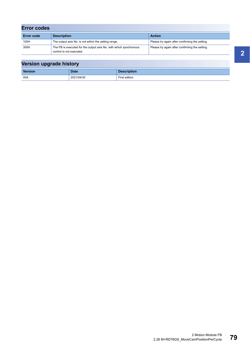| <b>Error codes</b> |                                                                                               |                                                |
|--------------------|-----------------------------------------------------------------------------------------------|------------------------------------------------|
| <b>Error code</b>  | <b>Description</b>                                                                            | <b>Action</b>                                  |
| 100H               | The output axis No. is not within the setting range.                                          | Please try again after confirming the setting. |
| 300H               | The FB is executed for the output axis No. with which synchronous<br>control is not executed. | Please try again after confirming the setting. |

| Version upgrade history |             |                    |  |  |  |
|-------------------------|-------------|--------------------|--|--|--|
| Version                 | <b>Date</b> | <b>Description</b> |  |  |  |
| 00A                     | 2021/04/30  | First edition      |  |  |  |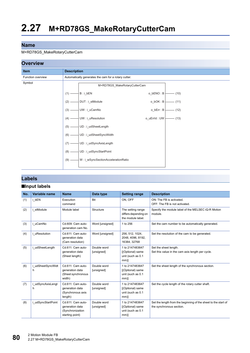#### <span id="page-81-0"></span>M+RD78GS\_MakeRotaryCutterCam



#### **Labels**

#### ■**Input labels**

| No. | Variable name          | <b>Name</b>                                                                 | Data type                 | <b>Setting range</b>                                               | <b>Description</b>                                                                         |
|-----|------------------------|-----------------------------------------------------------------------------|---------------------------|--------------------------------------------------------------------|--------------------------------------------------------------------------------------------|
| (1) | i bEN                  | Execution<br>command                                                        | Bit                       | ON, OFF                                                            | ON: The FB is activated.<br>OFF: The FB is not activated.                                  |
| (2) | i stModule             | Module label                                                                | Structure                 | The setting range<br>differs depending on<br>the module label.     | Specify the module label of the MELSEC iQ-R Motion<br>module.                              |
| (3) | i uCamNo               | Cd.609: Cam auto-<br>generation cam No.                                     | Word [unsigned]           | 1 to 256                                                           | Set the cam number to be automatically generated.                                          |
| (4) | i uResolution          | Cd.611: Cam auto-<br>generation data<br>(Cam resolution)                    | Word [unsigned]           | 256, 512, 1024,<br>2048, 4096, 8192,<br>16384, 32768               | Set the resolution of the cam to be generated.                                             |
| (5) | i udSheetLength        | Cd.611: Cam auto-<br>generation data<br>(Sheet length)                      | Double word<br>[unsigned] | 1 to 2147483647<br>[(Optional) same<br>unit (such as 0.1<br>$mm$ ] | Set the sheet length.<br>Set this value in the cam axis length per cycle.                  |
| (6) | i udSheetSyncWidt<br>h | Cd.611: Cam auto-<br>generation data<br>(Sheet synchronous<br>width)        | Double word<br>[unsigned] | 1 to 2147483647<br>[(Optional) same<br>unit (such as 0.1<br>$mm$ ] | Set the sheet length of the synchronous section.                                           |
| (7) | i udSyncAxisLengt<br>h | Cd.611: Cam auto-<br>generation data<br>(Synchronous axis<br>length)        | Double word<br>[unsigned] | 1 to 2147483647<br>[(Optional) same<br>unit (such as 0.1<br>$mm$ ] | Set the cycle length of the rotary cutter shaft.                                           |
| (8) | i udSyncStartPoint     | Cd.611: Cam auto-<br>generation data<br>(Synchronization<br>starting point) | Double word<br>[unsigned] | 1 to 2147483647<br>[(Optional) same<br>unit (such as 0.1<br>$mm$ ] | Set the length from the beginning of the sheet to the start of<br>the synchronous section. |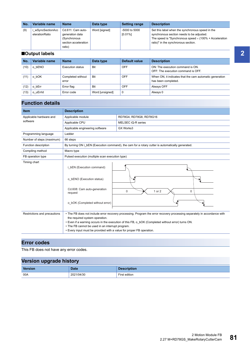| No.            | Variable name                     | <b>Name</b>                                                                            | Data type     | <b>Setting range</b>        | <b>Description</b>                                                                                                                                                                                    |
|----------------|-----------------------------------|----------------------------------------------------------------------------------------|---------------|-----------------------------|-------------------------------------------------------------------------------------------------------------------------------------------------------------------------------------------------------|
| (9)            | wSyncSectionAcc<br>elerationRatio | Cd.611: Cam auto-<br>generation data<br>(Synchronous<br>section acceleration<br>ratio) | Word [signed] | -5000 to 5000<br>$[0.01\%]$ | Set this label when the synchronous speed in the<br>synchronous section needs to be adjusted.<br>The speed is "Synchronous speed $\times$ (100% + Acceleration<br>ratio)" in the synchronous section. |
| ■Output labels |                                   |                                                                                        |               |                             |                                                                                                                                                                                                       |

| No.  | Variable name  | <b>Name</b>                | Data type       | <b>Default value</b> | <b>Description</b>                                                             |
|------|----------------|----------------------------|-----------------|----------------------|--------------------------------------------------------------------------------|
| (10) | bENO<br>o      | Execution status           | Bit             | <b>OFF</b>           | ON: The execution command is ON.<br>OFF: The execution command is OFF.         |
| (11) | bOK<br>$\circ$ | Completed without<br>error | Bit             | <b>OFF</b>           | When ON, it indicates that the cam automatic generation<br>has been completed. |
| (12) | bErr           | Error flag                 | Bit             | OFF                  | Always OFF                                                                     |
| (13) | o uErrid       | Error code                 | Word [unsigned] | 0                    | Always 0                                                                       |

### **Function details**

| <b>Item</b>                  | <b>Description</b>                                                                                                                                         |                                                                                                                                                                                                                               |  |  |  |  |
|------------------------------|------------------------------------------------------------------------------------------------------------------------------------------------------------|-------------------------------------------------------------------------------------------------------------------------------------------------------------------------------------------------------------------------------|--|--|--|--|
| Applicable hardware and      | Applicable module                                                                                                                                          | RD78G4, RD78G8, RD78G16                                                                                                                                                                                                       |  |  |  |  |
| software                     | Applicable CPU                                                                                                                                             | MELSEC iQ-R series                                                                                                                                                                                                            |  |  |  |  |
|                              | Applicable engineering software                                                                                                                            | GX Works3                                                                                                                                                                                                                     |  |  |  |  |
| Programming language         | Ladder                                                                                                                                                     |                                                                                                                                                                                                                               |  |  |  |  |
| Number of steps (maximum)    | 66 steps                                                                                                                                                   |                                                                                                                                                                                                                               |  |  |  |  |
| Function description         |                                                                                                                                                            | By turning ON i bEN (Execution command), the cam for a rotary cutter is automatically generated.                                                                                                                              |  |  |  |  |
| Compiling method             | Macro type                                                                                                                                                 |                                                                                                                                                                                                                               |  |  |  |  |
| FB operation type            | Pulsed execution (multiple scan execution type)                                                                                                            |                                                                                                                                                                                                                               |  |  |  |  |
| Timing chart                 | i bEN (Execution command)<br>o bENO (Execution status)<br>Cd.608: Cam auto-generation<br>request<br>o bOK (Completed without error)                        | $\mathbf 0$<br>1 or 2<br>$\Omega$                                                                                                                                                                                             |  |  |  |  |
| Restrictions and precautions | the required system operation.<br>• The FB cannot be used in an interrupt program.<br>• Every input must be provided with a value for proper FB operation. | • The FB does not include error recovery processing. Program the error recovery processing separately in accordance with<br>. Even if a warning occurs in the execution of this FB, o bOK (Completed without error) turns ON. |  |  |  |  |

### **Error codes**

This FB does not have any error codes.

| . .     |             |                    |
|---------|-------------|--------------------|
| Version | <b>Date</b> | <b>Description</b> |
| 00A     | 2021/04/30  | First edition      |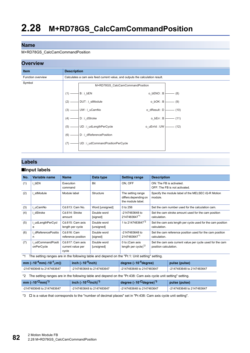#### <span id="page-83-3"></span>M+RD78GS\_CalcCamCommandPosition

#### **Overview**



#### **Labels**

#### ■**Input labels**

| No. | Variable name                 | <b>Name</b>                                    | Data type                 | <b>Setting range</b>                                           | <b>Description</b>                                                                 |
|-----|-------------------------------|------------------------------------------------|---------------------------|----------------------------------------------------------------|------------------------------------------------------------------------------------|
| (1) | bEN                           | Execution<br>command                           | <b>Bit</b>                | ON. OFF                                                        | ON: The FB is activated.<br>OFF: The FB is not activated.                          |
| (2) | stModule                      | Module label                                   | Structure                 | The setting range<br>differs depending on<br>the module label. | Specify the module label of the MELSEC iQ-R Motion<br>module.                      |
| (3) | uCamNo                        | Cd.613: Cam No.                                | Word [unsigned]           | 0 to 256                                                       | Set the cam number used for the calculation cam.                                   |
| (4) | i dStroke                     | Cd.614: Stroke<br>amount                       | Double word<br>[signed]   | -2147483648 to<br>21474836471                                  | Set the cam stroke amount used for the cam position<br>calculation.                |
| (5) | udLengthPerCycl<br>е          | Cd.615: Cam axis<br>length per cycle           | Double word<br>[unsigned] | 1 to 2147483647 <sup>*2</sup>                                  | Set the cam axis length per cycle used for the cam position<br>calculation.        |
| (6) | dReferencePositio<br>n        | Cd.616: Cam<br>reference position              | Double word<br>[signed]   | -2147483648 to<br>21474836471                                  | Set the cam reference position used for the cam position<br>calculation.           |
| (7) | udCommandPositi<br>onPerCycle | Cd.617: Cam axis<br>current value per<br>cycle | Double word<br>[unsigned] | 0 to (Cam axis<br>length per cycle $)^*$ <sup>2</sup>          | Set the cam axis current value per cycle used for the cam<br>position calculation. |

<span id="page-83-0"></span>\*1 The setting ranges are in the following table and depend on the "Pr.1: Unit setting" setting.

| mm ( $\times$ 10 <sup>-4</sup> mm( $\times$ 10 <sup>-1</sup> µm)) | $\int$ inch ( $\times$ 10 <sup>-5</sup> inch) | degree $(x10^{-5})$ degree        | pulse (pulse)             |
|-------------------------------------------------------------------|-----------------------------------------------|-----------------------------------|---------------------------|
| -2147483648 to 2147483647                                         | -2147483648 to 2147483647                     | $\vert$ -2147483648 to 2147483647 | -2147483648 to 2147483647 |

#### <span id="page-83-1"></span>\*2 The setting ranges are in the following table and depend on the "Pr.438: Cam axis cycle unit setting" setting.

| mm ( $\times$ 10 <sup>-<math>\Box</math></sup> mm) <sup>*3</sup> | inch $(x10^{-1}$ inch) <sup>*3</sup> | $\frac{1}{2}$ degree ( $\times$ 10 <sup>-ロ</sup> degree) $^{\ast 3}$ । | pulse (pulse)             |
|------------------------------------------------------------------|--------------------------------------|------------------------------------------------------------------------|---------------------------|
| -2147483648 to 2147483647                                        | -2147483648 to 2147483647            | -2147483648 to 2147483647                                              | -2147483648 to 2147483647 |

<span id="page-83-2"></span>\*3  $\Box$  is a value that corresponds to the "number of decimal places" set in "Pr.438: Cam axis cycle unit setting".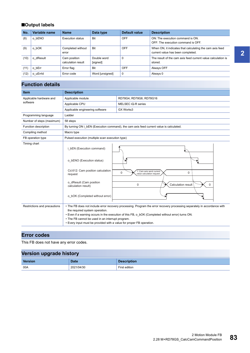### ■**Output labels**

| No.  | Variable name | <b>Name</b>                        | Data type               | Default value | <b>Description</b>                                                                            |
|------|---------------|------------------------------------|-------------------------|---------------|-----------------------------------------------------------------------------------------------|
| (8)  | o bENO        | Execution status                   | Bit                     | OFF           | ON: The execution command is ON.<br>OFF: The execution command is OFF.                        |
| (9)  | o bOK         | Completed without<br>error         | Bit                     | OFF           | When ON, it indicates that calculating the cam axis feed<br>current value has been completed. |
| (10) | o dResult     | Cam position<br>calculation result | Double word<br>[signed] | 0             | The result of the cam axis feed current value calculation is<br>stored.                       |
| (11) | o bErr        | Error flag                         | Bit                     | OFF           | Always OFF                                                                                    |
| (12) | o uErrld      | Error code                         | Word [unsigned]         | $\mathbf 0$   | Always 0                                                                                      |

## **Function details**

| <b>Item</b>                  | <b>Description</b>                                                                                                                                                                                                                                                                                                                                                                          |                                                                                         |  |
|------------------------------|---------------------------------------------------------------------------------------------------------------------------------------------------------------------------------------------------------------------------------------------------------------------------------------------------------------------------------------------------------------------------------------------|-----------------------------------------------------------------------------------------|--|
| Applicable hardware and      | Applicable module                                                                                                                                                                                                                                                                                                                                                                           | RD78G4, RD78G8, RD78G16                                                                 |  |
| software                     | Applicable CPU                                                                                                                                                                                                                                                                                                                                                                              | MELSEC iQ-R series                                                                      |  |
|                              | Applicable engineering software                                                                                                                                                                                                                                                                                                                                                             | GX Works3                                                                               |  |
| Programming language         | Ladder                                                                                                                                                                                                                                                                                                                                                                                      |                                                                                         |  |
| Number of steps (maximum)    | 58 steps                                                                                                                                                                                                                                                                                                                                                                                    |                                                                                         |  |
| Function description         |                                                                                                                                                                                                                                                                                                                                                                                             | By turning ON i bEN (Execution command), the cam axis feed current value is calculated. |  |
| Compiling method             | Macro type                                                                                                                                                                                                                                                                                                                                                                                  |                                                                                         |  |
| FB operation type            | Pulsed execution (multiple scan execution type)                                                                                                                                                                                                                                                                                                                                             |                                                                                         |  |
| Timing chart                 | i_bEN (Execution command)                                                                                                                                                                                                                                                                                                                                                                   |                                                                                         |  |
|                              | o bENO (Execution status)                                                                                                                                                                                                                                                                                                                                                                   |                                                                                         |  |
|                              | Cd.612: Cam position calculation<br>request                                                                                                                                                                                                                                                                                                                                                 | 1: Cam axis send current<br>0<br>0<br>value calculation request                         |  |
|                              | o_dResult (Cam position<br>calculation result)                                                                                                                                                                                                                                                                                                                                              | $\mathbf 0$<br>Calculation result<br>$\Omega$                                           |  |
|                              | o bOK (Completed without error)                                                                                                                                                                                                                                                                                                                                                             |                                                                                         |  |
| Restrictions and precautions | • The FB does not include error recovery processing. Program the error recovery processing separately in accordance with<br>the required system operation.<br>• Even if a warning occurs in the execution of this FB, o_bOK (Completed without error) turns ON.<br>• The FB cannot be used in an interrupt program.<br>• Every input must be provided with a value for proper FB operation. |                                                                                         |  |

### **Error codes**

This FB does not have any error codes.

| --             |             |                    |
|----------------|-------------|--------------------|
| <b>Version</b> | <b>Date</b> | <b>Description</b> |
| 00A            | 2021/04/30  | First edition      |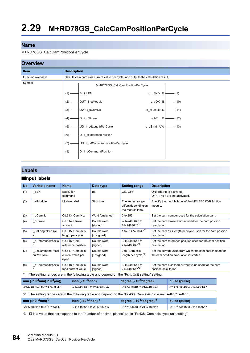#### <span id="page-85-3"></span>M+RD78GS\_CalcCamPositionPerCycle

#### **Overview**



#### **Labels**

#### ■**Input labels**

| No.     | Variable name                                                                                 | <b>Name</b>                                    | Data type                 | <b>Setting range</b>                                           | <b>Description</b>                                                                                   |  |
|---------|-----------------------------------------------------------------------------------------------|------------------------------------------------|---------------------------|----------------------------------------------------------------|------------------------------------------------------------------------------------------------------|--|
| (1)     | i bEN                                                                                         | Execution<br>command                           | Bit                       | ON, OFF                                                        | ON: The FB is activated.<br>OFF: The FB is not activated.                                            |  |
| (2)     | i stModule                                                                                    | Module label                                   | Structure                 | The setting range<br>differs depending on<br>the module label. | Specify the module label of the MELSEC iQ-R Motion<br>module.                                        |  |
| (3)     | i uCamNo                                                                                      | Cd.613: Cam No.                                | Word [unsigned]           | 0 to 256                                                       | Set the cam number used for the calculation cam.                                                     |  |
| (4)     | dStroke                                                                                       | Cd.614: Stroke<br>amount                       | Double word<br>[signed]   | -2147483648 to<br>21474836471                                  | Set the cam stroke amount used for the cam position<br>calculation.                                  |  |
| (5)     | i udLengthPerCycl<br>е                                                                        | Cd.615: Cam axis<br>length per cycle           | Double word<br>[unsigned] | 1 to 2147483647 <sup>*2</sup>                                  | Set the cam axis length per cycle used for the cam position<br>calculation.                          |  |
| (6)     | dReferencePositio<br>n                                                                        | Cd.616: Cam<br>reference position              | Double word<br>[signed]   | -2147483648 to<br>2147483647 <sup>*2</sup>                     | Set the cam reference position used for the cam position<br>calculation.                             |  |
| (7)     | udCommandPositi<br>onPerCycle                                                                 | Cd.617: Cam axis<br>current value per<br>cycle | Double word<br>[unsigned] | 0 to (Cam axis<br>length per cycle $)^2$                       | Set the current value from which the cam search used for<br>the cam position calculation is started. |  |
| (8)     | dCommandPositio<br>n                                                                          | Cd.618: Cam axis<br>feed current value         | Double word<br>[signed]   | -2147483648 to<br>2147483647 <sup>*2</sup>                     | Set the cam axis feed current value used for the cam<br>position calculation.                        |  |
| $*_{1}$ | The setting ranges are in the following table and depend on the "Pr.1: Unit setting" setting. |                                                |                           |                                                                |                                                                                                      |  |

<span id="page-85-1"></span>

| mm ( $\times$ 10 <sup>-4</sup> mm( $\times$ 10 <sup>-1</sup> µm)) | inch ( $\times$ 10 <sup>-5</sup> inch) | degree $(x10^{-5})$ degree) | pulse (pulse)             |
|-------------------------------------------------------------------|----------------------------------------|-----------------------------|---------------------------|
| -2147483648 to 2147483647                                         | -2147483648 to 2147483647              | -2147483648 to 2147483647   | -2147483648 to 2147483647 |

#### <span id="page-85-2"></span>\*2 The setting ranges are in the following table and depend on the "Pr.438: Cam axis cycle unit setting" setting.

| mm ( $\times$ 10 <sup>-<math>\Box</math></sup> mm) <sup>*3</sup> | inch $(x10^{-1}$ inch) <sup>*3</sup> | degree ( $\times$ 10 <sup>-ロ</sup> degree) <sup>*3</sup> | pulse (pulse)                     |
|------------------------------------------------------------------|--------------------------------------|----------------------------------------------------------|-----------------------------------|
| -2147483648 to 2147483647                                        | -2147483648 to 2147483647            | -2147483648 to 2147483647                                | $\vert$ -2147483648 to 2147483647 |

<span id="page-85-0"></span>\*3  $\Box$  is a value that corresponds to the "number of decimal places" set in "Pr.438: Cam axis cycle unit setting".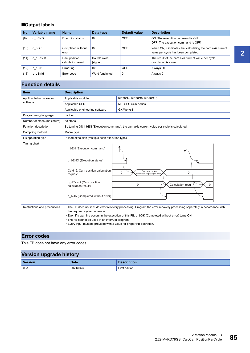### ■**Output labels**

| No.  | Variable name | <b>Name</b>                        | Data type               | Default value | <b>Description</b>                                                                                 |
|------|---------------|------------------------------------|-------------------------|---------------|----------------------------------------------------------------------------------------------------|
| (9)  | o bENO        | <b>Execution status</b>            | <b>Bit</b>              | OFF           | ON: The execution command is ON.<br>OFF: The execution command is OFF.                             |
| (10) | o bOK         | Completed without<br>error         | Bit                     | OFF           | When ON, it indicates that calculating the cam axis current<br>value per cycle has been completed. |
| (11) | o dResult     | Cam position<br>calculation result | Double word<br>[signed] |               | The result of the cam axis current value per cycle<br>calculation is stored.                       |
| (12) | o bErr        | Error flag                         | Bit                     | OFF           | Always OFF                                                                                         |
| (13) | o uErrid      | Error code                         | Word [unsigned]         | 0             | Always 0                                                                                           |

## **Function details**

| <b>Item</b>                  | <b>Description</b>                                                                                                                                                                                                                                                                                                                                                                          |                                                                                              |  |
|------------------------------|---------------------------------------------------------------------------------------------------------------------------------------------------------------------------------------------------------------------------------------------------------------------------------------------------------------------------------------------------------------------------------------------|----------------------------------------------------------------------------------------------|--|
| Applicable hardware and      | Applicable module                                                                                                                                                                                                                                                                                                                                                                           | RD78G4, RD78G8, RD78G16                                                                      |  |
| software                     | Applicable CPU                                                                                                                                                                                                                                                                                                                                                                              | MELSEC iQ-R series                                                                           |  |
|                              | Applicable engineering software                                                                                                                                                                                                                                                                                                                                                             | GX Works3                                                                                    |  |
| Programming language         | Ladder                                                                                                                                                                                                                                                                                                                                                                                      |                                                                                              |  |
| Number of steps (maximum)    | 63 steps                                                                                                                                                                                                                                                                                                                                                                                    |                                                                                              |  |
| Function description         |                                                                                                                                                                                                                                                                                                                                                                                             | By turning ON i bEN (Execution command), the cam axis current value per cycle is calculated. |  |
| Compiling method             | Macro type                                                                                                                                                                                                                                                                                                                                                                                  |                                                                                              |  |
| FB operation type            | Pulsed execution (multiple scan execution type)                                                                                                                                                                                                                                                                                                                                             |                                                                                              |  |
| Timing chart                 | i bEN (Execution command)                                                                                                                                                                                                                                                                                                                                                                   |                                                                                              |  |
|                              | o bENO (Execution status)                                                                                                                                                                                                                                                                                                                                                                   |                                                                                              |  |
|                              | Cd.612: Cam position calculation<br>request                                                                                                                                                                                                                                                                                                                                                 | 2: Cam axis current<br>$\Omega$<br>$\mathbf 0$<br>alculation request per cycle               |  |
|                              | o dResult (Cam position<br>calculation result)                                                                                                                                                                                                                                                                                                                                              | Calculation result<br>$\mathbf 0$<br><sup>0</sup>                                            |  |
|                              | o bOK (Completed without error)                                                                                                                                                                                                                                                                                                                                                             |                                                                                              |  |
| Restrictions and precautions | • The FB does not include error recovery processing. Program the error recovery processing separately in accordance with<br>the required system operation.<br>. Even if a warning occurs in the execution of this FB, o bOK (Completed without error) turns ON.<br>• The FB cannot be used in an interrupt program.<br>• Every input must be provided with a value for proper FB operation. |                                                                                              |  |

### **Error codes**

This FB does not have any error codes.

| Version upgrade history |             |                    |  |  |  |
|-------------------------|-------------|--------------------|--|--|--|
| Version                 | <b>Date</b> | <b>Description</b> |  |  |  |
| 00A                     | 2021/04/30  | First edition      |  |  |  |

Ξ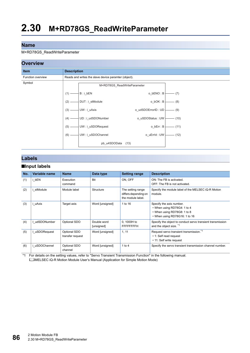#### <span id="page-87-1"></span>M+RD78GS\_ReadWriteParameter

#### **Overview**



### **Labels**

#### ■**Input labels**

| No. | Variable name | <b>Name</b>                      | Data type                 | <b>Setting range</b>                                           | <b>Description</b>                                                                                                      |
|-----|---------------|----------------------------------|---------------------------|----------------------------------------------------------------|-------------------------------------------------------------------------------------------------------------------------|
| (1) | i bEN         | Execution<br>command             | <b>Bit</b>                | ON. OFF                                                        | ON: The FB is activated.<br>OFF: The FB is not activated.                                                               |
| (2) | stModule      | Module label                     | Structure                 | The setting range<br>differs depending on<br>the module label. | Specify the module label of the MELSEC iQ-R Motion<br>module.                                                           |
| (3) | i uAxis       | Target axis                      | Word [unsigned]           | 1 to 16                                                        | Specify the axis number.<br>• When using RD78G4: 1 to 4<br>• When using RD78G8: 1 to 8<br>• When using RD78G16: 1 to 16 |
| (4) | I udSDONumber | Optional SDO                     | Double word<br>[unsigned] | 0, 1000H to<br><b>FFFFFFFFH</b>                                | Specify the object to conduct servo transient transmission<br>and the object size. *1                                   |
| (5) | uSDORequest   | Optional SDO<br>transfer request | Word [unsigned]           | 1, 11                                                          | Request servo transient transmission. <sup>*1</sup><br>• 1: Self read request<br>• 11: Self write request               |
| (6) | i uSDOChannel | Optional SDO<br>channel          | Word [unsigned]           | 1 to 4                                                         | Specify the servo transient transmission channel number.                                                                |

<span id="page-87-0"></span>\*1 For details on the setting values, refer to "Servo Transient Transmission Function" in the following manual. MELSEC iQ-R Motion Module User's Manual (Application for Simple Motion Mode)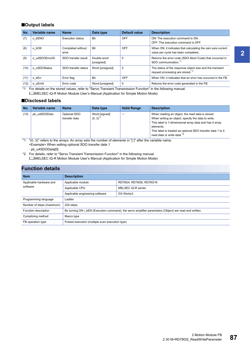#### ■**Output labels**

| No.  | Variable name  | <b>Name</b>                | Data type                 | Default value | <b>Description</b>                                                                                       |
|------|----------------|----------------------------|---------------------------|---------------|----------------------------------------------------------------------------------------------------------|
| (7)  | o bENO         | <b>Execution status</b>    | Bit                       | OFF           | ON: The execution command is ON.<br>OFF: The execution command is OFF.                                   |
| (8)  | o bOK          | Completed without<br>error | Bit                       | OFF           | When ON, it indicates that calculating the cam axis current<br>value per cycle has been completed.       |
| (9)  | o udSDOErrorID | SDO transfer result        | Double word<br>[unsigned] | $\Omega$      | Returns the error code (SDO Abort Code) that occurred in<br>SDO communication. <sup>*1</sup>             |
| (10) | o uSDOStatus   | SDO transfer status        | Word [unsigned]           | $\mathbf 0$   | The status of the response object size and the transient<br>request processing are stored. <sup>*1</sup> |
| (11) | o bErr         | Error flag                 | Bit                       | OFF           | When ON, it indicates that an error has occurred in the FB.                                              |
| (12) | o uErrld       | Error code                 | Word [unsigned]           | 0             | Returns the error code generated in the FB.                                                              |

<span id="page-88-0"></span>\*1 For details on the stored values, refer to "Servo Transient Transmission Function" in the following manual. MELSEC iQ-R Motion Module User's Manual (Application for Simple Motion Mode)

#### ■**Disclosed labels**

| No.  | Variable name | <b>Name</b>                   | Data type                               | <b>Valid Range</b> | <b>Description</b>                                                                                                                                                                                                                                                                    |
|------|---------------|-------------------------------|-----------------------------------------|--------------------|---------------------------------------------------------------------------------------------------------------------------------------------------------------------------------------------------------------------------------------------------------------------------------------|
| (13) | pb u4SDOData  | Optional SDO<br>transfer data | Word [signed]<br>$(0.3)^*$ <sup>1</sup> |                    | When reading an object, the read data is stored.<br>When writing an object, specify the data to write.<br>This label is 1-dimensional array data and has 4 array<br>elements.<br>This label is treated as optional SDO transfer data 1 to 4<br>read data or write data. <sup>*2</sup> |

<span id="page-88-1"></span>\*1 "(0..3)" refers to the arrays. An array sets the number of elements in "[ ]" after the variable name. <Example> When setting optional SDO transfer data 1

pb\_u4SDOData[0]

<span id="page-88-2"></span>\*2 For details, refer to "Servo Transient Transmission Function" in the following manual. MELSEC iQ-R Motion Module User's Manual (Application for Simple Motion Mode)

### **Function details**

| <b>Item</b>               | <b>Description</b>                                                                                     |                         |  |
|---------------------------|--------------------------------------------------------------------------------------------------------|-------------------------|--|
| Applicable hardware and   | Applicable module                                                                                      | RD78G4, RD78G8, RD78G16 |  |
| software                  | Applicable CPU                                                                                         | MELSEC iQ-R series      |  |
|                           | Applicable engineering software                                                                        | GX Works3               |  |
| Programming language      | Ladder                                                                                                 |                         |  |
| Number of steps (maximum) | 224 steps                                                                                              |                         |  |
| Function description      | By turning ON i bEN (Execution command), the servo amplifier parameters (Object) are read and written. |                         |  |
| Complining method         | Macro type                                                                                             |                         |  |
| FB operation type         | Pulsed execution (multiple scan execution type)                                                        |                         |  |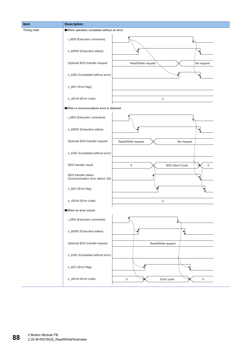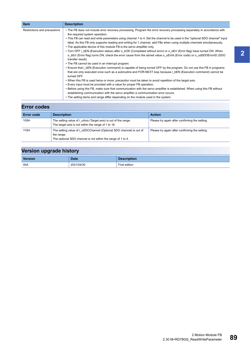| <b>Item</b>                  | <b>Description</b>                                                                                                                                                                                                                                                                                                                                                                                                                                                                                                                                                                                                                                                                                                                                                                                                                                                                                                                                                                                                                                                                                                                                                                                                                                                      |
|------------------------------|-------------------------------------------------------------------------------------------------------------------------------------------------------------------------------------------------------------------------------------------------------------------------------------------------------------------------------------------------------------------------------------------------------------------------------------------------------------------------------------------------------------------------------------------------------------------------------------------------------------------------------------------------------------------------------------------------------------------------------------------------------------------------------------------------------------------------------------------------------------------------------------------------------------------------------------------------------------------------------------------------------------------------------------------------------------------------------------------------------------------------------------------------------------------------------------------------------------------------------------------------------------------------|
| Restrictions and precautions | • The FB does not include error recovery processing. Program the error recovery processing separately in accordance with<br>the required system operation.<br>• This FB can read and write parameters using channel 1 to 4. Set the channel to be used in the "optional SDO channel" input<br>label. As this FB only supports reading and writing for 1 channel, add FBs when using multiple channels simultaneously.<br>• The applicable device of this module FB is the servo amplifier only.<br>• Turn OFF i bEN (Execution status) after o bOK (Completed without error) or o bErr (Error flag) have turned ON. When<br>o bErr (Error flag) turns ON, check the error cause from the stored value o uErrid (Error code) or o udSDOErrorID (SDO<br>transfer result).<br>• The FB cannot be used in an interrupt program.<br>• Ensure that i bEN (Execution command) is capable of being turned OFF by the program. Do not use this FB in programs<br>that are only executed once such as a subroutine and FOR-NEXT loop because i bEN (Execution command) cannot be<br>turned OFF.<br>. When this FB is used twice or more, precaution must be taken to avoid repetition of the target axis.<br>• Every input must be provided with a value for proper FB operation. |
|                              | • Before using this FB, make sure that communication with the servo amplifier is established. When using this FB without<br>establishing communication with the servo amplifier a communication error occurs.<br>• The setting items and range differ depending on the module used in the system.                                                                                                                                                                                                                                                                                                                                                                                                                                                                                                                                                                                                                                                                                                                                                                                                                                                                                                                                                                       |

## **Error codes**

| <b>Error code</b> | <b>Description</b>                                                                                                                               | <b>Action</b>                                  |
|-------------------|--------------------------------------------------------------------------------------------------------------------------------------------------|------------------------------------------------|
| 100H              | The setting value of <i>i</i> uAxis (Target axis) is out of the range.<br>The target axis is not within the range of 1 to 16.                    | Please try again after confirming the setting. |
| 110H              | The setting value of i uSDCChannel (Optional SDO channel) is out of<br>the range.<br>The optional SDO channel is not within the range of 1 to 4. | Please try again after confirming the setting. |

| <b>Version</b> | <b>Date</b> | <b>Description</b> |
|----------------|-------------|--------------------|
| 00A            | 2021/04/30  | First edition      |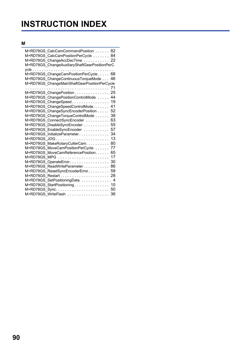# **INSTRUCTION INDEX**

## **M**

| M+RD78GS CalcCamCommandPosition 82<br>M+RD78GS CalcCamPositionPerCycle<br>84<br>M+RD78GS ChangeAccDecTime  22<br>M+RD78GS_ChangeAuxiliaryShaftGearPositionPerC<br>M+RD78GS_ChangeCamPositionPerCycle<br>68<br>M+RD78GS_ChangeContinuousTorqueMode<br>46<br>M+RD78GS ChangeMainShaftGearPositionPerCycle<br>71<br>.<br>25<br>M+RD78GS ChangePosition<br>44<br>M+RD78GS_ChangePositionControlMode<br>19<br>M+RD78GS ChangeSpeed<br>41<br>M+RD78GS ChangeSpeedControlMode.<br>52<br>M+RD78GS ChangeSyncEncoderPosition<br>38<br>M+RD78GS ChangeTorqueControlMode<br>63<br>M+RD78GS_ConnectSyncEncoder<br>55<br>M+RD78GS_DisableSyncEncoder<br>57<br>M+RD78GS_EnableSyncEncoder<br>M+RD78GS InitializeParameter<br>34<br>13<br>M+RD78GS JOG<br>M+RD78GS_MakeRotaryCutterCam.<br>80<br>77<br>M+RD78GS MoveCamPositionPerCycle<br>65<br>M+RD78GS MoveCamReferencePosition.<br>17<br>M+RD78GS MPG<br>30<br>M+RD78GS OperateError<br>86<br>M+RD78GS ReadWriteParameter<br>59<br>M+RD78GS_ResetSyncEncoderError<br>28<br>M+RD78GS SetPositioningData<br>4<br>M+RD78GS_StartPositioning<br>10<br>50<br>36 |                     |
|-------------------------------------------------------------------------------------------------------------------------------------------------------------------------------------------------------------------------------------------------------------------------------------------------------------------------------------------------------------------------------------------------------------------------------------------------------------------------------------------------------------------------------------------------------------------------------------------------------------------------------------------------------------------------------------------------------------------------------------------------------------------------------------------------------------------------------------------------------------------------------------------------------------------------------------------------------------------------------------------------------------------------------------------------------------------------------------------------|---------------------|
|                                                                                                                                                                                                                                                                                                                                                                                                                                                                                                                                                                                                                                                                                                                                                                                                                                                                                                                                                                                                                                                                                                 |                     |
|                                                                                                                                                                                                                                                                                                                                                                                                                                                                                                                                                                                                                                                                                                                                                                                                                                                                                                                                                                                                                                                                                                 |                     |
|                                                                                                                                                                                                                                                                                                                                                                                                                                                                                                                                                                                                                                                                                                                                                                                                                                                                                                                                                                                                                                                                                                 |                     |
|                                                                                                                                                                                                                                                                                                                                                                                                                                                                                                                                                                                                                                                                                                                                                                                                                                                                                                                                                                                                                                                                                                 |                     |
|                                                                                                                                                                                                                                                                                                                                                                                                                                                                                                                                                                                                                                                                                                                                                                                                                                                                                                                                                                                                                                                                                                 |                     |
|                                                                                                                                                                                                                                                                                                                                                                                                                                                                                                                                                                                                                                                                                                                                                                                                                                                                                                                                                                                                                                                                                                 |                     |
|                                                                                                                                                                                                                                                                                                                                                                                                                                                                                                                                                                                                                                                                                                                                                                                                                                                                                                                                                                                                                                                                                                 |                     |
|                                                                                                                                                                                                                                                                                                                                                                                                                                                                                                                                                                                                                                                                                                                                                                                                                                                                                                                                                                                                                                                                                                 |                     |
|                                                                                                                                                                                                                                                                                                                                                                                                                                                                                                                                                                                                                                                                                                                                                                                                                                                                                                                                                                                                                                                                                                 |                     |
|                                                                                                                                                                                                                                                                                                                                                                                                                                                                                                                                                                                                                                                                                                                                                                                                                                                                                                                                                                                                                                                                                                 |                     |
|                                                                                                                                                                                                                                                                                                                                                                                                                                                                                                                                                                                                                                                                                                                                                                                                                                                                                                                                                                                                                                                                                                 |                     |
|                                                                                                                                                                                                                                                                                                                                                                                                                                                                                                                                                                                                                                                                                                                                                                                                                                                                                                                                                                                                                                                                                                 |                     |
|                                                                                                                                                                                                                                                                                                                                                                                                                                                                                                                                                                                                                                                                                                                                                                                                                                                                                                                                                                                                                                                                                                 |                     |
|                                                                                                                                                                                                                                                                                                                                                                                                                                                                                                                                                                                                                                                                                                                                                                                                                                                                                                                                                                                                                                                                                                 |                     |
|                                                                                                                                                                                                                                                                                                                                                                                                                                                                                                                                                                                                                                                                                                                                                                                                                                                                                                                                                                                                                                                                                                 |                     |
|                                                                                                                                                                                                                                                                                                                                                                                                                                                                                                                                                                                                                                                                                                                                                                                                                                                                                                                                                                                                                                                                                                 |                     |
|                                                                                                                                                                                                                                                                                                                                                                                                                                                                                                                                                                                                                                                                                                                                                                                                                                                                                                                                                                                                                                                                                                 |                     |
|                                                                                                                                                                                                                                                                                                                                                                                                                                                                                                                                                                                                                                                                                                                                                                                                                                                                                                                                                                                                                                                                                                 |                     |
|                                                                                                                                                                                                                                                                                                                                                                                                                                                                                                                                                                                                                                                                                                                                                                                                                                                                                                                                                                                                                                                                                                 |                     |
|                                                                                                                                                                                                                                                                                                                                                                                                                                                                                                                                                                                                                                                                                                                                                                                                                                                                                                                                                                                                                                                                                                 |                     |
|                                                                                                                                                                                                                                                                                                                                                                                                                                                                                                                                                                                                                                                                                                                                                                                                                                                                                                                                                                                                                                                                                                 |                     |
|                                                                                                                                                                                                                                                                                                                                                                                                                                                                                                                                                                                                                                                                                                                                                                                                                                                                                                                                                                                                                                                                                                 |                     |
|                                                                                                                                                                                                                                                                                                                                                                                                                                                                                                                                                                                                                                                                                                                                                                                                                                                                                                                                                                                                                                                                                                 |                     |
|                                                                                                                                                                                                                                                                                                                                                                                                                                                                                                                                                                                                                                                                                                                                                                                                                                                                                                                                                                                                                                                                                                 |                     |
|                                                                                                                                                                                                                                                                                                                                                                                                                                                                                                                                                                                                                                                                                                                                                                                                                                                                                                                                                                                                                                                                                                 |                     |
|                                                                                                                                                                                                                                                                                                                                                                                                                                                                                                                                                                                                                                                                                                                                                                                                                                                                                                                                                                                                                                                                                                 |                     |
|                                                                                                                                                                                                                                                                                                                                                                                                                                                                                                                                                                                                                                                                                                                                                                                                                                                                                                                                                                                                                                                                                                 |                     |
|                                                                                                                                                                                                                                                                                                                                                                                                                                                                                                                                                                                                                                                                                                                                                                                                                                                                                                                                                                                                                                                                                                 |                     |
|                                                                                                                                                                                                                                                                                                                                                                                                                                                                                                                                                                                                                                                                                                                                                                                                                                                                                                                                                                                                                                                                                                 |                     |
|                                                                                                                                                                                                                                                                                                                                                                                                                                                                                                                                                                                                                                                                                                                                                                                                                                                                                                                                                                                                                                                                                                 |                     |
|                                                                                                                                                                                                                                                                                                                                                                                                                                                                                                                                                                                                                                                                                                                                                                                                                                                                                                                                                                                                                                                                                                 | M+RD78GS WriteFlash |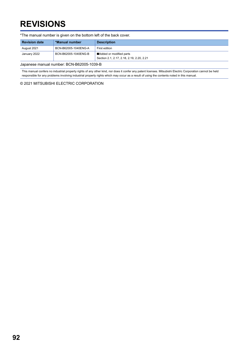# **REVISIONS**

\*The manual number is given on the bottom left of the back cover. Japanese manual number: BCN-B62005-1039-B **Revision date \*Manual number Description** August 2021 BCN-B62005-1040ENG-A First edition January 2022 BCN-B62005-1040ENG-B ■Added or modified parts Section 2.1, 2.17, 2.18, 2.19, 2.20, 2.21

<span id="page-93-0"></span>This manual confers no industrial property rights of any other kind, nor does it confer any patent licenses. Mitsubishi Electric Corporation cannot be held responsible for any problems involving industrial property rights which may occur as a result of using the contents noted in this manual.

© 2021 MITSUBISHI ELECTRIC CORPORATION